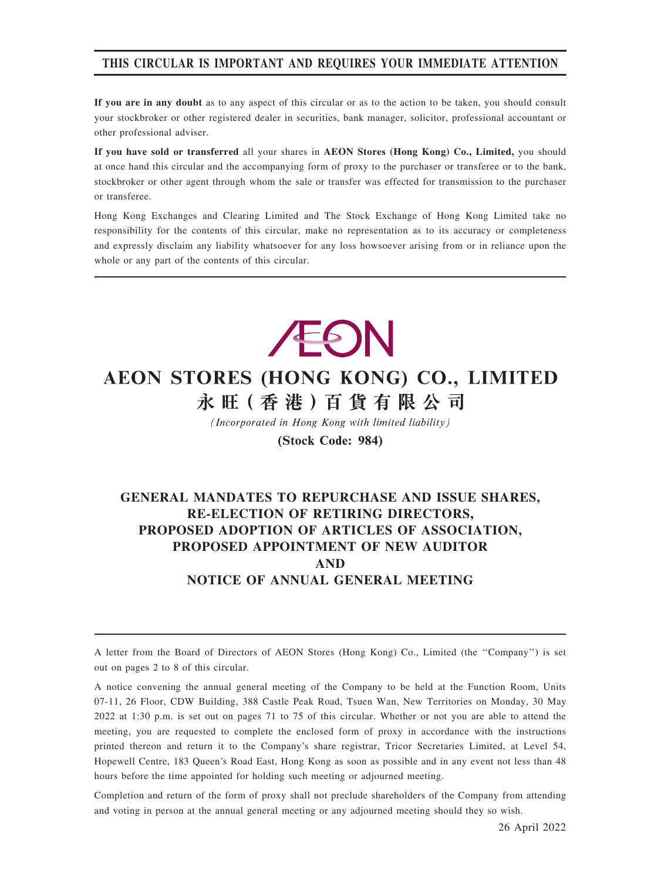## THIS CIRCULAR IS IMPORTANT AND REQUIRES YOUR IMMEDIATE ATTENTION

If you are in any doubt as to any aspect of this circular or as to the action to be taken, you should consult your stockbroker or other registered dealer in securities, bank manager, solicitor, professional accountant or other professional adviser.

If you have sold or transferred all your shares in AEON Stores (Hong Kong) Co., Limited, you should at once hand this circular and the accompanying form of proxy to the purchaser or transferee or to the bank, stockbroker or other agent through whom the sale or transfer was effected for transmission to the purchaser or transferee.

Hong Kong Exchanges and Clearing Limited and The Stock Exchange of Hong Kong Limited take no responsibility for the contents of this circular, make no representation as to its accuracy or completeness and expressly disclaim any liability whatsoever for any loss howsoever arising from or in reliance upon the whole or any part of the contents of this circular.



# AEON STORES (HONG KONG) CO., LIMITED 永旺(香港)百貨有限公司

(Incorporated in Hong Kong with limited liability)

(Stock Code: 984)

# GENERAL MANDATES TO REPURCHASE AND ISSUE SHARES, RE-ELECTION OF RETIRING DIRECTORS, PROPOSED ADOPTION OF ARTICLES OF ASSOCIATION, PROPOSED APPOINTMENT OF NEW AUDITOR AND NOTICE OF ANNUAL GENERAL MEETING

A letter from the Board of Directors of AEON Stores (Hong Kong) Co., Limited (the ''Company'') is set out on pages 2 to 8 of this circular.

A notice convening the annual general meeting of the Company to be held at the Function Room, Units 07-11, 26 Floor, CDW Building, 388 Castle Peak Road, Tsuen Wan, New Territories on Monday, 30 May 2022 at 1:30 p.m. is set out on pages 71 to 75 of this circular. Whether or not you are able to attend the meeting, you are requested to complete the enclosed form of proxy in accordance with the instructions printed thereon and return it to the Company's share registrar, Tricor Secretaries Limited, at Level 54, Hopewell Centre, 183 Queen's Road East, Hong Kong as soon as possible and in any event not less than 48 hours before the time appointed for holding such meeting or adjourned meeting.

Completion and return of the form of proxy shall not preclude shareholders of the Company from attending and voting in person at the annual general meeting or any adjourned meeting should they so wish.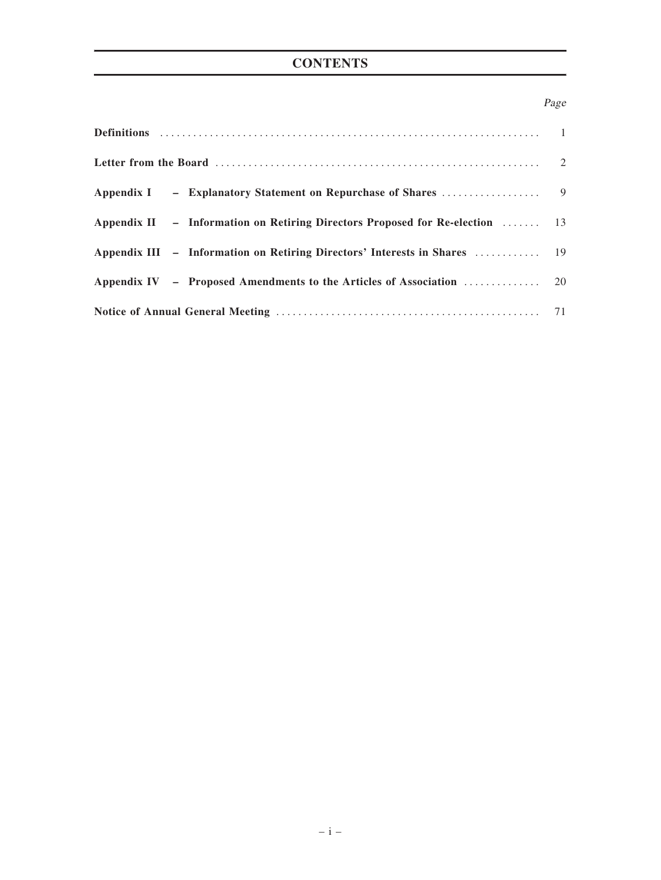# **CONTENTS**

# Page

| Appendix II - Information on Retiring Directors Proposed for Re-election  13 |  |
|------------------------------------------------------------------------------|--|
|                                                                              |  |
|                                                                              |  |
|                                                                              |  |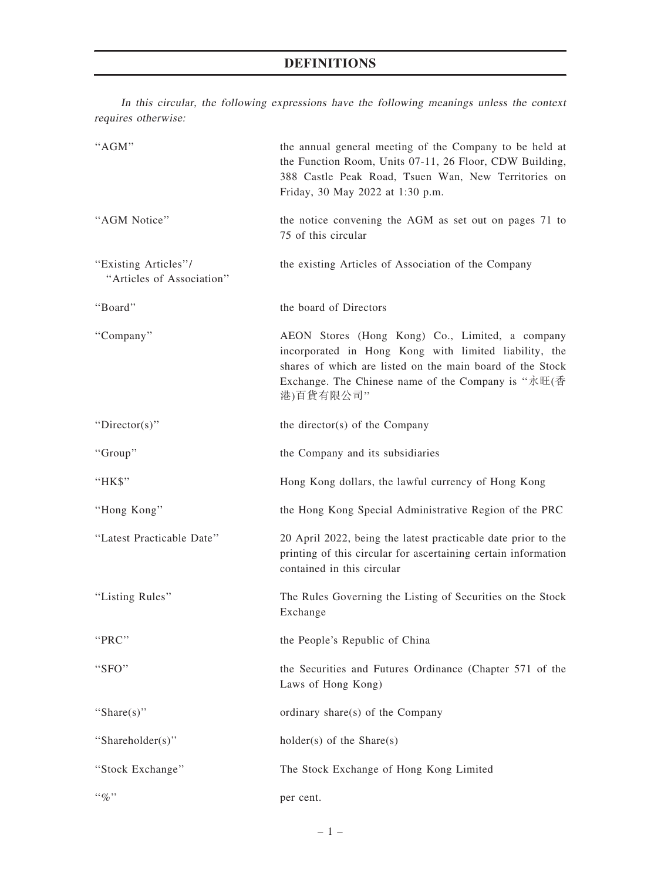# DEFINITIONS

In this circular, the following expressions have the following meanings unless the context requires otherwise:

| "AGM"                                             | the annual general meeting of the Company to be held at<br>the Function Room, Units 07-11, 26 Floor, CDW Building,<br>388 Castle Peak Road, Tsuen Wan, New Territories on<br>Friday, 30 May 2022 at 1:30 p.m.                            |  |  |  |  |  |
|---------------------------------------------------|------------------------------------------------------------------------------------------------------------------------------------------------------------------------------------------------------------------------------------------|--|--|--|--|--|
| "AGM Notice"                                      | the notice convening the AGM as set out on pages 71 to<br>75 of this circular                                                                                                                                                            |  |  |  |  |  |
| "Existing Articles"/<br>"Articles of Association" | the existing Articles of Association of the Company                                                                                                                                                                                      |  |  |  |  |  |
| "Board"                                           | the board of Directors                                                                                                                                                                                                                   |  |  |  |  |  |
| "Company"                                         | AEON Stores (Hong Kong) Co., Limited, a company<br>incorporated in Hong Kong with limited liability, the<br>shares of which are listed on the main board of the Stock<br>Exchange. The Chinese name of the Company is "永旺(香<br>港)百貨有限公司" |  |  |  |  |  |
| "Director(s)"                                     | the director(s) of the Company                                                                                                                                                                                                           |  |  |  |  |  |
| "Group"                                           | the Company and its subsidiaries                                                                                                                                                                                                         |  |  |  |  |  |
| "HK\$"                                            | Hong Kong dollars, the lawful currency of Hong Kong                                                                                                                                                                                      |  |  |  |  |  |
| "Hong Kong"                                       | the Hong Kong Special Administrative Region of the PRC                                                                                                                                                                                   |  |  |  |  |  |
| "Latest Practicable Date"                         | 20 April 2022, being the latest practicable date prior to the<br>printing of this circular for ascertaining certain information<br>contained in this circular                                                                            |  |  |  |  |  |
| "Listing Rules"                                   | The Rules Governing the Listing of Securities on the Stock<br>Exchange                                                                                                                                                                   |  |  |  |  |  |
| "PRC"                                             | the People's Republic of China                                                                                                                                                                                                           |  |  |  |  |  |
| "SFO"                                             | the Securities and Futures Ordinance (Chapter 571 of the<br>Laws of Hong Kong)                                                                                                                                                           |  |  |  |  |  |
| "Share $(s)$ "                                    | ordinary share(s) of the Company                                                                                                                                                                                                         |  |  |  |  |  |
| "Shareholder(s)"                                  | holder(s) of the Share(s)                                                                                                                                                                                                                |  |  |  |  |  |
| "Stock Exchange"                                  | The Stock Exchange of Hong Kong Limited                                                                                                                                                                                                  |  |  |  |  |  |
| $``\%"$                                           | per cent.                                                                                                                                                                                                                                |  |  |  |  |  |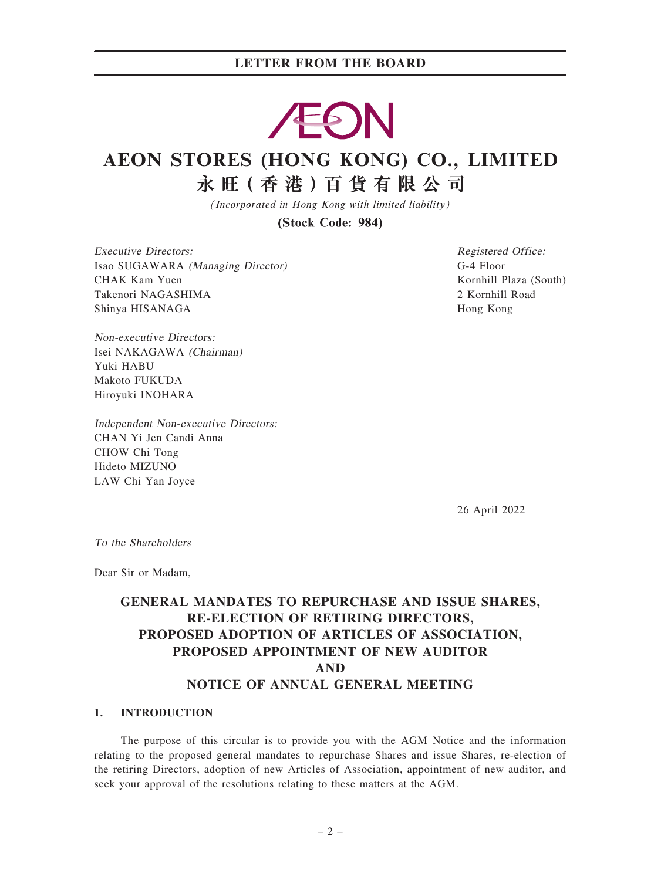# EON

# AEON STORES (HONG KONG) CO., LIMITED 永旺(香港)百貨有限公司

(Incorporated in Hong Kong with limited liability)

(Stock Code: 984)

Executive Directors: Isao SUGAWARA (Managing Director) CHAK Kam Yuen Takenori NAGASHIMA Shinya HISANAGA

Registered Office: G-4 Floor Kornhill Plaza (South) 2 Kornhill Road Hong Kong

Non-executive Directors: Isei NAKAGAWA (Chairman) Yuki HABU Makoto FUKUDA Hiroyuki INOHARA

Independent Non-executive Directors: CHAN Yi Jen Candi Anna CHOW Chi Tong Hideto MIZUNO LAW Chi Yan Joyce

26 April 2022

To the Shareholders

Dear Sir or Madam,

# GENERAL MANDATES TO REPURCHASE AND ISSUE SHARES, RE-ELECTION OF RETIRING DIRECTORS, PROPOSED ADOPTION OF ARTICLES OF ASSOCIATION, PROPOSED APPOINTMENT OF NEW AUDITOR AND NOTICE OF ANNUAL GENERAL MEETING

#### 1. INTRODUCTION

The purpose of this circular is to provide you with the AGM Notice and the information relating to the proposed general mandates to repurchase Shares and issue Shares, re-election of the retiring Directors, adoption of new Articles of Association, appointment of new auditor, and seek your approval of the resolutions relating to these matters at the AGM.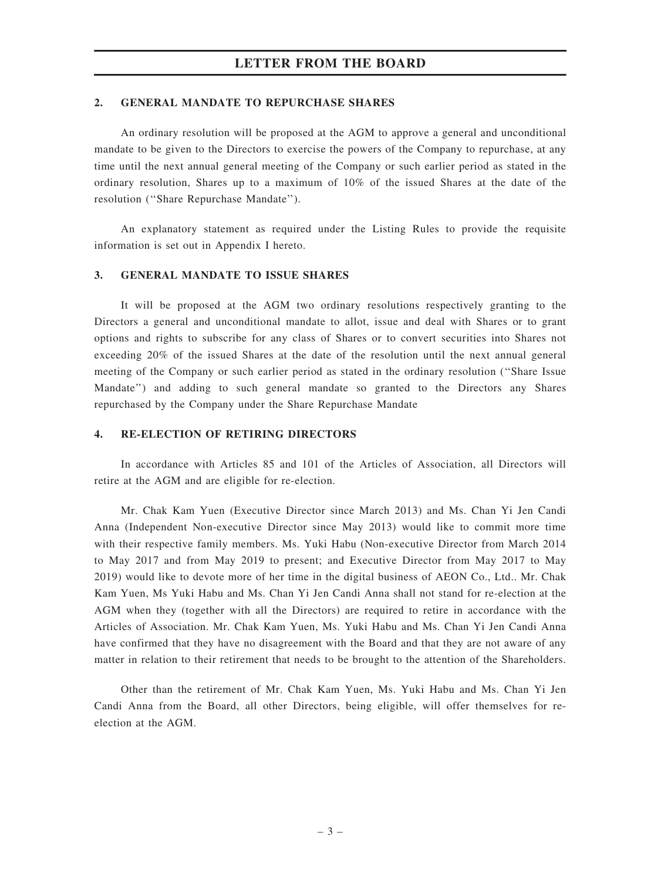#### 2. GENERAL MANDATE TO REPURCHASE SHARES

An ordinary resolution will be proposed at the AGM to approve a general and unconditional mandate to be given to the Directors to exercise the powers of the Company to repurchase, at any time until the next annual general meeting of the Company or such earlier period as stated in the ordinary resolution, Shares up to a maximum of 10% of the issued Shares at the date of the resolution (''Share Repurchase Mandate'').

An explanatory statement as required under the Listing Rules to provide the requisite information is set out in Appendix I hereto.

#### 3. GENERAL MANDATE TO ISSUE SHARES

It will be proposed at the AGM two ordinary resolutions respectively granting to the Directors a general and unconditional mandate to allot, issue and deal with Shares or to grant options and rights to subscribe for any class of Shares or to convert securities into Shares not exceeding 20% of the issued Shares at the date of the resolution until the next annual general meeting of the Company or such earlier period as stated in the ordinary resolution (''Share Issue Mandate'') and adding to such general mandate so granted to the Directors any Shares repurchased by the Company under the Share Repurchase Mandate

#### 4. RE-ELECTION OF RETIRING DIRECTORS

In accordance with Articles 85 and 101 of the Articles of Association, all Directors will retire at the AGM and are eligible for re-election.

Mr. Chak Kam Yuen (Executive Director since March 2013) and Ms. Chan Yi Jen Candi Anna (Independent Non-executive Director since May 2013) would like to commit more time with their respective family members. Ms. Yuki Habu (Non-executive Director from March 2014 to May 2017 and from May 2019 to present; and Executive Director from May 2017 to May 2019) would like to devote more of her time in the digital business of AEON Co., Ltd.. Mr. Chak Kam Yuen, Ms Yuki Habu and Ms. Chan Yi Jen Candi Anna shall not stand for re-election at the AGM when they (together with all the Directors) are required to retire in accordance with the Articles of Association. Mr. Chak Kam Yuen, Ms. Yuki Habu and Ms. Chan Yi Jen Candi Anna have confirmed that they have no disagreement with the Board and that they are not aware of any matter in relation to their retirement that needs to be brought to the attention of the Shareholders.

Other than the retirement of Mr. Chak Kam Yuen, Ms. Yuki Habu and Ms. Chan Yi Jen Candi Anna from the Board, all other Directors, being eligible, will offer themselves for reelection at the AGM.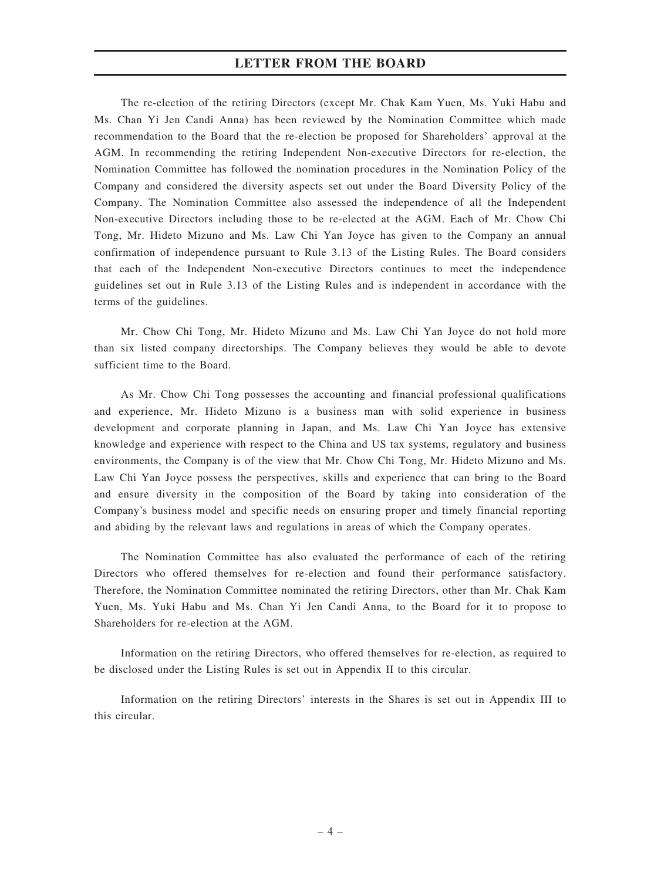The re-election of the retiring Directors (except Mr. Chak Kam Yuen, Ms. Yuki Habu and Ms. Chan Yi Jen Candi Anna) has been reviewed by the Nomination Committee which made recommendation to the Board that the re-election be proposed for Shareholders' approval at the AGM. In recommending the retiring Independent Non-executive Directors for re-election, the Nomination Committee has followed the nomination procedures in the Nomination Policy of the Company and considered the diversity aspects set out under the Board Diversity Policy of the Company. The Nomination Committee also assessed the independence of all the Independent Non-executive Directors including those to be re-elected at the AGM. Each of Mr. Chow Chi Tong, Mr. Hideto Mizuno and Ms. Law Chi Yan Joyce has given to the Company an annual confirmation of independence pursuant to Rule 3.13 of the Listing Rules. The Board considers that each of the Independent Non-executive Directors continues to meet the independence guidelines set out in Rule 3.13 of the Listing Rules and is independent in accordance with the terms of the guidelines.

Mr. Chow Chi Tong, Mr. Hideto Mizuno and Ms. Law Chi Yan Joyce do not hold more than six listed company directorships. The Company believes they would be able to devote sufficient time to the Board.

As Mr. Chow Chi Tong possesses the accounting and financial professional qualifications and experience, Mr. Hideto Mizuno is a business man with solid experience in business development and corporate planning in Japan, and Ms. Law Chi Yan Joyce has extensive knowledge and experience with respect to the China and US tax systems, regulatory and business environments, the Company is of the view that Mr. Chow Chi Tong, Mr. Hideto Mizuno and Ms. Law Chi Yan Joyce possess the perspectives, skills and experience that can bring to the Board and ensure diversity in the composition of the Board by taking into consideration of the Company's business model and specific needs on ensuring proper and timely financial reporting and abiding by the relevant laws and regulations in areas of which the Company operates.

The Nomination Committee has also evaluated the performance of each of the retiring Directors who offered themselves for re-election and found their performance satisfactory. Therefore, the Nomination Committee nominated the retiring Directors, other than Mr. Chak Kam Yuen, Ms. Yuki Habu and Ms. Chan Yi Jen Candi Anna, to the Board for it to propose to Shareholders for re-election at the AGM.

Information on the retiring Directors, who offered themselves for re-election, as required to be disclosed under the Listing Rules is set out in Appendix II to this circular.

Information on the retiring Directors' interests in the Shares is set out in Appendix III to this circular.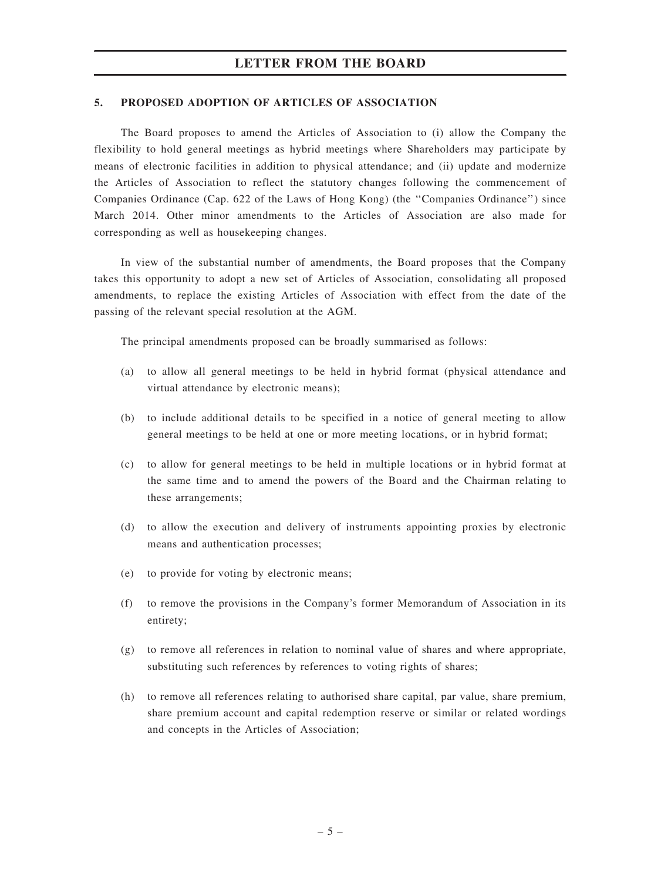#### 5. PROPOSED ADOPTION OF ARTICLES OF ASSOCIATION

The Board proposes to amend the Articles of Association to (i) allow the Company the flexibility to hold general meetings as hybrid meetings where Shareholders may participate by means of electronic facilities in addition to physical attendance; and (ii) update and modernize the Articles of Association to reflect the statutory changes following the commencement of Companies Ordinance (Cap. 622 of the Laws of Hong Kong) (the ''Companies Ordinance'') since March 2014. Other minor amendments to the Articles of Association are also made for corresponding as well as housekeeping changes.

In view of the substantial number of amendments, the Board proposes that the Company takes this opportunity to adopt a new set of Articles of Association, consolidating all proposed amendments, to replace the existing Articles of Association with effect from the date of the passing of the relevant special resolution at the AGM.

The principal amendments proposed can be broadly summarised as follows:

- (a) to allow all general meetings to be held in hybrid format (physical attendance and virtual attendance by electronic means);
- (b) to include additional details to be specified in a notice of general meeting to allow general meetings to be held at one or more meeting locations, or in hybrid format;
- (c) to allow for general meetings to be held in multiple locations or in hybrid format at the same time and to amend the powers of the Board and the Chairman relating to these arrangements;
- (d) to allow the execution and delivery of instruments appointing proxies by electronic means and authentication processes;
- (e) to provide for voting by electronic means;
- (f) to remove the provisions in the Company's former Memorandum of Association in its entirety;
- (g) to remove all references in relation to nominal value of shares and where appropriate, substituting such references by references to voting rights of shares;
- (h) to remove all references relating to authorised share capital, par value, share premium, share premium account and capital redemption reserve or similar or related wordings and concepts in the Articles of Association;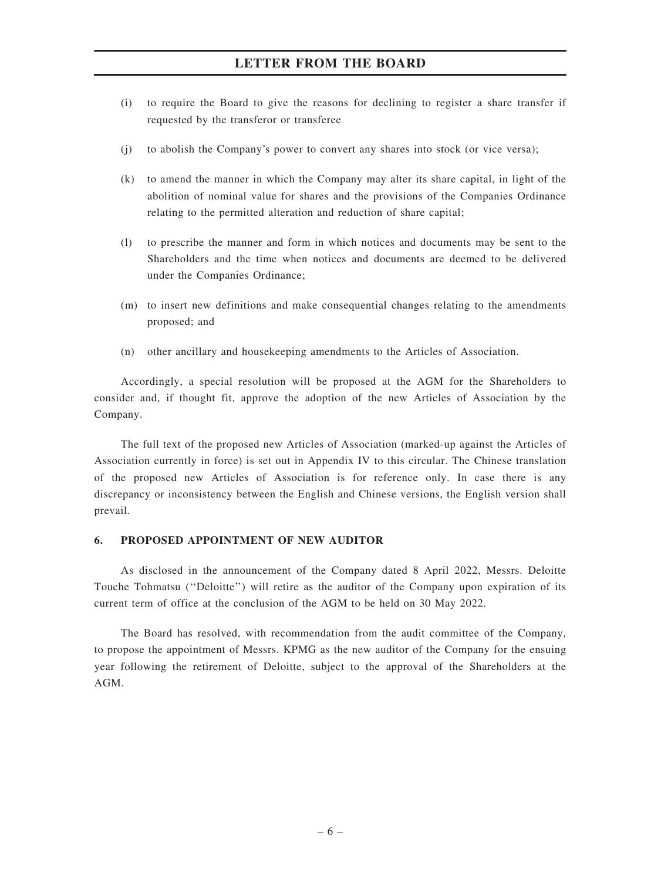- (i) to require the Board to give the reasons for declining to register a share transfer if requested by the transferor or transferee
- (j) to abolish the Company's power to convert any shares into stock (or vice versa);
- (k) to amend the manner in which the Company may alter its share capital, in light of the abolition of nominal value for shares and the provisions of the Companies Ordinance relating to the permitted alteration and reduction of share capital;
- (l) to prescribe the manner and form in which notices and documents may be sent to the Shareholders and the time when notices and documents are deemed to be delivered under the Companies Ordinance;
- (m) to insert new definitions and make consequential changes relating to the amendments proposed; and
- (n) other ancillary and housekeeping amendments to the Articles of Association.

Accordingly, a special resolution will be proposed at the AGM for the Shareholders to consider and, if thought fit, approve the adoption of the new Articles of Association by the Company.

The full text of the proposed new Articles of Association (marked-up against the Articles of Association currently in force) is set out in Appendix IV to this circular. The Chinese translation of the proposed new Articles of Association is for reference only. In case there is any discrepancy or inconsistency between the English and Chinese versions, the English version shall prevail.

#### 6. PROPOSED APPOINTMENT OF NEW AUDITOR

As disclosed in the announcement of the Company dated 8 April 2022, Messrs. Deloitte Touche Tohmatsu (''Deloitte'') will retire as the auditor of the Company upon expiration of its current term of office at the conclusion of the AGM to be held on 30 May 2022.

The Board has resolved, with recommendation from the audit committee of the Company, to propose the appointment of Messrs. KPMG as the new auditor of the Company for the ensuing year following the retirement of Deloitte, subject to the approval of the Shareholders at the AGM.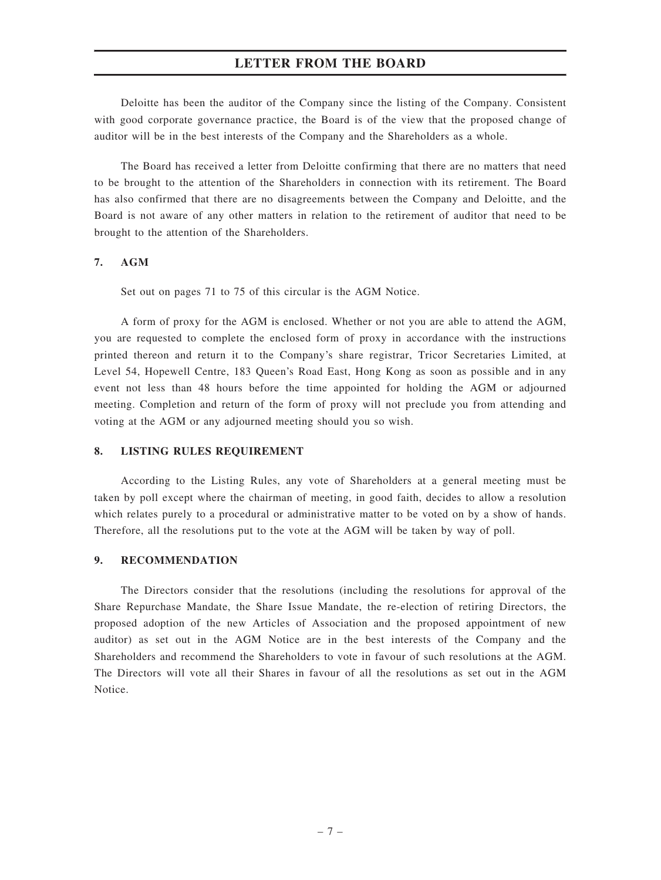Deloitte has been the auditor of the Company since the listing of the Company. Consistent with good corporate governance practice, the Board is of the view that the proposed change of auditor will be in the best interests of the Company and the Shareholders as a whole.

The Board has received a letter from Deloitte confirming that there are no matters that need to be brought to the attention of the Shareholders in connection with its retirement. The Board has also confirmed that there are no disagreements between the Company and Deloitte, and the Board is not aware of any other matters in relation to the retirement of auditor that need to be brought to the attention of the Shareholders.

#### 7. AGM

Set out on pages 71 to 75 of this circular is the AGM Notice.

A form of proxy for the AGM is enclosed. Whether or not you are able to attend the AGM, you are requested to complete the enclosed form of proxy in accordance with the instructions printed thereon and return it to the Company's share registrar, Tricor Secretaries Limited, at Level 54, Hopewell Centre, 183 Queen's Road East, Hong Kong as soon as possible and in any event not less than 48 hours before the time appointed for holding the AGM or adjourned meeting. Completion and return of the form of proxy will not preclude you from attending and voting at the AGM or any adjourned meeting should you so wish.

#### 8. LISTING RULES REQUIREMENT

According to the Listing Rules, any vote of Shareholders at a general meeting must be taken by poll except where the chairman of meeting, in good faith, decides to allow a resolution which relates purely to a procedural or administrative matter to be voted on by a show of hands. Therefore, all the resolutions put to the vote at the AGM will be taken by way of poll.

#### 9. RECOMMENDATION

The Directors consider that the resolutions (including the resolutions for approval of the Share Repurchase Mandate, the Share Issue Mandate, the re-election of retiring Directors, the proposed adoption of the new Articles of Association and the proposed appointment of new auditor) as set out in the AGM Notice are in the best interests of the Company and the Shareholders and recommend the Shareholders to vote in favour of such resolutions at the AGM. The Directors will vote all their Shares in favour of all the resolutions as set out in the AGM Notice.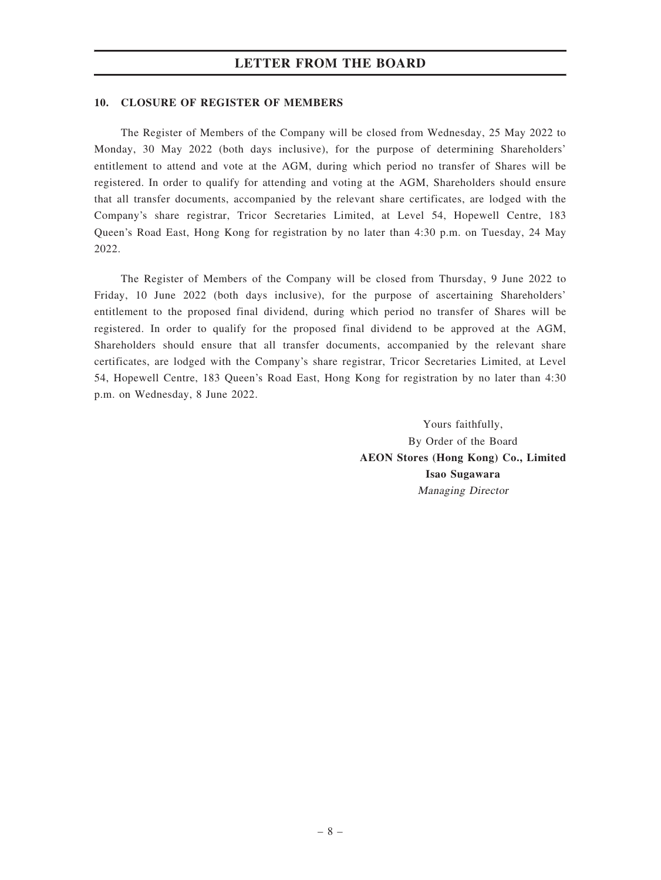#### 10. CLOSURE OF REGISTER OF MEMBERS

The Register of Members of the Company will be closed from Wednesday, 25 May 2022 to Monday, 30 May 2022 (both days inclusive), for the purpose of determining Shareholders' entitlement to attend and vote at the AGM, during which period no transfer of Shares will be registered. In order to qualify for attending and voting at the AGM, Shareholders should ensure that all transfer documents, accompanied by the relevant share certificates, are lodged with the Company's share registrar, Tricor Secretaries Limited, at Level 54, Hopewell Centre, 183 Queen's Road East, Hong Kong for registration by no later than 4:30 p.m. on Tuesday, 24 May 2022.

The Register of Members of the Company will be closed from Thursday, 9 June 2022 to Friday, 10 June 2022 (both days inclusive), for the purpose of ascertaining Shareholders' entitlement to the proposed final dividend, during which period no transfer of Shares will be registered. In order to qualify for the proposed final dividend to be approved at the AGM, Shareholders should ensure that all transfer documents, accompanied by the relevant share certificates, are lodged with the Company's share registrar, Tricor Secretaries Limited, at Level 54, Hopewell Centre, 183 Queen's Road East, Hong Kong for registration by no later than 4:30 p.m. on Wednesday, 8 June 2022.

> Yours faithfully, By Order of the Board AEON Stores (Hong Kong) Co., Limited Isao Sugawara Managing Director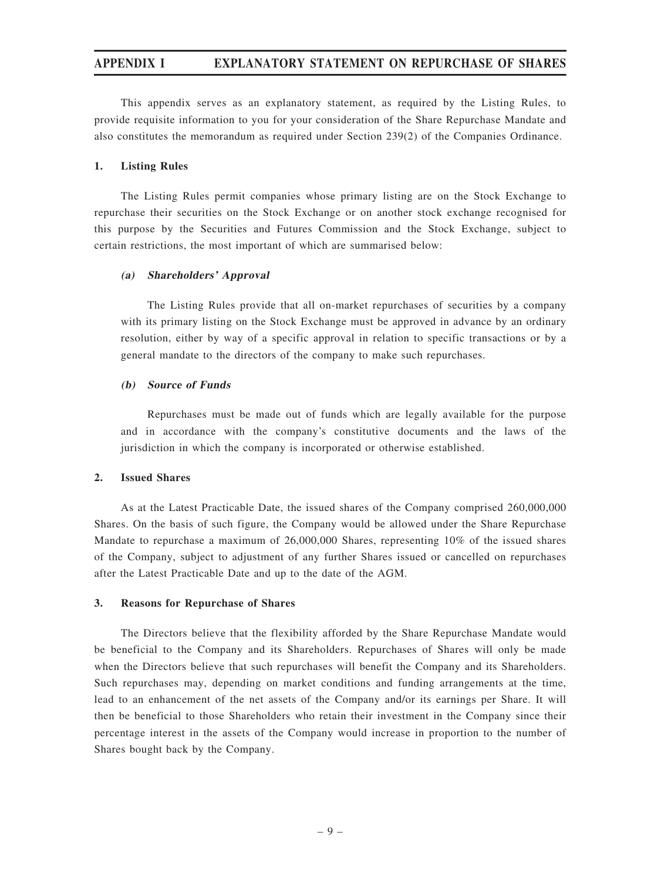This appendix serves as an explanatory statement, as required by the Listing Rules, to provide requisite information to you for your consideration of the Share Repurchase Mandate and also constitutes the memorandum as required under Section 239(2) of the Companies Ordinance.

#### 1. Listing Rules

The Listing Rules permit companies whose primary listing are on the Stock Exchange to repurchase their securities on the Stock Exchange or on another stock exchange recognised for this purpose by the Securities and Futures Commission and the Stock Exchange, subject to certain restrictions, the most important of which are summarised below:

#### (a) Shareholders' Approval

The Listing Rules provide that all on-market repurchases of securities by a company with its primary listing on the Stock Exchange must be approved in advance by an ordinary resolution, either by way of a specific approval in relation to specific transactions or by a general mandate to the directors of the company to make such repurchases.

#### (b) Source of Funds

Repurchases must be made out of funds which are legally available for the purpose and in accordance with the company's constitutive documents and the laws of the jurisdiction in which the company is incorporated or otherwise established.

#### 2. Issued Shares

As at the Latest Practicable Date, the issued shares of the Company comprised 260,000,000 Shares. On the basis of such figure, the Company would be allowed under the Share Repurchase Mandate to repurchase a maximum of 26,000,000 Shares, representing 10% of the issued shares of the Company, subject to adjustment of any further Shares issued or cancelled on repurchases after the Latest Practicable Date and up to the date of the AGM.

#### 3. Reasons for Repurchase of Shares

The Directors believe that the flexibility afforded by the Share Repurchase Mandate would be beneficial to the Company and its Shareholders. Repurchases of Shares will only be made when the Directors believe that such repurchases will benefit the Company and its Shareholders. Such repurchases may, depending on market conditions and funding arrangements at the time, lead to an enhancement of the net assets of the Company and/or its earnings per Share. It will then be beneficial to those Shareholders who retain their investment in the Company since their percentage interest in the assets of the Company would increase in proportion to the number of Shares bought back by the Company.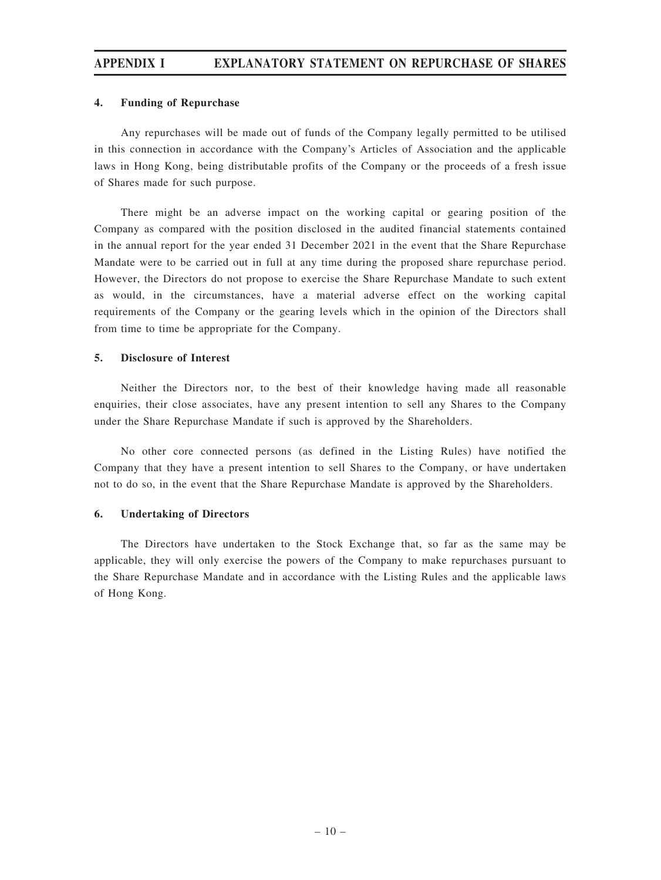#### 4. Funding of Repurchase

Any repurchases will be made out of funds of the Company legally permitted to be utilised in this connection in accordance with the Company's Articles of Association and the applicable laws in Hong Kong, being distributable profits of the Company or the proceeds of a fresh issue of Shares made for such purpose.

There might be an adverse impact on the working capital or gearing position of the Company as compared with the position disclosed in the audited financial statements contained in the annual report for the year ended 31 December 2021 in the event that the Share Repurchase Mandate were to be carried out in full at any time during the proposed share repurchase period. However, the Directors do not propose to exercise the Share Repurchase Mandate to such extent as would, in the circumstances, have a material adverse effect on the working capital requirements of the Company or the gearing levels which in the opinion of the Directors shall from time to time be appropriate for the Company.

#### 5. Disclosure of Interest

Neither the Directors nor, to the best of their knowledge having made all reasonable enquiries, their close associates, have any present intention to sell any Shares to the Company under the Share Repurchase Mandate if such is approved by the Shareholders.

No other core connected persons (as defined in the Listing Rules) have notified the Company that they have a present intention to sell Shares to the Company, or have undertaken not to do so, in the event that the Share Repurchase Mandate is approved by the Shareholders.

#### 6. Undertaking of Directors

The Directors have undertaken to the Stock Exchange that, so far as the same may be applicable, they will only exercise the powers of the Company to make repurchases pursuant to the Share Repurchase Mandate and in accordance with the Listing Rules and the applicable laws of Hong Kong.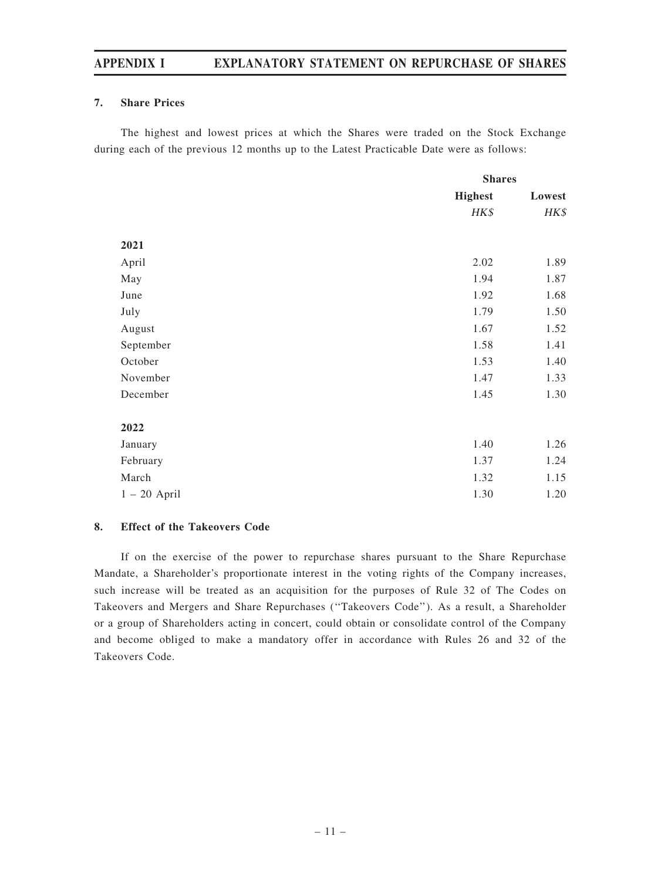#### 7. Share Prices

The highest and lowest prices at which the Shares were traded on the Stock Exchange during each of the previous 12 months up to the Latest Practicable Date were as follows:

|                | <b>Shares</b>  |        |  |
|----------------|----------------|--------|--|
|                | <b>Highest</b> | Lowest |  |
|                | HK\$           | HK\$   |  |
|                |                |        |  |
| 2021           |                |        |  |
| April          | 2.02           | 1.89   |  |
| May            | 1.94           | 1.87   |  |
| June           | 1.92           | 1.68   |  |
| July           | 1.79           | 1.50   |  |
| August         | 1.67           | 1.52   |  |
| September      | 1.58           | 1.41   |  |
| October        | 1.53           | 1.40   |  |
| November       | 1.47           | 1.33   |  |
| December       | 1.45           | 1.30   |  |
|                |                |        |  |
| 2022           |                |        |  |
| January        | 1.40           | 1.26   |  |
| February       | 1.37           | 1.24   |  |
| March          | 1.32           | 1.15   |  |
| $1 - 20$ April | 1.30           | 1.20   |  |

#### 8. Effect of the Takeovers Code

If on the exercise of the power to repurchase shares pursuant to the Share Repurchase Mandate, a Shareholder's proportionate interest in the voting rights of the Company increases, such increase will be treated as an acquisition for the purposes of Rule 32 of The Codes on Takeovers and Mergers and Share Repurchases (''Takeovers Code''). As a result, a Shareholder or a group of Shareholders acting in concert, could obtain or consolidate control of the Company and become obliged to make a mandatory offer in accordance with Rules 26 and 32 of the Takeovers Code.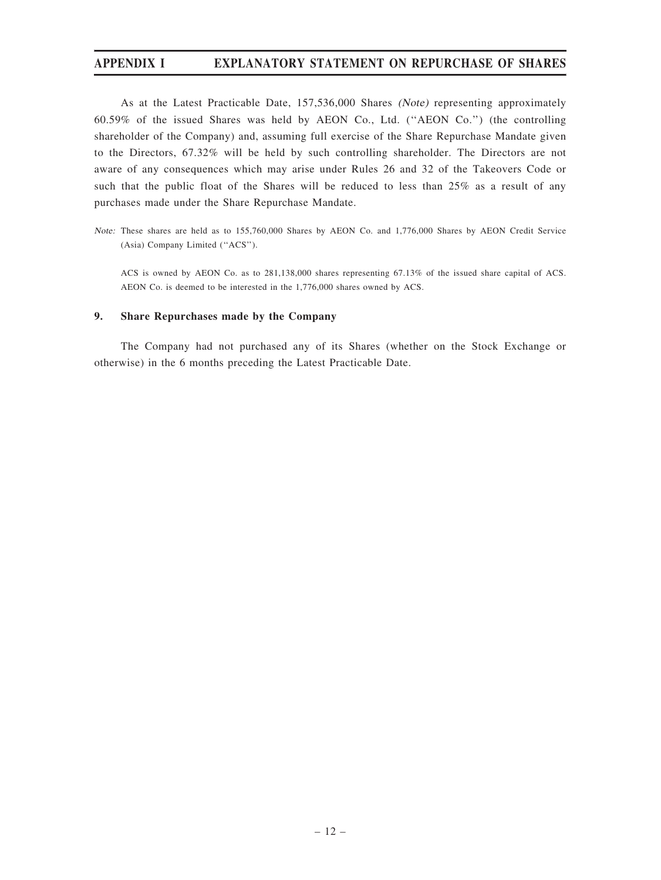As at the Latest Practicable Date, 157,536,000 Shares (Note) representing approximately 60.59% of the issued Shares was held by AEON Co., Ltd. (''AEON Co.'') (the controlling shareholder of the Company) and, assuming full exercise of the Share Repurchase Mandate given to the Directors, 67.32% will be held by such controlling shareholder. The Directors are not aware of any consequences which may arise under Rules 26 and 32 of the Takeovers Code or such that the public float of the Shares will be reduced to less than 25% as a result of any purchases made under the Share Repurchase Mandate.

Note: These shares are held as to 155,760,000 Shares by AEON Co. and 1,776,000 Shares by AEON Credit Service (Asia) Company Limited (''ACS'').

ACS is owned by AEON Co. as to 281,138,000 shares representing 67.13% of the issued share capital of ACS. AEON Co. is deemed to be interested in the 1,776,000 shares owned by ACS.

#### 9. Share Repurchases made by the Company

The Company had not purchased any of its Shares (whether on the Stock Exchange or otherwise) in the 6 months preceding the Latest Practicable Date.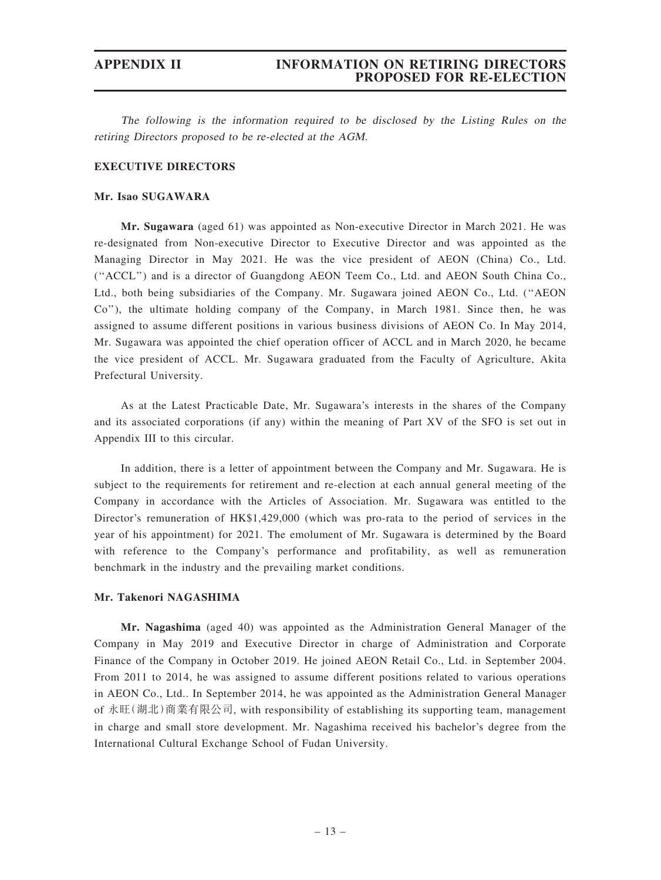#### APPENDIX II INFORMATION ON RETIRING DIRECTORS PROPOSED FOR RE-ELECTION

The following is the information required to be disclosed by the Listing Rules on the retiring Directors proposed to be re-elected at the AGM.

#### EXECUTIVE DIRECTORS

#### Mr. Isao SUGAWARA

Mr. Sugawara (aged 61) was appointed as Non-executive Director in March 2021. He was re-designated from Non-executive Director to Executive Director and was appointed as the Managing Director in May 2021. He was the vice president of AEON (China) Co., Ltd. (''ACCL'') and is a director of Guangdong AEON Teem Co., Ltd. and AEON South China Co., Ltd., both being subsidiaries of the Company. Mr. Sugawara joined AEON Co., Ltd. (''AEON Co''), the ultimate holding company of the Company, in March 1981. Since then, he was assigned to assume different positions in various business divisions of AEON Co. In May 2014, Mr. Sugawara was appointed the chief operation officer of ACCL and in March 2020, he became the vice president of ACCL. Mr. Sugawara graduated from the Faculty of Agriculture, Akita Prefectural University.

As at the Latest Practicable Date, Mr. Sugawara's interests in the shares of the Company and its associated corporations (if any) within the meaning of Part XV of the SFO is set out in Appendix III to this circular.

In addition, there is a letter of appointment between the Company and Mr. Sugawara. He is subject to the requirements for retirement and re-election at each annual general meeting of the Company in accordance with the Articles of Association. Mr. Sugawara was entitled to the Director's remuneration of HK\$1,429,000 (which was pro-rata to the period of services in the year of his appointment) for 2021. The emolument of Mr. Sugawara is determined by the Board with reference to the Company's performance and profitability, as well as remuneration benchmark in the industry and the prevailing market conditions.

#### Mr. Takenori NAGASHIMA

Mr. Nagashima (aged 40) was appointed as the Administration General Manager of the Company in May 2019 and Executive Director in charge of Administration and Corporate Finance of the Company in October 2019. He joined AEON Retail Co., Ltd. in September 2004. From 2011 to 2014, he was assigned to assume different positions related to various operations in AEON Co., Ltd.. In September 2014, he was appointed as the Administration General Manager of 永旺(湖北)商業有限公司, with responsibility of establishing its supporting team, management in charge and small store development. Mr. Nagashima received his bachelor's degree from the International Cultural Exchange School of Fudan University.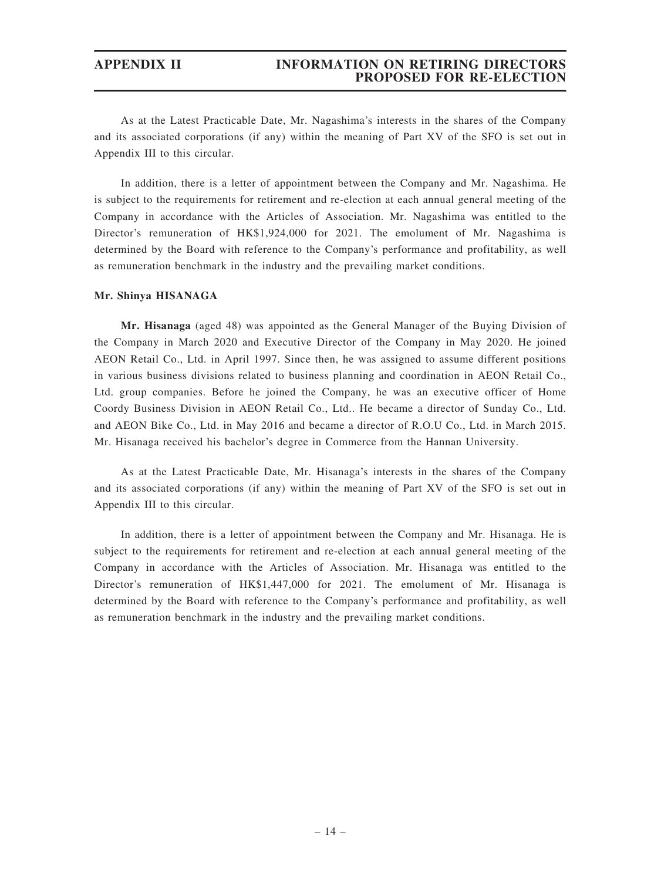#### APPENDIX II INFORMATION ON RETIRING DIRECTORS PROPOSED FOR RE-ELECTION

As at the Latest Practicable Date, Mr. Nagashima's interests in the shares of the Company and its associated corporations (if any) within the meaning of Part XV of the SFO is set out in Appendix III to this circular.

In addition, there is a letter of appointment between the Company and Mr. Nagashima. He is subject to the requirements for retirement and re-election at each annual general meeting of the Company in accordance with the Articles of Association. Mr. Nagashima was entitled to the Director's remuneration of HK\$1,924,000 for 2021. The emolument of Mr. Nagashima is determined by the Board with reference to the Company's performance and profitability, as well as remuneration benchmark in the industry and the prevailing market conditions.

#### Mr. Shinya HISANAGA

Mr. Hisanaga (aged 48) was appointed as the General Manager of the Buying Division of the Company in March 2020 and Executive Director of the Company in May 2020. He joined AEON Retail Co., Ltd. in April 1997. Since then, he was assigned to assume different positions in various business divisions related to business planning and coordination in AEON Retail Co., Ltd. group companies. Before he joined the Company, he was an executive officer of Home Coordy Business Division in AEON Retail Co., Ltd.. He became a director of Sunday Co., Ltd. and AEON Bike Co., Ltd. in May 2016 and became a director of R.O.U Co., Ltd. in March 2015. Mr. Hisanaga received his bachelor's degree in Commerce from the Hannan University.

As at the Latest Practicable Date, Mr. Hisanaga's interests in the shares of the Company and its associated corporations (if any) within the meaning of Part XV of the SFO is set out in Appendix III to this circular.

In addition, there is a letter of appointment between the Company and Mr. Hisanaga. He is subject to the requirements for retirement and re-election at each annual general meeting of the Company in accordance with the Articles of Association. Mr. Hisanaga was entitled to the Director's remuneration of HK\$1,447,000 for 2021. The emolument of Mr. Hisanaga is determined by the Board with reference to the Company's performance and profitability, as well as remuneration benchmark in the industry and the prevailing market conditions.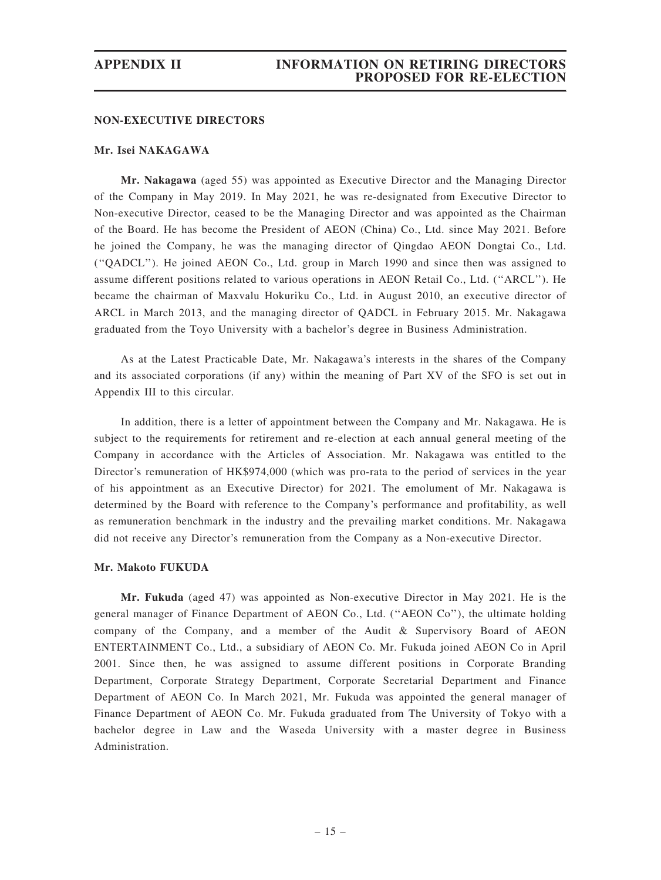#### NON-EXECUTIVE DIRECTORS

#### Mr. Isei NAKAGAWA

Mr. Nakagawa (aged 55) was appointed as Executive Director and the Managing Director of the Company in May 2019. In May 2021, he was re-designated from Executive Director to Non-executive Director, ceased to be the Managing Director and was appointed as the Chairman of the Board. He has become the President of AEON (China) Co., Ltd. since May 2021. Before he joined the Company, he was the managing director of Qingdao AEON Dongtai Co., Ltd. (''QADCL''). He joined AEON Co., Ltd. group in March 1990 and since then was assigned to assume different positions related to various operations in AEON Retail Co., Ltd. (''ARCL''). He became the chairman of Maxvalu Hokuriku Co., Ltd. in August 2010, an executive director of ARCL in March 2013, and the managing director of QADCL in February 2015. Mr. Nakagawa graduated from the Toyo University with a bachelor's degree in Business Administration.

As at the Latest Practicable Date, Mr. Nakagawa's interests in the shares of the Company and its associated corporations (if any) within the meaning of Part XV of the SFO is set out in Appendix III to this circular.

In addition, there is a letter of appointment between the Company and Mr. Nakagawa. He is subject to the requirements for retirement and re-election at each annual general meeting of the Company in accordance with the Articles of Association. Mr. Nakagawa was entitled to the Director's remuneration of HK\$974,000 (which was pro-rata to the period of services in the year of his appointment as an Executive Director) for 2021. The emolument of Mr. Nakagawa is determined by the Board with reference to the Company's performance and profitability, as well as remuneration benchmark in the industry and the prevailing market conditions. Mr. Nakagawa did not receive any Director's remuneration from the Company as a Non-executive Director.

#### Mr. Makoto FUKUDA

Mr. Fukuda (aged 47) was appointed as Non-executive Director in May 2021. He is the general manager of Finance Department of AEON Co., Ltd. (''AEON Co''), the ultimate holding company of the Company, and a member of the Audit & Supervisory Board of AEON ENTERTAINMENT Co., Ltd., a subsidiary of AEON Co. Mr. Fukuda joined AEON Co in April 2001. Since then, he was assigned to assume different positions in Corporate Branding Department, Corporate Strategy Department, Corporate Secretarial Department and Finance Department of AEON Co. In March 2021, Mr. Fukuda was appointed the general manager of Finance Department of AEON Co. Mr. Fukuda graduated from The University of Tokyo with a bachelor degree in Law and the Waseda University with a master degree in Business Administration.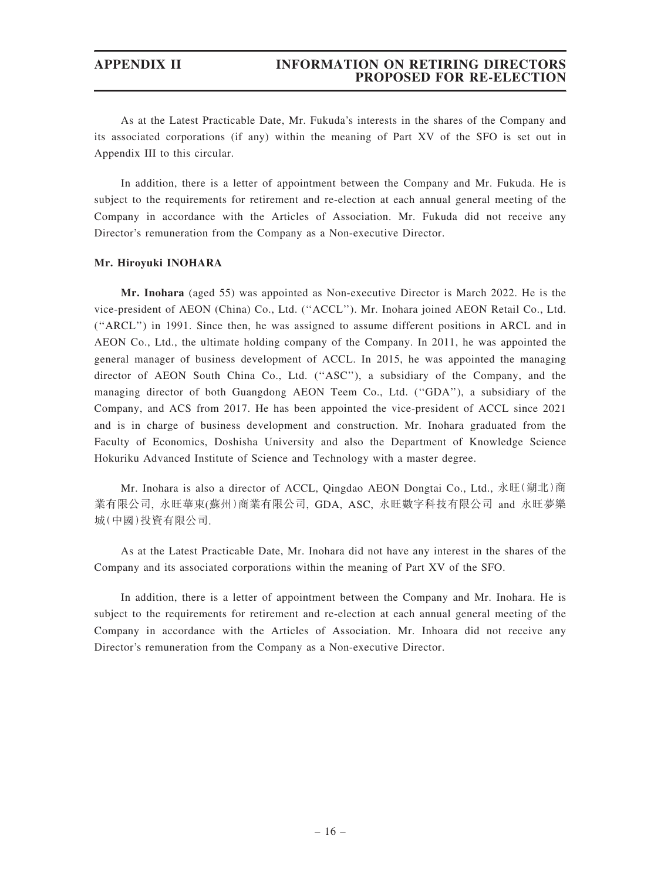As at the Latest Practicable Date, Mr. Fukuda's interests in the shares of the Company and its associated corporations (if any) within the meaning of Part XV of the SFO is set out in Appendix III to this circular.

In addition, there is a letter of appointment between the Company and Mr. Fukuda. He is subject to the requirements for retirement and re-election at each annual general meeting of the Company in accordance with the Articles of Association. Mr. Fukuda did not receive any Director's remuneration from the Company as a Non-executive Director.

#### Mr. Hiroyuki INOHARA

Mr. Inohara (aged 55) was appointed as Non-executive Director is March 2022. He is the vice-president of AEON (China) Co., Ltd. (''ACCL''). Mr. Inohara joined AEON Retail Co., Ltd. (''ARCL'') in 1991. Since then, he was assigned to assume different positions in ARCL and in AEON Co., Ltd., the ultimate holding company of the Company. In 2011, he was appointed the general manager of business development of ACCL. In 2015, he was appointed the managing director of AEON South China Co., Ltd. (''ASC''), a subsidiary of the Company, and the managing director of both Guangdong AEON Teem Co., Ltd. (''GDA''), a subsidiary of the Company, and ACS from 2017. He has been appointed the vice-president of ACCL since 2021 and is in charge of business development and construction. Mr. Inohara graduated from the Faculty of Economics, Doshisha University and also the Department of Knowledge Science Hokuriku Advanced Institute of Science and Technology with a master degree.

Mr. Inohara is also a director of ACCL, Qingdao AEON Dongtai Co., Ltd., 永旺(湖北)商 業有限公司, 永旺華東(蘇州)商業有限公司, GDA, ASC, 永旺數字科技有限公司 and 永旺夢樂 城(中國)投資有限公司.

As at the Latest Practicable Date, Mr. Inohara did not have any interest in the shares of the Company and its associated corporations within the meaning of Part XV of the SFO.

In addition, there is a letter of appointment between the Company and Mr. Inohara. He is subject to the requirements for retirement and re-election at each annual general meeting of the Company in accordance with the Articles of Association. Mr. Inhoara did not receive any Director's remuneration from the Company as a Non-executive Director.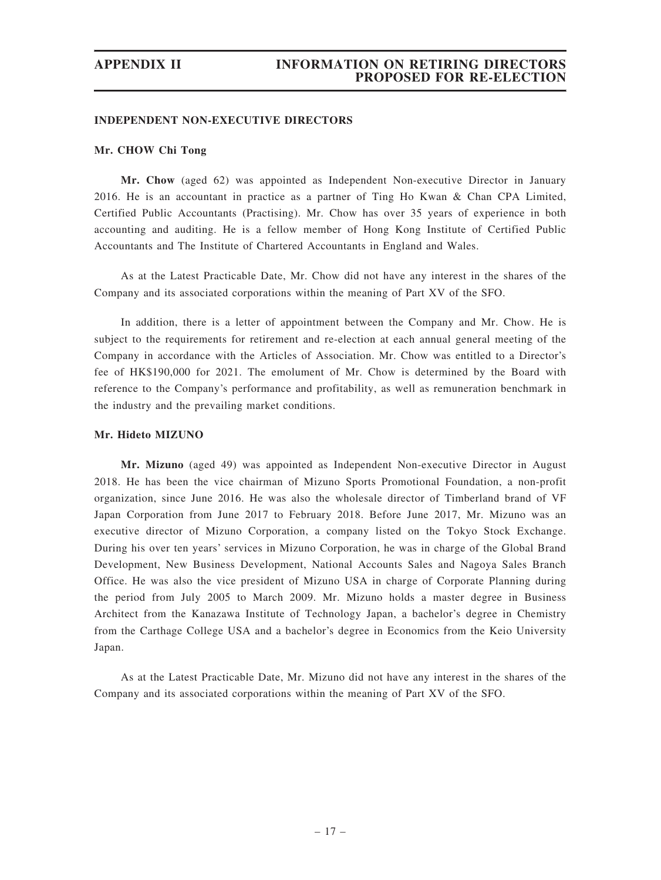#### INDEPENDENT NON-EXECUTIVE DIRECTORS

#### Mr. CHOW Chi Tong

Mr. Chow (aged 62) was appointed as Independent Non-executive Director in January 2016. He is an accountant in practice as a partner of Ting Ho Kwan & Chan CPA Limited, Certified Public Accountants (Practising). Mr. Chow has over 35 years of experience in both accounting and auditing. He is a fellow member of Hong Kong Institute of Certified Public Accountants and The Institute of Chartered Accountants in England and Wales.

As at the Latest Practicable Date, Mr. Chow did not have any interest in the shares of the Company and its associated corporations within the meaning of Part XV of the SFO.

In addition, there is a letter of appointment between the Company and Mr. Chow. He is subject to the requirements for retirement and re-election at each annual general meeting of the Company in accordance with the Articles of Association. Mr. Chow was entitled to a Director's fee of HK\$190,000 for 2021. The emolument of Mr. Chow is determined by the Board with reference to the Company's performance and profitability, as well as remuneration benchmark in the industry and the prevailing market conditions.

#### Mr. Hideto MIZUNO

Mr. Mizuno (aged 49) was appointed as Independent Non-executive Director in August 2018. He has been the vice chairman of Mizuno Sports Promotional Foundation, a non-profit organization, since June 2016. He was also the wholesale director of Timberland brand of VF Japan Corporation from June 2017 to February 2018. Before June 2017, Mr. Mizuno was an executive director of Mizuno Corporation, a company listed on the Tokyo Stock Exchange. During his over ten years' services in Mizuno Corporation, he was in charge of the Global Brand Development, New Business Development, National Accounts Sales and Nagoya Sales Branch Office. He was also the vice president of Mizuno USA in charge of Corporate Planning during the period from July 2005 to March 2009. Mr. Mizuno holds a master degree in Business Architect from the Kanazawa Institute of Technology Japan, a bachelor's degree in Chemistry from the Carthage College USA and a bachelor's degree in Economics from the Keio University Japan.

As at the Latest Practicable Date, Mr. Mizuno did not have any interest in the shares of the Company and its associated corporations within the meaning of Part XV of the SFO.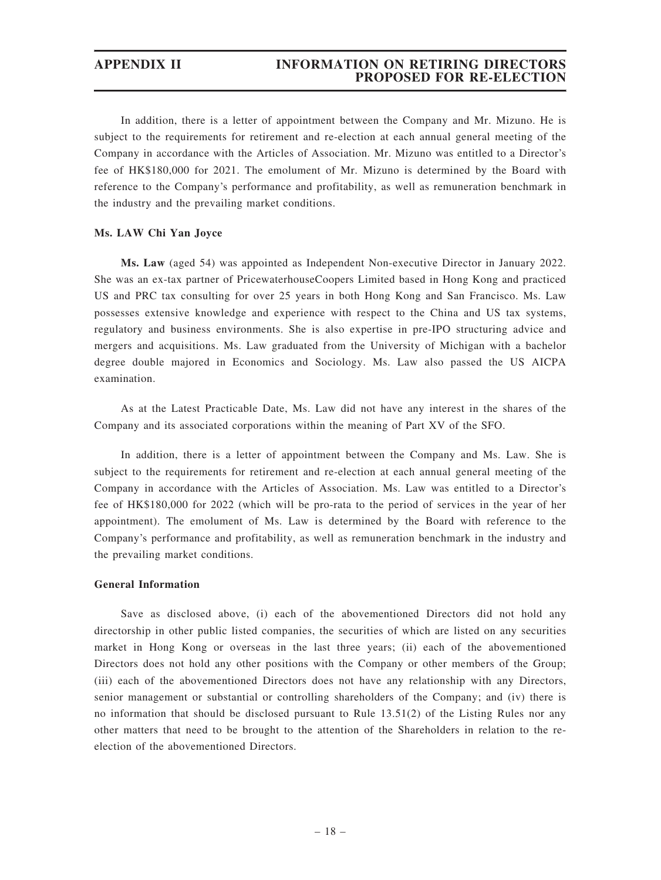#### APPENDIX II INFORMATION ON RETIRING DIRECTORS PROPOSED FOR RE-ELECTION

In addition, there is a letter of appointment between the Company and Mr. Mizuno. He is subject to the requirements for retirement and re-election at each annual general meeting of the Company in accordance with the Articles of Association. Mr. Mizuno was entitled to a Director's fee of HK\$180,000 for 2021. The emolument of Mr. Mizuno is determined by the Board with reference to the Company's performance and profitability, as well as remuneration benchmark in the industry and the prevailing market conditions.

#### Ms. LAW Chi Yan Joyce

Ms. Law (aged 54) was appointed as Independent Non-executive Director in January 2022. She was an ex-tax partner of PricewaterhouseCoopers Limited based in Hong Kong and practiced US and PRC tax consulting for over 25 years in both Hong Kong and San Francisco. Ms. Law possesses extensive knowledge and experience with respect to the China and US tax systems, regulatory and business environments. She is also expertise in pre-IPO structuring advice and mergers and acquisitions. Ms. Law graduated from the University of Michigan with a bachelor degree double majored in Economics and Sociology. Ms. Law also passed the US AICPA examination.

As at the Latest Practicable Date, Ms. Law did not have any interest in the shares of the Company and its associated corporations within the meaning of Part XV of the SFO.

In addition, there is a letter of appointment between the Company and Ms. Law. She is subject to the requirements for retirement and re-election at each annual general meeting of the Company in accordance with the Articles of Association. Ms. Law was entitled to a Director's fee of HK\$180,000 for 2022 (which will be pro-rata to the period of services in the year of her appointment). The emolument of Ms. Law is determined by the Board with reference to the Company's performance and profitability, as well as remuneration benchmark in the industry and the prevailing market conditions.

#### General Information

Save as disclosed above, (i) each of the abovementioned Directors did not hold any directorship in other public listed companies, the securities of which are listed on any securities market in Hong Kong or overseas in the last three years; (ii) each of the abovementioned Directors does not hold any other positions with the Company or other members of the Group; (iii) each of the abovementioned Directors does not have any relationship with any Directors, senior management or substantial or controlling shareholders of the Company; and (iv) there is no information that should be disclosed pursuant to Rule 13.51(2) of the Listing Rules nor any other matters that need to be brought to the attention of the Shareholders in relation to the reelection of the abovementioned Directors.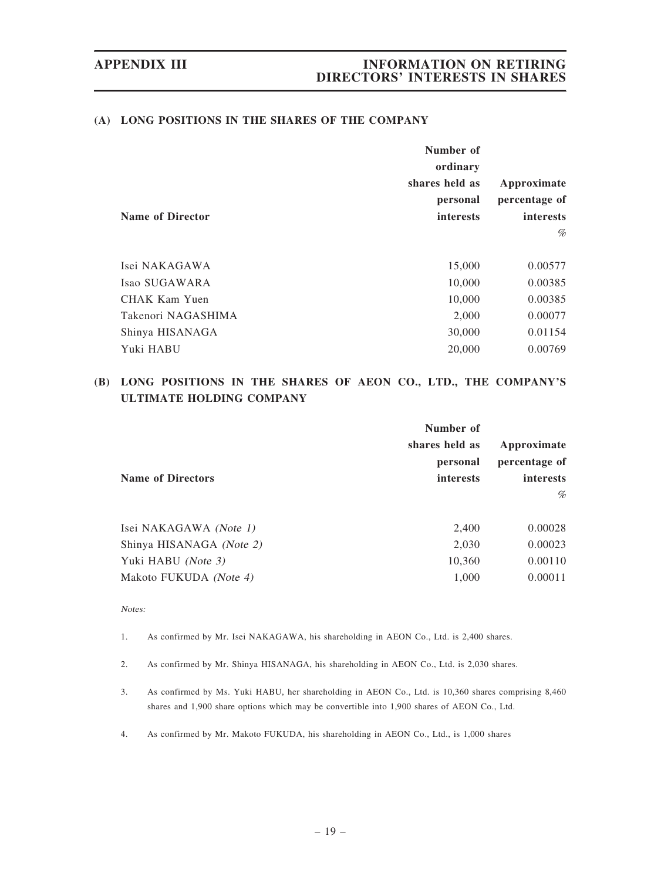#### (A) LONG POSITIONS IN THE SHARES OF THE COMPANY

|                         | Number of      |                  |
|-------------------------|----------------|------------------|
|                         | ordinary       |                  |
|                         | shares held as | Approximate      |
|                         | personal       | percentage of    |
| <b>Name of Director</b> | interests      | <i>interests</i> |
|                         |                | %                |
|                         |                |                  |
| Isei NAKAGAWA           | 15,000         | 0.00577          |
| Isao SUGAWARA           | 10,000         | 0.00385          |
| <b>CHAK Kam Yuen</b>    | 10,000         | 0.00385          |
| Takenori NAGASHIMA      | 2,000          | 0.00077          |
| Shinya HISANAGA         | 30,000         | 0.01154          |
| Yuki HABU               | 20,000         | 0.00769          |

# (B) LONG POSITIONS IN THE SHARES OF AEON CO., LTD., THE COMPANY'S ULTIMATE HOLDING COMPANY

|                          | Number of      |                  |  |  |  |  |
|--------------------------|----------------|------------------|--|--|--|--|
|                          | shares held as | Approximate      |  |  |  |  |
|                          | personal       | percentage of    |  |  |  |  |
| <b>Name of Directors</b> | interests      | <i>interests</i> |  |  |  |  |
|                          |                | $\%$             |  |  |  |  |
|                          |                |                  |  |  |  |  |
| Isei NAKAGAWA (Note 1)   | 2,400          | 0.00028          |  |  |  |  |
| Shinya HISANAGA (Note 2) | 2,030          | 0.00023          |  |  |  |  |
| Yuki HABU (Note 3)       | 10,360         | 0.00110          |  |  |  |  |
| Makoto FUKUDA (Note 4)   | 1,000          | 0.00011          |  |  |  |  |
|                          |                |                  |  |  |  |  |

#### Notes:

1. As confirmed by Mr. Isei NAKAGAWA, his shareholding in AEON Co., Ltd. is 2,400 shares.

2. As confirmed by Mr. Shinya HISANAGA, his shareholding in AEON Co., Ltd. is 2,030 shares.

- 3. As confirmed by Ms. Yuki HABU, her shareholding in AEON Co., Ltd. is 10,360 shares comprising 8,460 shares and 1,900 share options which may be convertible into 1,900 shares of AEON Co., Ltd.
- 4. As confirmed by Mr. Makoto FUKUDA, his shareholding in AEON Co., Ltd., is 1,000 shares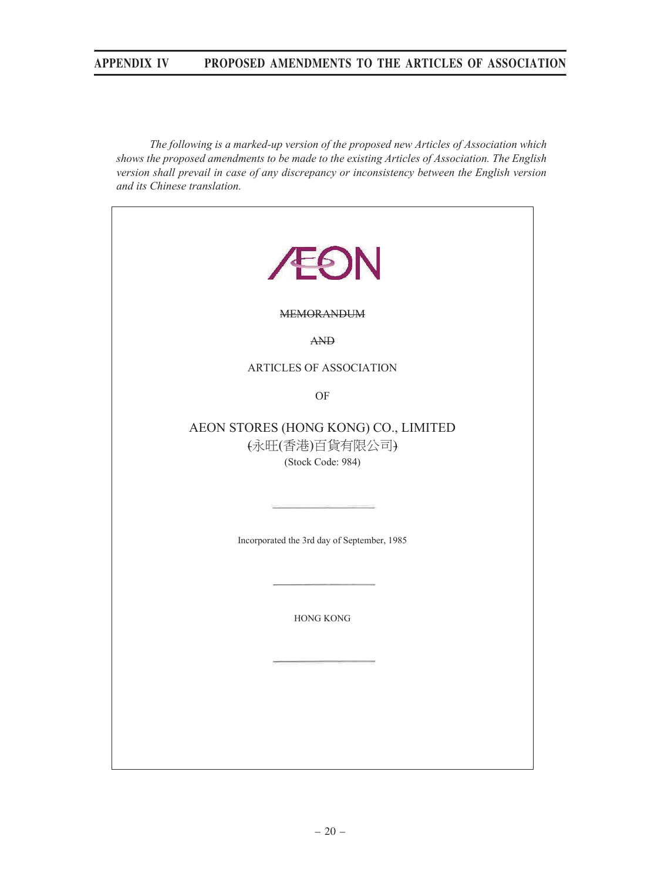*The following is a marked-up version of the proposed new Articles of Association which shows the proposed amendments to be made to the existing Articles of Association. The English version shall prevail in case of any discrepancy or inconsistency between the English version and its Chinese translation.* 

| <b>EON</b>                                                                               |  |  |  |  |  |  |
|------------------------------------------------------------------------------------------|--|--|--|--|--|--|
| <b>MEMORANDUM</b>                                                                        |  |  |  |  |  |  |
| AND                                                                                      |  |  |  |  |  |  |
| ARTICLES OF ASSOCIATION                                                                  |  |  |  |  |  |  |
| OF                                                                                       |  |  |  |  |  |  |
| AEON STORES (HONG KONG) CO., LIMITED<br>(永旺(香港)百貨有限公司)<br>(Stock Code: 984)              |  |  |  |  |  |  |
| the control of the control of the control<br>Incorporated the 3rd day of September, 1985 |  |  |  |  |  |  |
| <b>HONG KONG</b>                                                                         |  |  |  |  |  |  |
|                                                                                          |  |  |  |  |  |  |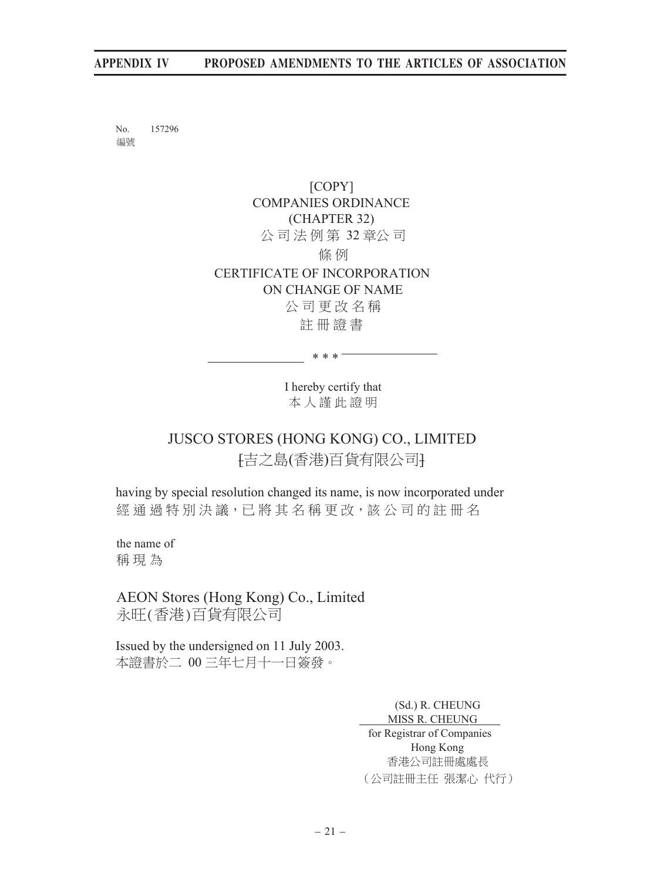No. 157296 编號

> [COPY] COMPANIES ORDINANCE (CHAPTER 32) 公司法例第 32 章公司 條 例 CERTIFICATE OF INCORPORATION ON CHANGE OF NAME 公司更改名稱 註冊證書

> > I hereby certify that 本人謹此證明

\* \* \*

# JUSCO STORES (HONG KONG) CO., LIMITED [吉之島(香港)百貨有限公司

having by special resolution changed its name, is now incorporated under 經通過特別決議,已將其名稱更改,該公司的註冊名

the name of 稱 現為

AEON Stores (Hong Kong) Co., Limited 永旺(香港)百貨有限公司

Issued by the undersigned on 11 July 2003. 本證書於二 00 三年七月十一日簽發。

> (Sd.) R. CHEUNG MISS R. CHEUNG for Registrar of Companies Hong Kong 香港公司註冊處處長 (公司註冊主任 張潔心代行)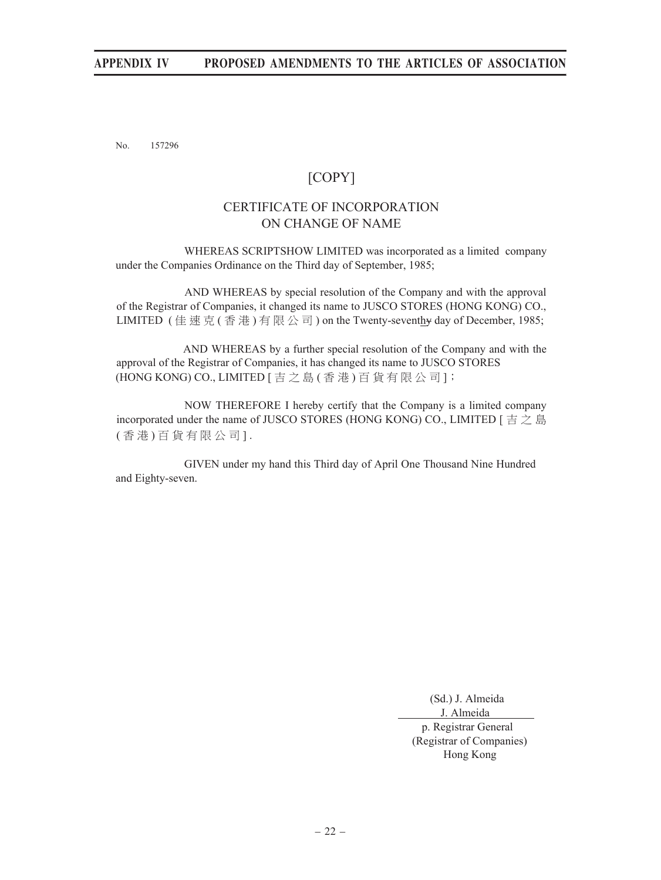No. 157296

# [COPY]

# CERTIFICATE OF INCORPORATION ON CHANGE OF NAME

 WHEREAS SCRIPTSHOW LIMITED was incorporated as a limited company under the Companies Ordinance on the Third day of September, 1985;

AND WHEREAS by special resolution of the Company and with the approval of the Registrar of Companies, it changed its name to JUSCO STORES (HONG KONG) CO., LIMITED (佳速克(香港)有限公司) on the Twenty-seventhy day of December, 1985;

AND WHEREAS by a further special resolution of the Company and with the approval of the Registrar of Companies, it has changed its name to JUSCO STORES (HONG KONG) CO., LIMITED [ 吉 之 島 ( 香 港 ) 百 貨 有 限 公 司 ];

NOW THEREFORE I hereby certify that the Company is a limited company incorporated under the name of JUSCO STORES (HONG KONG) CO., LIMITED  $\left[\right. \dot{\equiv} \right. \geq \dot{\equiv}$ (香港)百貨有限公司].

 GIVEN under my hand this Third day of April One Thousand Nine Hundred and Eighty-seven.

(Sd.) J. Almeida

 J. Almeida p. Registrar General (Registrar of Companies) Hong Kong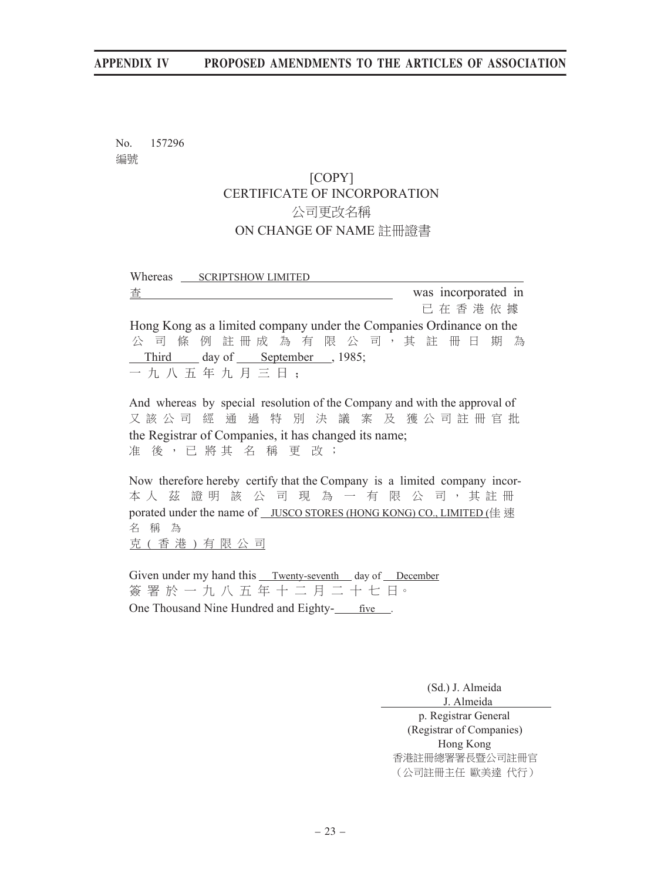No. 157296 编號

# [COPY] CERTIFICATE OF INCORPORATION 公司更改名稱 ON CHANGE OF NAME 註冊證書

| Whereas ___ SCRIPTSHOW LIMITED                                            |  |  |  |  |  |  |                     |  |
|---------------------------------------------------------------------------|--|--|--|--|--|--|---------------------|--|
| 査                                                                         |  |  |  |  |  |  | was incorporated in |  |
|                                                                           |  |  |  |  |  |  | 已在香港依據              |  |
| Hong Kong as a limited company under the Companies Ordinance on the       |  |  |  |  |  |  |                     |  |
| 公司條例註冊成為有限公司,其註冊日期為                                                       |  |  |  |  |  |  |                     |  |
| Third day of September , 1985;                                            |  |  |  |  |  |  |                     |  |
| 一九八五年九月三日;                                                                |  |  |  |  |  |  |                     |  |
|                                                                           |  |  |  |  |  |  |                     |  |
| And whereas by special resolution of the Company and with the approval of |  |  |  |  |  |  |                     |  |

又 該 公 司 經 通 過 特 別 決 議 案 及 獲 公 司 註 冊 官 批 the Registrar of Companies, it has changed its name; 准 後,已將其名稱更改;

Now therefore hereby certify that the Company is a limited company incor-本人茲證明該公司現為一有限公司,其註冊 porated under the name of JUSCO STORES (HONG KONG) CO., LIMITED (佳速 名 稱 為 克 (香港)有限公司

Given under my hand this Twenty-seventh day of December 簽署於一九八五年十二月二十七日。 One Thousand Nine Hundred and Eighty- five.

(Sd.) J. Almeida

J. Almeida

p. Registrar General (Registrar of Companies) Hong Kong 香港註冊總署署長暨公司註冊官 (公司註冊主任 歐美達代行)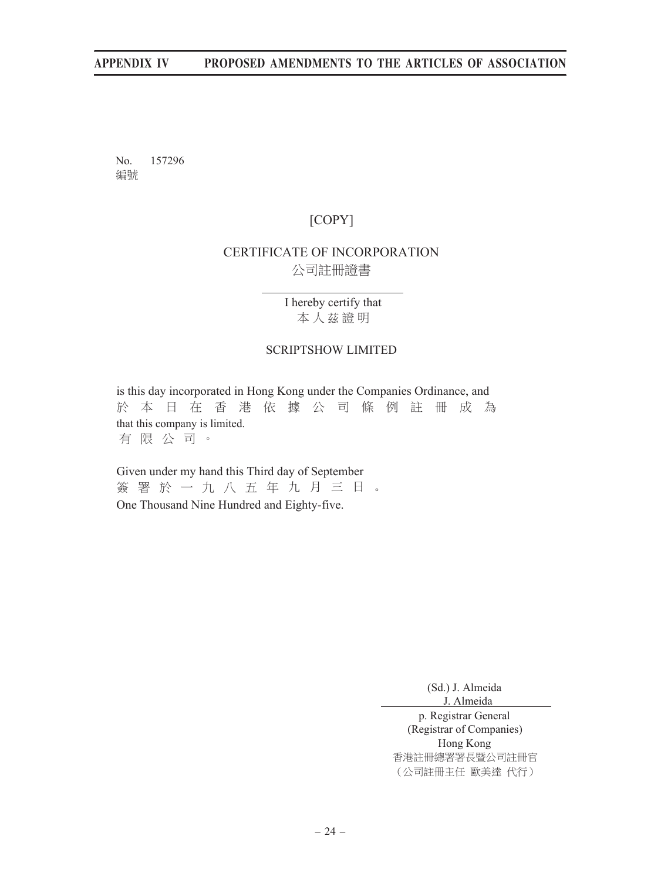No. 157296 编號

# [COPY]

# CERTIFICATE OF INCORPORATION 公司註冊證書

I hereby certify that 本人茲證明

#### SCRIPTSHOW LIMITED

is this day incorporated in Hong Kong under the Companies Ordinance, and 於本日在香港依據公司條例註冊成為 that this company is limited. 有限公司。

Given under my hand this Third day of September 簽署於一九八五年九月三日。 One Thousand Nine Hundred and Eighty-five.

(Sd.) J. Almeida

J. Almeida

p. Registrar General (Registrar of Companies) Hong Kong 香港註冊總署署長暨公司註冊官 (公司註冊主任 歐美達代行)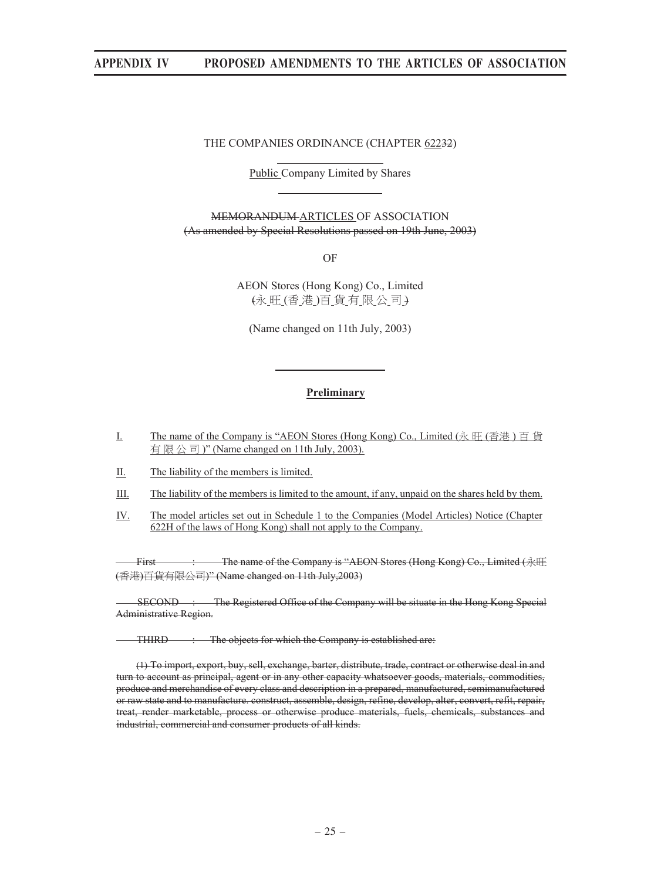#### THE COMPANIES ORDINANCE (CHAPTER 62232)

l,

i,

l,

Public Company Limited by Shares

MEMORANDUM ARTICLES OF ASSOCIATION (As amended by Special Resolutions passed on 19th June, 2003)

OF

AEON Stores (Hong Kong) Co., Limited (永旺(香港)百貨有限公司)

(Name changed on 11th July, 2003)

#### **Preliminary**

I. The name of the Company is "AEON Stores (Hong Kong) Co., Limited  $(\mathcal{R} \boxplus (\mathcal{B} \ddot{\ddot{\mathcal{R}}}) \boxdot \mathcal{C})$ 有限公司)" (Name changed on 11th July, 2003).

II. The liability of the members is limited.

- III. The liability of the members is limited to the amount, if any, unpaid on the shares held by them.
- IV. The model articles set out in Schedule 1 to the Companies (Model Articles) Notice (Chapter 622H of the laws of Hong Kong) shall not apply to the Company.

First : The name of the Company is "AEON Stores (Hong Kong) Co., Limited (永旺 (香港)百貨有限公司)" (Name changed on 11th July,2003)

SECOND : The Registered Office of the Company will be situate in the Hong Kong Special Administrative Region.

**THIRD** : The objects for which the Company is established are:

(1) To import, export, buy, sell, exchange, barter, distribute, trade, contract or otherwise deal in and turn to account as principal, agent or in any other capacity whatsoever goods, materials, commodities, produce and merchandise of every class and description in a prepared, manufactured, semimanufactured or raw state and to manufacture. construct, assemble, design, refine, develop, alter, convert, refit, repair, treat, render marketable, process or otherwise produce materials, fuels, chemicals, substances and industrial, commercial and consumer products of all kinds.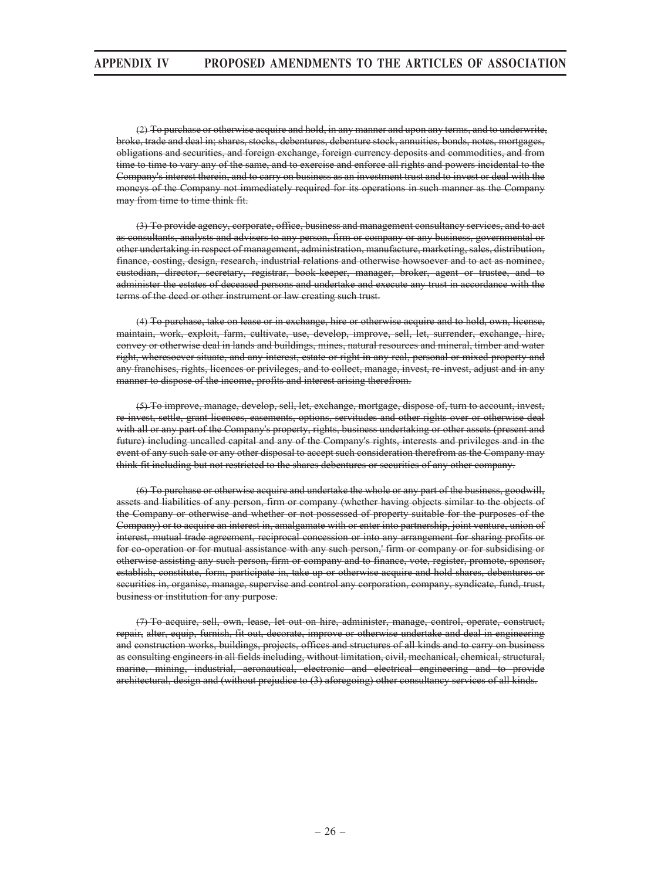(2) To purchase or otherwise acquire and hold, in any manner and upon any terms, and to underwrite, broke, trade and deal in; shares, stocks, debentures, debenture stock, annuities, bonds, notes, mortgages, obligations and securities, and foreign exchange, foreign currency deposits and commodities, and from time to time to vary any of the same, and to exercise and enforce all rights and powers incidental to the Company's interest therein, and to carry on business as an investment trust and to invest or deal with the moneys of the Company not immediately required for its operations in such manner as the Company may from time to time think fit.

(3) To provide agency, corporate, office, business and management consultancy services, and to act as consultants, analysts and advisers to any person, firm or company or any business, governmental or other undertaking in respect of management, administration, manufacture, marketing, sales, distribution, finance, costing, design, research, industrial relations and otherwise howsoever and to act as nominee, custodian, director, secretary, registrar, book-keeper, manager, broker, agent or trustee, and to administer the estates of deceased persons and undertake and execute any trust in accordance with the terms of the deed or other instrument or law creating such trust.

(4) To purchase, take on lease or in exchange, hire or otherwise acquire and to hold, own, license, maintain, work, exploit, farm, cultivate, use, develop, improve, sell, let, surrender, exchange, hire, convey or otherwise deal in lands and buildings, mines, natural resources and mineral, timber and water right, wheresoever situate, and any interest, estate or right in any real, personal or mixed property and any franchises, rights, licences or privileges, and to collect, manage, invest, re-invest, adjust and in any manner to dispose of the income, profits and interest arising therefrom.

(5) To improve, manage, develop, sell, let, exchange, mortgage, dispose of, turn to account, invest, re-invest, settle, grant licences, easements, options, servitudes and other rights over or otherwise deal with all or any part of the Company's property, rights, business undertaking or other assets (present and future) including uncalled capital and any of the Company's rights, interests and privileges and in the event of any such sale or any other disposal to accept such consideration therefrom as the Company may think fit including but not restricted to the shares debentures or securities of any other company.

(6) To purchase or otherwise acquire and undertake the whole or any part of the business, goodwill, assets and liabilities of any person, firm or company (whether having objects similar to the objects of the Company or otherwise and whether or not possessed of property suitable for the purposes of the Company) or to acquire an interest in, amalgamate with or enter into partnership, joint venture, union of interest, mutual trade agreement, reciprocal concession or into any arrangement for sharing profits or for co-operation or for mutual assistance with any such person,' firm or company or for subsidising or otherwise assisting any such person, firm or company and to finance, vote, register, promote, sponsor, establish, constitute, form, participate in, take up or otherwise acquire and hold shares, debentures or securities in, organise, manage, supervise and control any corporation, company, syndicate, fund, trust, business or institution for any purpose.

(7) To acquire, sell, own, lease, let out on hire, administer, manage, control, operate, construct, repair, alter, equip, furnish, fit out, decorate, improve or otherwise undertake and deal in engineering and construction works, buildings, projects, offices and structures of all kinds and to carry on business as consulting engineers in all fields including, without limitation, civil, mechanical, chemical, structural, marine, mining, industrial, aeronautical, electronic and electrical engineering and to provide architectural, design and (without prejudice to (3) aforegoing) other consultancy services of all kinds.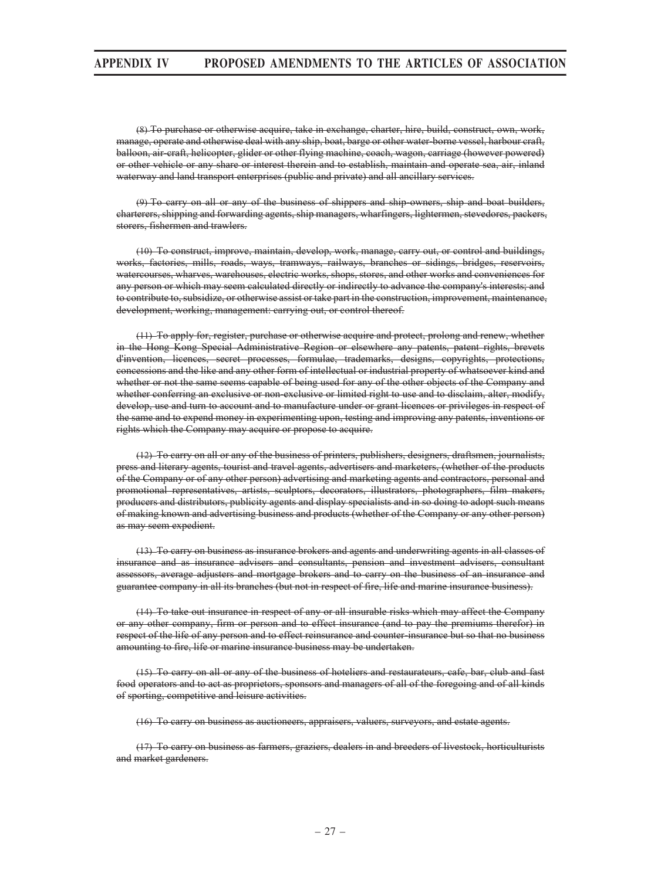(8) To purchase or otherwise acquire, take in exchange, charter, hire, build, construct, own, work, manage, operate and otherwise deal with any ship, boat, barge or other water-borne vessel, harbour craft, balloon, air-craft, helicopter, glider or other flying machine, coach, wagon, carriage (however powered) or other vehicle or any share or interest therein and to establish, maintain and operate sea, air, inland waterway and land transport enterprises (public and private) and all ancillary services.

(9) To carry on all or any of the business of shippers and ship-owners, ship and boat builders, charterers, shipping and forwarding agents, ship managers, wharfingers, lightermen, stevedores, packers, storers, fishermen and trawlers.

(10) To construct, improve, maintain, develop, work, manage, carry out, or control and buildings, works, factories, mills, roads, ways, tramways, railways, branches or sidings, bridges, reservoirs, watercourses, wharves, warehouses, electric works, shops, stores, and other works and conveniences for any person or which may seem calculated directly or indirectly to advance the company's interests; and to contribute to, subsidize, or otherwise assist or take part in the construction, improvement, maintenance, development, working, management: carrying out, or control thereof.

(11) To apply for, register, purchase or otherwise acquire and protect, prolong and renew, whether in the Hong Kong Special Administrative Region or elsewhere any patents, patent rights, brevets d'invention, licences, secret processes, formulae, trademarks, designs, copyrights, protections, concessions and the like and any other form of intellectual or industrial property of whatsoever kind and whether or not the same seems capable of being used for any of the other objects of the Company and whether conferring an exclusive or non-exclusive or limited right to use and to disclaim, alter, modify, develop, use and turn to account and to manufacture under or grant licences or privileges in respect of the same and to expend money in experimenting upon, testing and improving any patents, inventions or rights which the Company may acquire or propose to acquire.

(12) To carry on all or any of the business of printers, publishers, designers, draftsmen, journalists, press and literary agents, tourist and travel agents, advertisers and marketers, (whether of the products of the Company or of any other person) advertising and marketing agents and contractors, personal and promotional representatives, artists, sculptors, decorators, illustrators, photographers, film makers, producers and distributors, publicity agents and display specialists and in so doing to adopt such means of making known and advertising business and products (whether of the Company or any other person) as may seem expedient.

(13) To carry on business as insurance brokers and agents and underwriting agents in all classes of insurance and as insurance advisers and consultants, pension and investment advisers, consultant assessors, average adjusters and mortgage brokers and to carry on the business of an insurance and guarantee company in all its branches (but not in respect of fire, life and marine insurance business).

(14) To take out insurance in respect of any or all insurable risks which may affect the Company or any other company, firm or person and to effect insurance (and to pay the premiums therefor) in respect of the life of any person and to effect reinsurance and counter-insurance but so that no business amounting to fire, life or marine insurance business may be undertaken.

(15) To carry on all or any of the business of hoteliers and restaurateurs, cafe, bar, club and fast food operators and to act as proprietors, sponsors and managers of all of the foregoing and of all kinds of sporting, competitive and leisure activities.

(16) To carry on business as auctioneers, appraisers, valuers, surveyors, and estate agents.

(17) To carry on business as farmers, graziers, dealers in and breeders of livestock, horticulturists and market gardeners.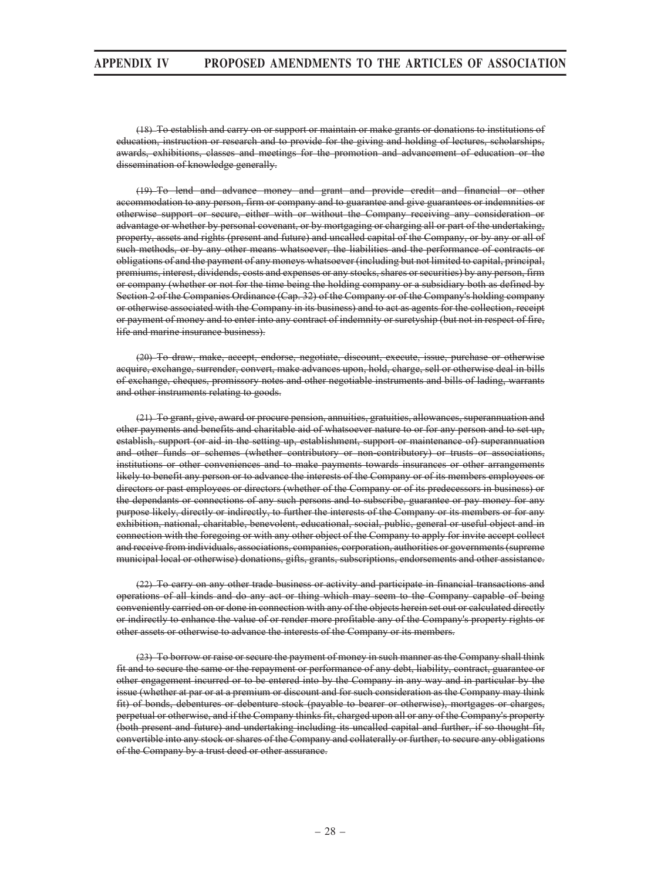(18) To establish and carry on or support or maintain or make grants or donations to institutions of education, instruction or research and to provide for the giving and holding of lectures, scholarships, awards, exhibitions, classes and meetings for the promotion and advancement of education or the dissemination of knowledge generally.

(19) To lend and advance money and grant and provide credit and financial or other accommodation to any person, firm or company and to guarantee and give guarantees or indemnities or otherwise support or secure, either with or without the Company receiving any consideration or advantage or whether by personal covenant, or by mortgaging or charging all or part of the undertaking, property, assets and rights (present and future) and uncalled capital of the Company, or by any or all of such methods, or by any other means whatsoever, the liabilities and the performance of contracts or obligations of and the payment of any moneys whatsoever (including but not limited to capital, principal, premiums, interest, dividends, costs and expenses or any stocks, shares or securities) by any person, firm or company (whether or not for the time being the holding company or a subsidiary both as defined by Section 2 of the Companies Ordinance (Cap. 32) of the Company or of the Company's holding company or otherwise associated with the Company in its business) and to act as agents for the collection, receipt or payment of money and to enter into any contract of indemnity or suretyship (but not in respect of fire, life and marine insurance business).

(20) To draw, make, accept, endorse, negotiate, discount, execute, issue, purchase or otherwise acquire, exchange, surrender, convert, make advances upon, hold, charge, sell or otherwise deal in bills of exchange, cheques, promissory notes and other negotiable instruments and bills of lading, warrants and other instruments relating to goods.

(21) To grant, give, award or procure pension, annuities, gratuities, allowances, superannuation and other payments and benefits and charitable aid of whatsoever nature to or for any person and to set up, establish, support (or aid in the setting up, establishment, support or maintenance of) superannuation and other funds or schemes (whether contributory or non-contributory) or trusts or associations, institutions or other conveniences and to make payments towards insurances or other arrangements likely to benefit any person or to advance the interests of the Company or of its members employees or directors or past employees or directors (whether of the Company or of its predecessors in business) or the dependants or connections of any such persons and to subscribe, guarantee or pay money for any purpose likely, directly or indirectly, to further the interests of the Company or its members or for any exhibition, national, charitable, benevolent, educational, social, public, general or useful object and in connection with the foregoing or with any other object of the Company to apply for invite accept collect and receive from individuals, associations, companies, corporation, authorities or governments (supreme municipal local or otherwise) donations, gifts, grants, subscriptions, endorsements and other assistance.

(22) To carry on any other trade business or activity and participate in financial transactions and operations of all kinds and do any act or thing which may seem to the Company capable of being conveniently carried on or done in connection with any of the objects herein set out or calculated directly or indirectly to enhance the value of or render more profitable any of the Company's property rights or other assets or otherwise to advance the interests of the Company or its members.

(23) To borrow or raise or secure the payment of money in such manner as the Company shall think fit and to secure the same or the repayment or performance of any debt, liability, contract, guarantee or other engagement incurred or to be entered into by the Company in any way and in particular by the issue (whether at par or at a premium or discount and for such consideration as the Company may think fit) of bonds, debentures or debenture stock (payable to bearer or otherwise), mortgages or charges, perpetual or otherwise, and if the Company thinks fit, charged upon all or any of the Company's property (both present and future) and undertaking including its uncalled capital and further, if so thought fit, convertible into any stock or shares of the Company and collaterally or further, to secure any obligations of the Company by a trust deed or other assurance.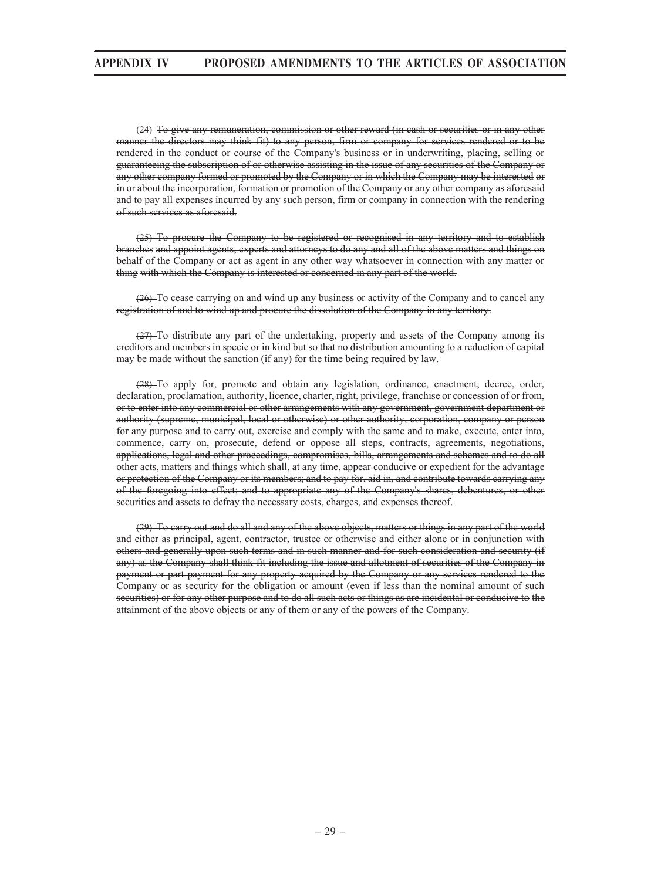(24) To give any remuneration, commission or other reward (in cash or securities or in any other manner the directors may think fit) to any person, firm or company for services rendered or to be rendered in the conduct or course of the Company's business or in underwriting, placing, selling or guaranteeing the subscription of or otherwise assisting in the issue of any securities of the Company or any other company formed or promoted by the Company or in which the Company may be interested or in or about the incorporation, formation or promotion of the Company or any other company as aforesaid and to pay all expenses incurred by any such person, firm or company in connection with the rendering of such services as aforesaid.

(25) To procure the Company to be registered or recognised in any territory and to establish branches and appoint agents, experts and attorneys to do any and all of the above matters and things on behalf of the Company or act as agent in any other way whatsoever in connection with any matter or thing with which the Company is interested or concerned in any part of the world.

(26) To cease carrying on and wind up any business or activity of the Company and to cancel any registration of and to wind up and procure the dissolution of the Company in any territory.

(27) To distribute any part of the undertaking, property and assets of the Company among its creditors and members in specie or in kind but so that no distribution amounting to a reduction of capital may be made without the sanction (if any) for the time being required by law.

(28) To apply for, promote and obtain any legislation, ordinance, enactment, decree, order, declaration, proclamation, authority, licence, charter, right, privilege, franchise or concession of or from, or to enter into any commercial or other arrangements with any government, government department or authority (supreme, municipal, local or otherwise) or other authority, corporation, company or person for any purpose and to carry out, exercise and comply with the same and to make, execute, enter into, commence, carry on, prosecute, defend or oppose all steps, contracts, agreements, negotiations, applications, legal and other proceedings, compromises, bills, arrangements and schemes and to do all other acts, matters and things which shall, at any time, appear conducive or expedient for the advantage or protection of the Company or its members; and to pay for, aid in, and contribute towards carrying any of the foregoing into effect; and to appropriate any of the Company's shares, debentures, or other securities and assets to defray the necessary costs, charges, and expenses thereof.

(29) To carry out and do all and any of the above objects, matters or things in any part of the world and either as principal, agent, contractor, trustee or otherwise and either alone or in conjunction with others and generally upon such terms and in such manner and for such consideration and security (if any) as the Company shall think fit including the issue and allotment of securities of the Company in payment or part payment for any property acquired by the Company or any services rendered to the Company or as security for the obligation or amount (even if less than the nominal amount of such securities) or for any other purpose and to do all such acts or things as are incidental or conducive to the attainment of the above objects or any of them or any of the powers of the Company.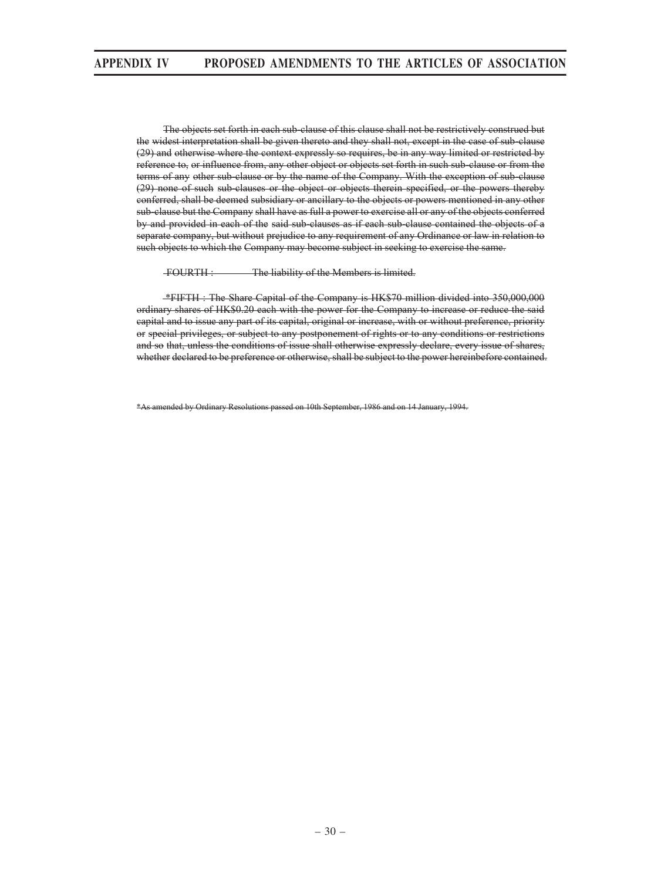The objects set forth in each sub-clause of this clause shall not be restrictively construed but the widest interpretation shall be given thereto and they shall not, except in the case of sub-clause (29) and otherwise where the context expressly so requires, be in any way limited or restricted by reference to, or influence from, any other object or objects set forth in such sub-clause or from the terms of any other sub-clause or by the name of the Company. With the exception of sub-clause (29) none of such sub-clauses or the object or objects therein specified, or the powers thereby conferred, shall be deemed subsidiary or ancillary to the objects or powers mentioned in any other sub-clause but the Company shall have as full a power to exercise all or any of the objects conferred by and provided in each of the said sub-clauses as if each sub-clause contained the objects of a separate company, but without prejudice to any requirement of any Ordinance or law in relation to such objects to which the Company may become subject in seeking to exercise the same.

FOURTH : The liability of the Members is limited.

 \*FIFTH : The Share Capital of the Company is HK\$70 million divided into 350,000,000 ordinary shares of HK\$0.20 each with the power for the Company to increase or reduce the said capital and to issue any part of its capital, original or increase, with or without preference, priority or special privileges, or subject to any postponement of rights or to any conditions or restrictions and so that, unless the conditions of issue shall otherwise expressly declare, every issue of shares, whether declared to be preference or otherwise, shall be subject to the power hereinbefore contained.

\*As amended by Ordinary Resolutions passed on 10th September, 1986 and on 14 January, 1994.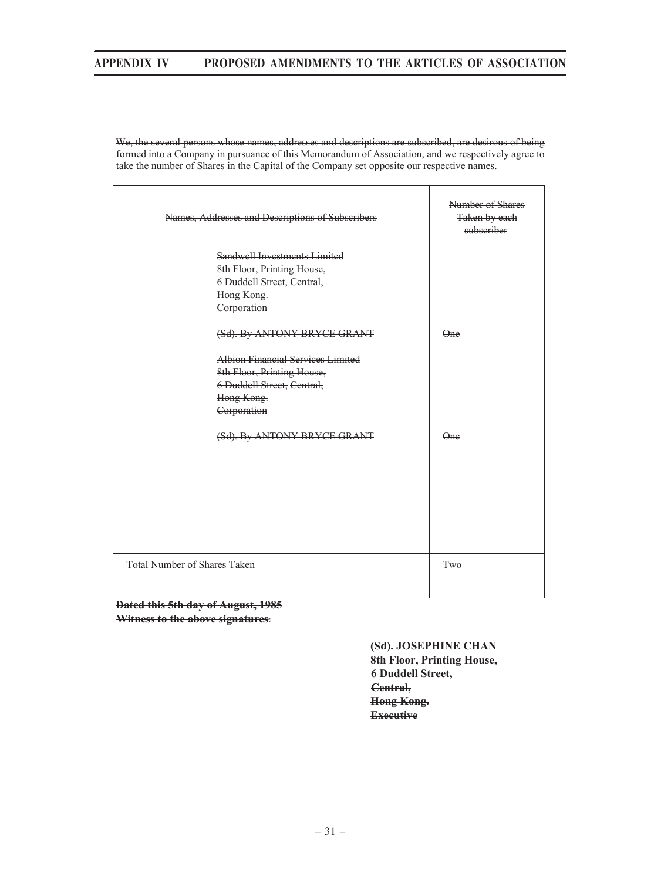We, the several persons whose names, addresses and descriptions are subscribed, are desirous of being formed into a Company in pursuance of this Memorandum of Association, and we respectively agree to take the number of Shares in the Capital of the Company set opposite our respective names.

| Names, Addresses and Descriptions of Subscribers | Number of Shares<br>Taken by each<br>subscriber |
|--------------------------------------------------|-------------------------------------------------|
| Sandwell Investments Limited                     |                                                 |
| 8th Floor, Printing House,                       |                                                 |
| 6 Duddell Street, Central,                       |                                                 |
| Hong Kong.                                       |                                                 |
| Corporation                                      |                                                 |
| (Sd). By ANTONY BRYCE GRANT                      | Q <sub>ne</sub>                                 |
| Albion Financial Services Limited                |                                                 |
| 8th Floor, Printing House,                       |                                                 |
| 6 Duddell Street, Central,                       |                                                 |
| Hong Kong.                                       |                                                 |
| Corporation                                      |                                                 |
| (Sd). By ANTONY BRYCE GRANT                      | Q <sub>ne</sub>                                 |
| <b>Total Number of Shares Taken</b>              | <b>Two</b>                                      |
|                                                  |                                                 |

**Dated this 5th day of August, 1985 Witness to the above signatures** 

> **(Sd). JOSEPHINE CHAN 8th Floor, Printing House, 6 Duddell Street, Central, Hong Kong. Executive**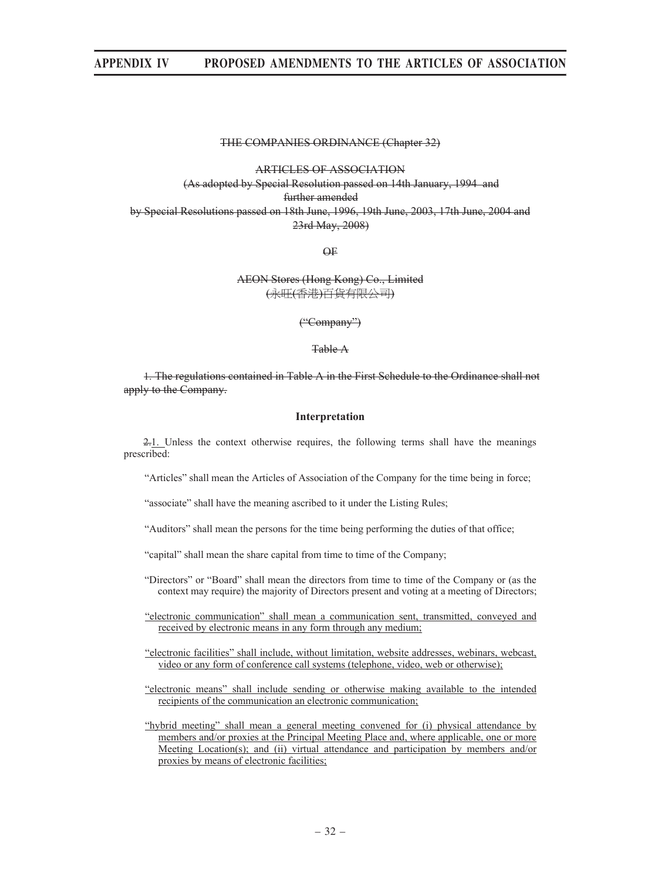#### THE COMPANIES ORDINANCE (Chapter 32)

#### ARTICLES OF ASSOCIATION

(As adopted by Special Resolution passed on 14th January, 1994 and further amended by Special Resolutions passed on 18th June, 1996, 19th June, 2003, 17th June, 2004 and 23rd May, 2008)

OF

#### AEON Stores (Hong Kong) Co., Limited (永旰(香港)百貨有限公司)

("Company")

Table A

1. The regulations contained in Table A in the First Schedule to the Ordinance shall not apply to the Company.

#### **Interpretation**

2.1. Unless the context otherwise requires, the following terms shall have the meanings prescribed:

"Articles" shall mean the Articles of Association of the Company for the time being in force;

"associate" shall have the meaning ascribed to it under the Listing Rules;

"Auditors" shall mean the persons for the time being performing the duties of that office;

"capital" shall mean the share capital from time to time of the Company;

- "Directors" or "Board" shall mean the directors from time to time of the Company or (as the context may require) the majority of Directors present and voting at a meeting of Directors;
- "electronic communication" shall mean a communication sent, transmitted, conveyed and received by electronic means in any form through any medium;
- "electronic facilities" shall include, without limitation, website addresses, webinars, webcast, video or any form of conference call systems (telephone, video, web or otherwise);
- "electronic means" shall include sending or otherwise making available to the intended recipients of the communication an electronic communication;

"hybrid meeting" shall mean a general meeting convened for (i) physical attendance by members and/or proxies at the Principal Meeting Place and, where applicable, one or more Meeting Location(s); and (ii) virtual attendance and participation by members and/or proxies by means of electronic facilities;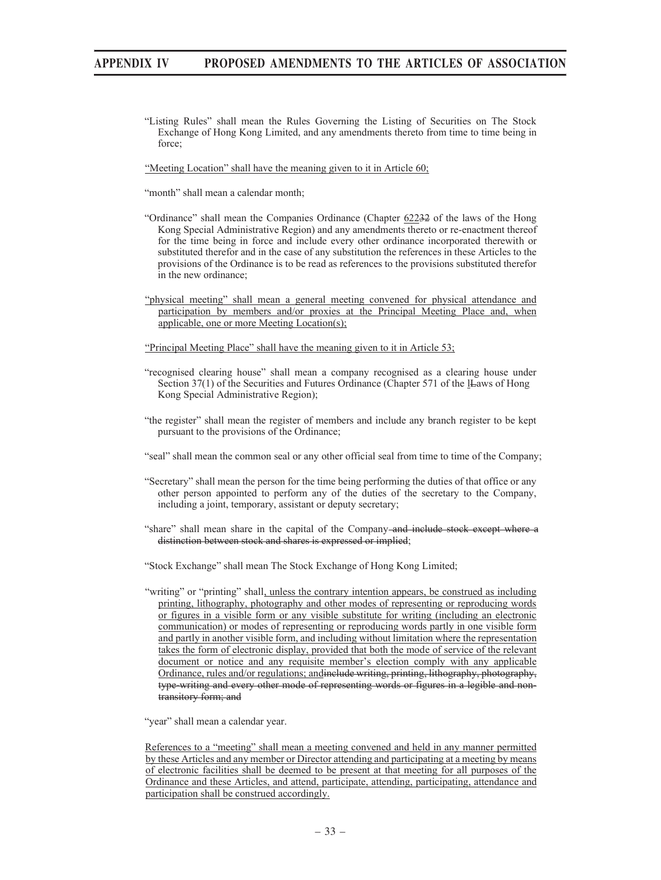"Listing Rules" shall mean the Rules Governing the Listing of Securities on The Stock Exchange of Hong Kong Limited, and any amendments thereto from time to time being in force;

"Meeting Location" shall have the meaning given to it in Article 60;

"month" shall mean a calendar month;

- "Ordinance" shall mean the Companies Ordinance (Chapter 62232 of the laws of the Hong Kong Special Administrative Region) and any amendments thereto or re-enactment thereof for the time being in force and include every other ordinance incorporated therewith or substituted therefor and in the case of any substitution the references in these Articles to the provisions of the Ordinance is to be read as references to the provisions substituted therefor in the new ordinance;
- "physical meeting" shall mean a general meeting convened for physical attendance and participation by members and/or proxies at the Principal Meeting Place and, when applicable, one or more Meeting Location(s);

"Principal Meeting Place" shall have the meaning given to it in Article 53;

- "recognised clearing house" shall mean a company recognised as a clearing house under Section 37(1) of the Securities and Futures Ordinance (Chapter 571 of the IL-aws of Hong Kong Special Administrative Region);
- "the register" shall mean the register of members and include any branch register to be kept pursuant to the provisions of the Ordinance;
- "seal" shall mean the common seal or any other official seal from time to time of the Company;
- "Secretary" shall mean the person for the time being performing the duties of that office or any other person appointed to perform any of the duties of the secretary to the Company, including a joint, temporary, assistant or deputy secretary;
- "share" shall mean share in the capital of the Company-and include stock except where a distinction between stock and shares is expressed or implied;

"Stock Exchange" shall mean The Stock Exchange of Hong Kong Limited;

"writing" or "printing" shall, unless the contrary intention appears, be construed as including printing, lithography, photography and other modes of representing or reproducing words or figures in a visible form or any visible substitute for writing (including an electronic communication) or modes of representing or reproducing words partly in one visible form and partly in another visible form, and including without limitation where the representation takes the form of electronic display, provided that both the mode of service of the relevant document or notice and any requisite member's election comply with any applicable Ordinance, rules and/or regulations; andinclude writing, printing, lithography, photography, type-writing and every other mode of representing words or figures in a legible and nontransitory form; and

"year" shall mean a calendar year.

References to a "meeting" shall mean a meeting convened and held in any manner permitted by these Articles and any member or Director attending and participating at a meeting by means of electronic facilities shall be deemed to be present at that meeting for all purposes of the Ordinance and these Articles, and attend, participate, attending, participating, attendance and participation shall be construed accordingly.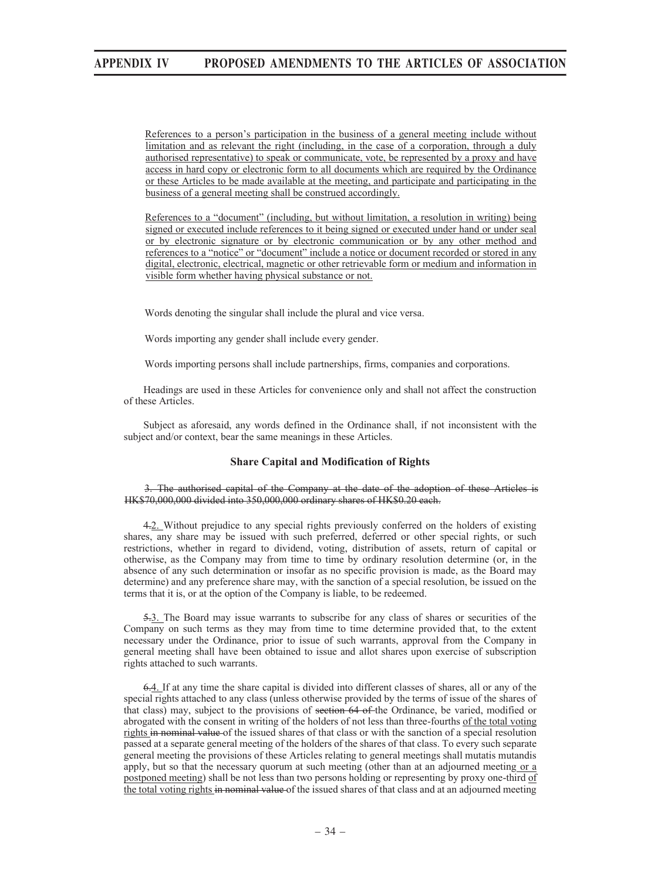References to a person's participation in the business of a general meeting include without limitation and as relevant the right (including, in the case of a corporation, through a duly authorised representative) to speak or communicate, vote, be represented by a proxy and have access in hard copy or electronic form to all documents which are required by the Ordinance or these Articles to be made available at the meeting, and participate and participating in the business of a general meeting shall be construed accordingly.

References to a "document" (including, but without limitation, a resolution in writing) being signed or executed include references to it being signed or executed under hand or under seal or by electronic signature or by electronic communication or by any other method and references to a "notice" or "document" include a notice or document recorded or stored in any digital, electronic, electrical, magnetic or other retrievable form or medium and information in visible form whether having physical substance or not.

Words denoting the singular shall include the plural and vice versa.

Words importing any gender shall include every gender.

Words importing persons shall include partnerships, firms, companies and corporations.

Headings are used in these Articles for convenience only and shall not affect the construction of these Articles.

Subject as aforesaid, any words defined in the Ordinance shall, if not inconsistent with the subject and/or context, bear the same meanings in these Articles.

#### **Share Capital and Modification of Rights**

#### 3. The authorised capital of the Company at the date of the adoption of these Articles is HK\$70,000,000 divided into 350,000,000 ordinary shares of HK\$0.20 each.

4.2. Without prejudice to any special rights previously conferred on the holders of existing shares, any share may be issued with such preferred, deferred or other special rights, or such restrictions, whether in regard to dividend, voting, distribution of assets, return of capital or otherwise, as the Company may from time to time by ordinary resolution determine (or, in the absence of any such determination or insofar as no specific provision is made, as the Board may determine) and any preference share may, with the sanction of a special resolution, be issued on the terms that it is, or at the option of the Company is liable, to be redeemed.

5.3. The Board may issue warrants to subscribe for any class of shares or securities of the Company on such terms as they may from time to time determine provided that, to the extent necessary under the Ordinance, prior to issue of such warrants, approval from the Company in general meeting shall have been obtained to issue and allot shares upon exercise of subscription rights attached to such warrants.

6.4. If at any time the share capital is divided into different classes of shares, all or any of the special rights attached to any class (unless otherwise provided by the terms of issue of the shares of that class) may, subject to the provisions of section 64 of the Ordinance, be varied, modified or abrogated with the consent in writing of the holders of not less than three-fourths of the total voting rights in nominal value of the issued shares of that class or with the sanction of a special resolution passed at a separate general meeting of the holders of the shares of that class. To every such separate general meeting the provisions of these Articles relating to general meetings shall mutatis mutandis apply, but so that the necessary quorum at such meeting (other than at an adjourned meeting or a postponed meeting) shall be not less than two persons holding or representing by proxy one-third of the total voting rights in nominal value of the issued shares of that class and at an adjourned meeting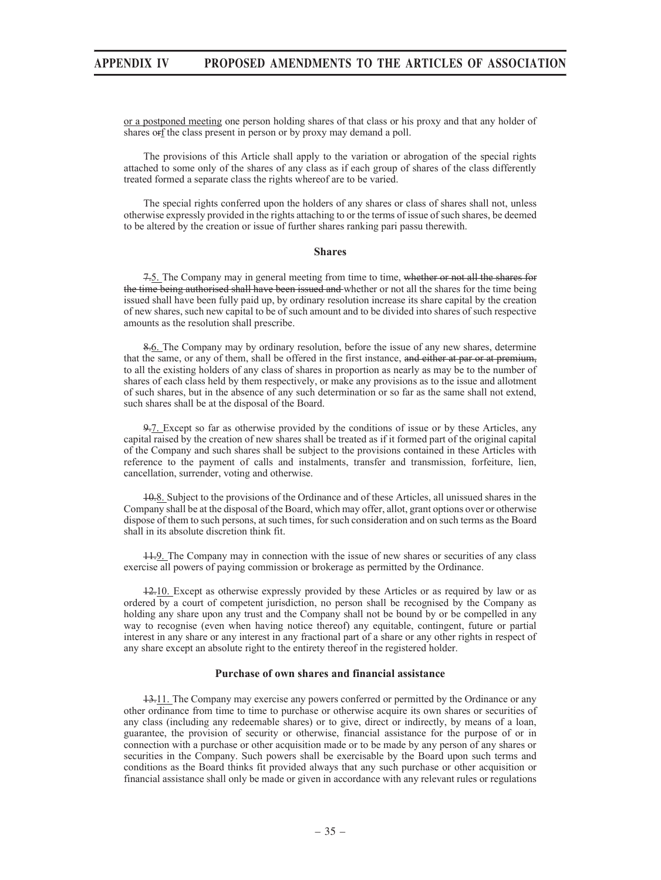or a postponed meeting one person holding shares of that class or his proxy and that any holder of shares orf the class present in person or by proxy may demand a poll.

The provisions of this Article shall apply to the variation or abrogation of the special rights attached to some only of the shares of any class as if each group of shares of the class differently treated formed a separate class the rights whereof are to be varied.

The special rights conferred upon the holders of any shares or class of shares shall not, unless otherwise expressly provided in the rights attaching to or the terms of issue of such shares, be deemed to be altered by the creation or issue of further shares ranking pari passu therewith.

#### **Shares**

7.5. The Company may in general meeting from time to time, whether or not all the shares for the time being authorised shall have been issued and whether or not all the shares for the time being issued shall have been fully paid up, by ordinary resolution increase its share capital by the creation of new shares, such new capital to be of such amount and to be divided into shares of such respective amounts as the resolution shall prescribe.

8.6. The Company may by ordinary resolution, before the issue of any new shares, determine that the same, or any of them, shall be offered in the first instance, and either at par or at premium, to all the existing holders of any class of shares in proportion as nearly as may be to the number of shares of each class held by them respectively, or make any provisions as to the issue and allotment of such shares, but in the absence of any such determination or so far as the same shall not extend, such shares shall be at the disposal of the Board.

9.7. Except so far as otherwise provided by the conditions of issue or by these Articles, any capital raised by the creation of new shares shall be treated as if it formed part of the original capital of the Company and such shares shall be subject to the provisions contained in these Articles with reference to the payment of calls and instalments, transfer and transmission, forfeiture, lien, cancellation, surrender, voting and otherwise.

10.8. Subject to the provisions of the Ordinance and of these Articles, all unissued shares in the Company shall be at the disposal of the Board, which may offer, allot, grant options over or otherwise dispose of them to such persons, at such times, for such consideration and on such terms as the Board shall in its absolute discretion think fit.

11.9. The Company may in connection with the issue of new shares or securities of any class exercise all powers of paying commission or brokerage as permitted by the Ordinance.

12.10. Except as otherwise expressly provided by these Articles or as required by law or as ordered by a court of competent jurisdiction, no person shall be recognised by the Company as holding any share upon any trust and the Company shall not be bound by or be compelled in any way to recognise (even when having notice thereof) any equitable, contingent, future or partial interest in any share or any interest in any fractional part of a share or any other rights in respect of any share except an absolute right to the entirety thereof in the registered holder.

#### **Purchase of own shares and financial assistance**

13.11. The Company may exercise any powers conferred or permitted by the Ordinance or any other ordinance from time to time to purchase or otherwise acquire its own shares or securities of any class (including any redeemable shares) or to give, direct or indirectly, by means of a loan, guarantee, the provision of security or otherwise, financial assistance for the purpose of or in connection with a purchase or other acquisition made or to be made by any person of any shares or securities in the Company. Such powers shall be exercisable by the Board upon such terms and conditions as the Board thinks fit provided always that any such purchase or other acquisition or financial assistance shall only be made or given in accordance with any relevant rules or regulations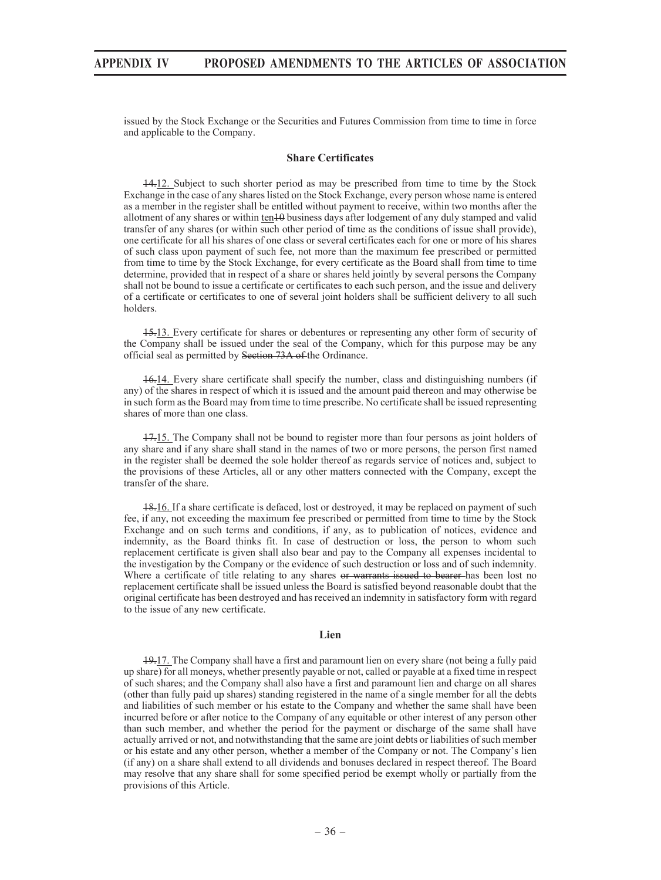issued by the Stock Exchange or the Securities and Futures Commission from time to time in force and applicable to the Company.

### **Share Certificates**

14.12. Subject to such shorter period as may be prescribed from time to time by the Stock Exchange in the case of any shares listed on the Stock Exchange, every person whose name is entered as a member in the register shall be entitled without payment to receive, within two months after the allotment of any shares or within ten<sup>10</sup> business days after lodgement of any duly stamped and valid transfer of any shares (or within such other period of time as the conditions of issue shall provide), one certificate for all his shares of one class or several certificates each for one or more of his shares of such class upon payment of such fee, not more than the maximum fee prescribed or permitted from time to time by the Stock Exchange, for every certificate as the Board shall from time to time determine, provided that in respect of a share or shares held jointly by several persons the Company shall not be bound to issue a certificate or certificates to each such person, and the issue and delivery of a certificate or certificates to one of several joint holders shall be sufficient delivery to all such holders.

15.13. Every certificate for shares or debentures or representing any other form of security of the Company shall be issued under the seal of the Company, which for this purpose may be any official seal as permitted by Section 73A of the Ordinance.

16.14. Every share certificate shall specify the number, class and distinguishing numbers (if any) of the shares in respect of which it is issued and the amount paid thereon and may otherwise be in such form as the Board may from time to time prescribe. No certificate shall be issued representing shares of more than one class.

17.15. The Company shall not be bound to register more than four persons as joint holders of any share and if any share shall stand in the names of two or more persons, the person first named in the register shall be deemed the sole holder thereof as regards service of notices and, subject to the provisions of these Articles, all or any other matters connected with the Company, except the transfer of the share.

18.16. If a share certificate is defaced, lost or destroyed, it may be replaced on payment of such fee, if any, not exceeding the maximum fee prescribed or permitted from time to time by the Stock Exchange and on such terms and conditions, if any, as to publication of notices, evidence and indemnity, as the Board thinks fit. In case of destruction or loss, the person to whom such replacement certificate is given shall also bear and pay to the Company all expenses incidental to the investigation by the Company or the evidence of such destruction or loss and of such indemnity. Where a certificate of title relating to any shares or warrants issued to bearer has been lost no replacement certificate shall be issued unless the Board is satisfied beyond reasonable doubt that the original certificate has been destroyed and has received an indemnity in satisfactory form with regard to the issue of any new certificate.

### **Lien**

19.17. The Company shall have a first and paramount lien on every share (not being a fully paid up share) for all moneys, whether presently payable or not, called or payable at a fixed time in respect of such shares; and the Company shall also have a first and paramount lien and charge on all shares (other than fully paid up shares) standing registered in the name of a single member for all the debts and liabilities of such member or his estate to the Company and whether the same shall have been incurred before or after notice to the Company of any equitable or other interest of any person other than such member, and whether the period for the payment or discharge of the same shall have actually arrived or not, and notwithstanding that the same are joint debts or liabilities of such member or his estate and any other person, whether a member of the Company or not. The Company's lien (if any) on a share shall extend to all dividends and bonuses declared in respect thereof. The Board may resolve that any share shall for some specified period be exempt wholly or partially from the provisions of this Article.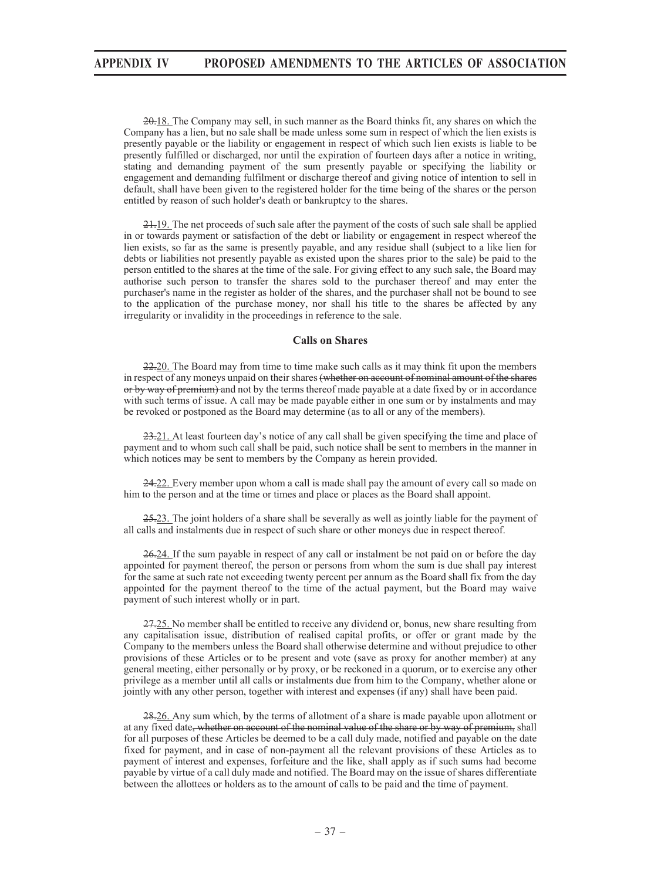20.18. The Company may sell, in such manner as the Board thinks fit, any shares on which the Company has a lien, but no sale shall be made unless some sum in respect of which the lien exists is presently payable or the liability or engagement in respect of which such lien exists is liable to be presently fulfilled or discharged, nor until the expiration of fourteen days after a notice in writing, stating and demanding payment of the sum presently payable or specifying the liability or engagement and demanding fulfilment or discharge thereof and giving notice of intention to sell in default, shall have been given to the registered holder for the time being of the shares or the person entitled by reason of such holder's death or bankruptcy to the shares.

21.19. The net proceeds of such sale after the payment of the costs of such sale shall be applied in or towards payment or satisfaction of the debt or liability or engagement in respect whereof the lien exists, so far as the same is presently payable, and any residue shall (subject to a like lien for debts or liabilities not presently payable as existed upon the shares prior to the sale) be paid to the person entitled to the shares at the time of the sale. For giving effect to any such sale, the Board may authorise such person to transfer the shares sold to the purchaser thereof and may enter the purchaser's name in the register as holder of the shares, and the purchaser shall not be bound to see to the application of the purchase money, nor shall his title to the shares be affected by any irregularity or invalidity in the proceedings in reference to the sale.

## **Calls on Shares**

22.20. The Board may from time to time make such calls as it may think fit upon the members in respect of any moneys unpaid on their shares (whether on account of nominal amount of the shares or by way of premium) and not by the terms thereof made payable at a date fixed by or in accordance with such terms of issue. A call may be made payable either in one sum or by instalments and may be revoked or postponed as the Board may determine (as to all or any of the members).

23.21. At least fourteen day's notice of any call shall be given specifying the time and place of payment and to whom such call shall be paid, such notice shall be sent to members in the manner in which notices may be sent to members by the Company as herein provided.

24.22. Every member upon whom a call is made shall pay the amount of every call so made on him to the person and at the time or times and place or places as the Board shall appoint.

25.23. The joint holders of a share shall be severally as well as jointly liable for the payment of all calls and instalments due in respect of such share or other moneys due in respect thereof.

26.24. If the sum payable in respect of any call or instalment be not paid on or before the day appointed for payment thereof, the person or persons from whom the sum is due shall pay interest for the same at such rate not exceeding twenty percent per annum as the Board shall fix from the day appointed for the payment thereof to the time of the actual payment, but the Board may waive payment of such interest wholly or in part.

27.25. No member shall be entitled to receive any dividend or, bonus, new share resulting from any capitalisation issue, distribution of realised capital profits, or offer or grant made by the Company to the members unless the Board shall otherwise determine and without prejudice to other provisions of these Articles or to be present and vote (save as proxy for another member) at any general meeting, either personally or by proxy, or be reckoned in a quorum, or to exercise any other privilege as a member until all calls or instalments due from him to the Company, whether alone or jointly with any other person, together with interest and expenses (if any) shall have been paid.

28.26. Any sum which, by the terms of allotment of a share is made payable upon allotment or at any fixed date, whether on account of the nominal value of the share or by way of premium, shall for all purposes of these Articles be deemed to be a call duly made, notified and payable on the date fixed for payment, and in case of non-payment all the relevant provisions of these Articles as to payment of interest and expenses, forfeiture and the like, shall apply as if such sums had become payable by virtue of a call duly made and notified. The Board may on the issue of shares differentiate between the allottees or holders as to the amount of calls to be paid and the time of payment.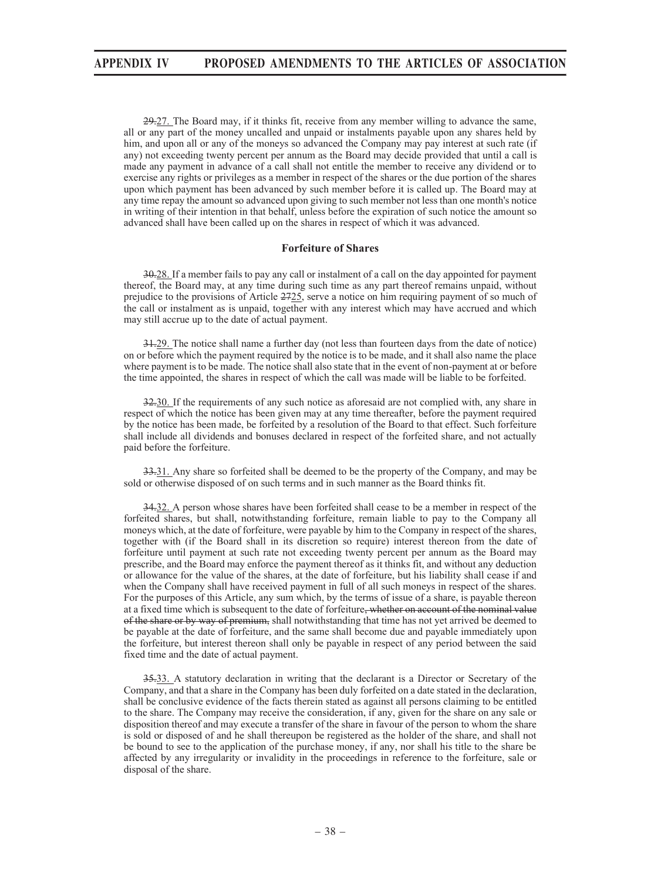29.27. The Board may, if it thinks fit, receive from any member willing to advance the same, all or any part of the money uncalled and unpaid or instalments payable upon any shares held by him, and upon all or any of the moneys so advanced the Company may pay interest at such rate (if any) not exceeding twenty percent per annum as the Board may decide provided that until a call is made any payment in advance of a call shall not entitle the member to receive any dividend or to exercise any rights or privileges as a member in respect of the shares or the due portion of the shares upon which payment has been advanced by such member before it is called up. The Board may at any time repay the amount so advanced upon giving to such member not less than one month's notice in writing of their intention in that behalf, unless before the expiration of such notice the amount so advanced shall have been called up on the shares in respect of which it was advanced.

### **Forfeiture of Shares**

30.28. If a member fails to pay any call or instalment of a call on the day appointed for payment thereof, the Board may, at any time during such time as any part thereof remains unpaid, without prejudice to the provisions of Article 2725, serve a notice on him requiring payment of so much of the call or instalment as is unpaid, together with any interest which may have accrued and which may still accrue up to the date of actual payment.

31.29. The notice shall name a further day (not less than fourteen days from the date of notice) on or before which the payment required by the notice is to be made, and it shall also name the place where payment is to be made. The notice shall also state that in the event of non-payment at or before the time appointed, the shares in respect of which the call was made will be liable to be forfeited.

32.30. If the requirements of any such notice as aforesaid are not complied with, any share in respect of which the notice has been given may at any time thereafter, before the payment required by the notice has been made, be forfeited by a resolution of the Board to that effect. Such forfeiture shall include all dividends and bonuses declared in respect of the forfeited share, and not actually paid before the forfeiture.

33.31. Any share so forfeited shall be deemed to be the property of the Company, and may be sold or otherwise disposed of on such terms and in such manner as the Board thinks fit.

34.32. A person whose shares have been forfeited shall cease to be a member in respect of the forfeited shares, but shall, notwithstanding forfeiture, remain liable to pay to the Company all moneys which, at the date of forfeiture, were payable by him to the Company in respect of the shares, together with (if the Board shall in its discretion so require) interest thereon from the date of forfeiture until payment at such rate not exceeding twenty percent per annum as the Board may prescribe, and the Board may enforce the payment thereof as it thinks fit, and without any deduction or allowance for the value of the shares, at the date of forfeiture, but his liability shall cease if and when the Company shall have received payment in full of all such moneys in respect of the shares. For the purposes of this Article, any sum which, by the terms of issue of a share, is payable thereon at a fixed time which is subsequent to the date of forfeiture, whether on account of the nominal value of the share or by way of premium, shall notwithstanding that time has not yet arrived be deemed to be payable at the date of forfeiture, and the same shall become due and payable immediately upon the forfeiture, but interest thereon shall only be payable in respect of any period between the said fixed time and the date of actual payment.

35.33. A statutory declaration in writing that the declarant is a Director or Secretary of the Company, and that a share in the Company has been duly forfeited on a date stated in the declaration, shall be conclusive evidence of the facts therein stated as against all persons claiming to be entitled to the share. The Company may receive the consideration, if any, given for the share on any sale or disposition thereof and may execute a transfer of the share in favour of the person to whom the share is sold or disposed of and he shall thereupon be registered as the holder of the share, and shall not be bound to see to the application of the purchase money, if any, nor shall his title to the share be affected by any irregularity or invalidity in the proceedings in reference to the forfeiture, sale or disposal of the share.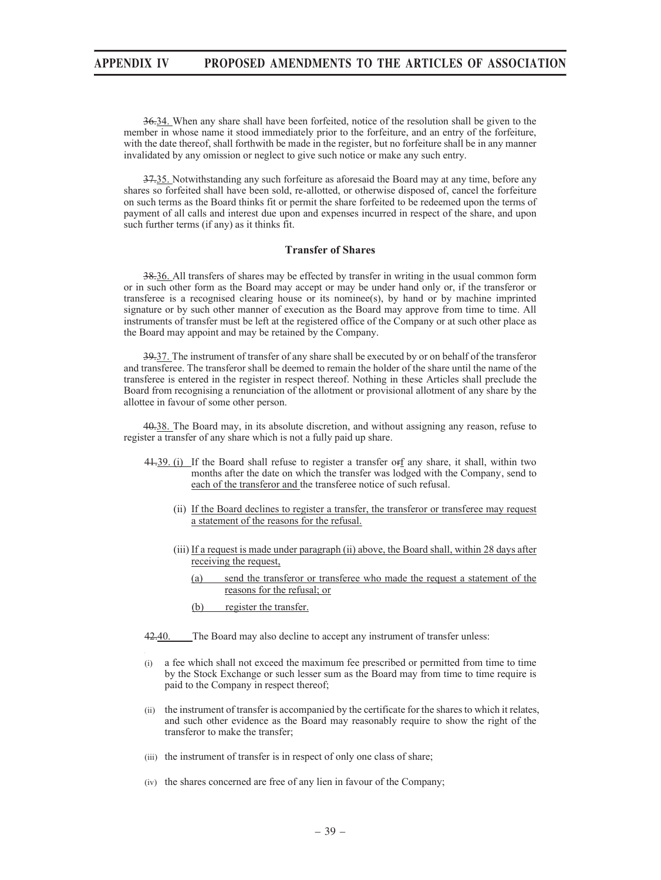36.34. When any share shall have been forfeited, notice of the resolution shall be given to the member in whose name it stood immediately prior to the forfeiture, and an entry of the forfeiture, with the date thereof, shall forthwith be made in the register, but no forfeiture shall be in any manner invalidated by any omission or neglect to give such notice or make any such entry.

37.35. Notwithstanding any such forfeiture as aforesaid the Board may at any time, before any shares so forfeited shall have been sold, re-allotted, or otherwise disposed of, cancel the forfeiture on such terms as the Board thinks fit or permit the share forfeited to be redeemed upon the terms of payment of all calls and interest due upon and expenses incurred in respect of the share, and upon such further terms (if any) as it thinks fit.

## **Transfer of Shares**

38.36. All transfers of shares may be effected by transfer in writing in the usual common form or in such other form as the Board may accept or may be under hand only or, if the transferor or transferee is a recognised clearing house or its nominee(s), by hand or by machine imprinted signature or by such other manner of execution as the Board may approve from time to time. All instruments of transfer must be left at the registered office of the Company or at such other place as the Board may appoint and may be retained by the Company.

39.37. The instrument of transfer of any share shall be executed by or on behalf of the transferor and transferee. The transferor shall be deemed to remain the holder of the share until the name of the transferee is entered in the register in respect thereof. Nothing in these Articles shall preclude the Board from recognising a renunciation of the allotment or provisional allotment of any share by the allottee in favour of some other person.

40.38. The Board may, in its absolute discretion, and without assigning any reason, refuse to register a transfer of any share which is not a fully paid up share.

- 44-39. (i) If the Board shall refuse to register a transfer or f any share, it shall, within two months after the date on which the transfer was lodged with the Company, send to each of the transferor and the transferee notice of such refusal.
	- (ii) If the Board declines to register a transfer, the transferor or transferee may request a statement of the reasons for the refusal.
	- (iii) If a request is made under paragraph (ii) above, the Board shall, within 28 days after receiving the request,
		- (a) send the transferor or transferee who made the request a statement of the reasons for the refusal; or
		- (b) register the transfer.

42.40. The Board may also decline to accept any instrument of transfer unless:

- (i) a fee which shall not exceed the maximum fee prescribed or permitted from time to time by the Stock Exchange or such lesser sum as the Board may from time to time require is paid to the Company in respect thereof;
- (ii) the instrument of transfer is accompanied by the certificate for the shares to which it relates, and such other evidence as the Board may reasonably require to show the right of the transferor to make the transfer;
- (iii) the instrument of transfer is in respect of only one class of share;
- (iv) the shares concerned are free of any lien in favour of the Company;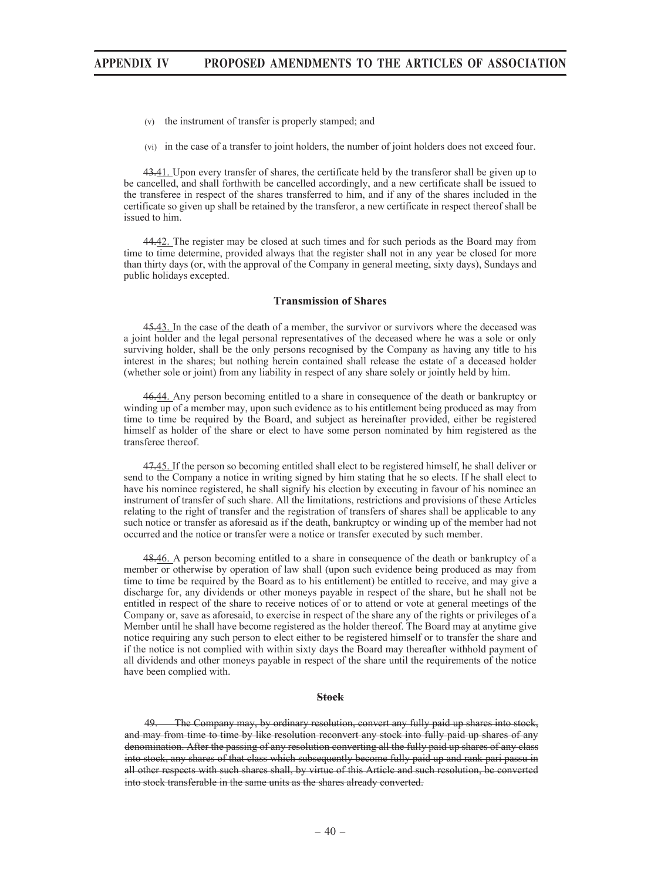- (v) the instrument of transfer is properly stamped; and
- (vi) in the case of a transfer to joint holders, the number of joint holders does not exceed four.

43.41. Upon every transfer of shares, the certificate held by the transferor shall be given up to be cancelled, and shall forthwith be cancelled accordingly, and a new certificate shall be issued to the transferee in respect of the shares transferred to him, and if any of the shares included in the certificate so given up shall be retained by the transferor, a new certificate in respect thereof shall be issued to him.

44.42. The register may be closed at such times and for such periods as the Board may from time to time determine, provided always that the register shall not in any year be closed for more than thirty days (or, with the approval of the Company in general meeting, sixty days), Sundays and public holidays excepted.

#### **Transmission of Shares**

45.43. In the case of the death of a member, the survivor or survivors where the deceased was a joint holder and the legal personal representatives of the deceased where he was a sole or only surviving holder, shall be the only persons recognised by the Company as having any title to his interest in the shares; but nothing herein contained shall release the estate of a deceased holder (whether sole or joint) from any liability in respect of any share solely or jointly held by him.

46.44. Any person becoming entitled to a share in consequence of the death or bankruptcy or winding up of a member may, upon such evidence as to his entitlement being produced as may from time to time be required by the Board, and subject as hereinafter provided, either be registered himself as holder of the share or elect to have some person nominated by him registered as the transferee thereof.

47.45. If the person so becoming entitled shall elect to be registered himself, he shall deliver or send to the Company a notice in writing signed by him stating that he so elects. If he shall elect to have his nominee registered, he shall signify his election by executing in favour of his nominee an instrument of transfer of such share. All the limitations, restrictions and provisions of these Articles relating to the right of transfer and the registration of transfers of shares shall be applicable to any such notice or transfer as aforesaid as if the death, bankruptcy or winding up of the member had not occurred and the notice or transfer were a notice or transfer executed by such member.

48.46. A person becoming entitled to a share in consequence of the death or bankruptcy of a member or otherwise by operation of law shall (upon such evidence being produced as may from time to time be required by the Board as to his entitlement) be entitled to receive, and may give a discharge for, any dividends or other moneys payable in respect of the share, but he shall not be entitled in respect of the share to receive notices of or to attend or vote at general meetings of the Company or, save as aforesaid, to exercise in respect of the share any of the rights or privileges of a Member until he shall have become registered as the holder thereof. The Board may at anytime give notice requiring any such person to elect either to be registered himself or to transfer the share and if the notice is not complied with within sixty days the Board may thereafter withhold payment of all dividends and other moneys payable in respect of the share until the requirements of the notice have been complied with.

#### **Stock**

49. The Company may, by ordinary resolution, convert any fully paid up shares into stock, and may from time to time by like resolution reconvert any stock into fully paid up shares of any denomination. After the passing of any resolution converting all the fully paid up shares of any class into stock, any shares of that class which subsequently become fully paid up and rank pari passu in all other respects with such shares shall, by virtue of this Article and such resolution, be converted into stock transferable in the same units as the shares already converted.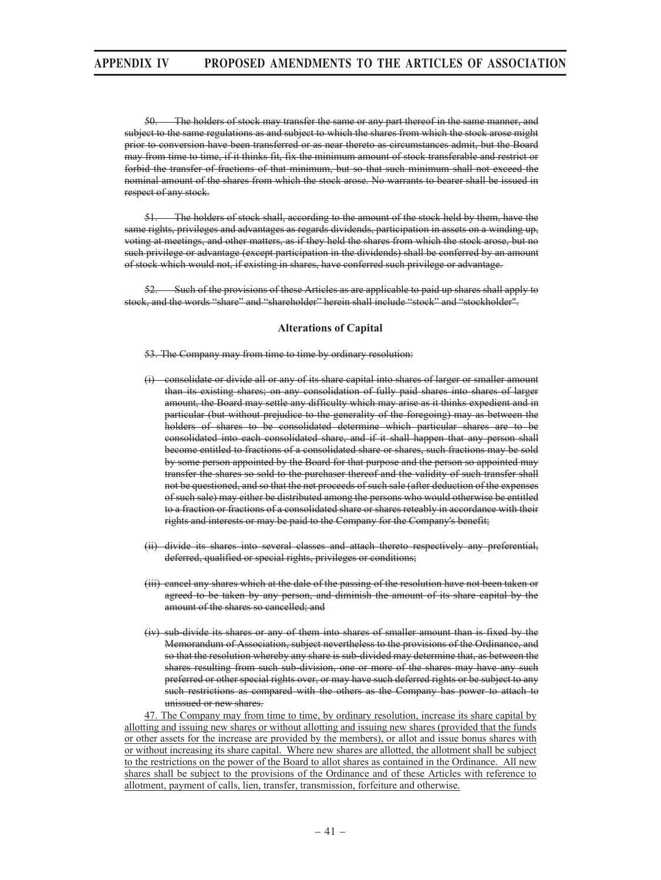50. The holders of stock may transfer the same or any part thereof in the same manner, and subject to the same regulations as and subject to which the shares from which the stock arose might prior to conversion have been transferred or as near thereto as circumstances admit, but the Board may from time to time, if it thinks fit, fix the minimum amount of stock transferable and restrict or forbid the transfer of fractions of that minimum, but so that such minimum shall not exceed the nominal amount of the shares from which the stock arose. No warrants to bearer shall be issued in respect of any stock.

51. The holders of stock shall, according to the amount of the stock held by them, have the same rights, privileges and advantages as regards dividends, participation in assets on a winding up, voting at meetings, and other matters, as if they held the shares from which the stock arose, but no such privilege or advantage (except participation in the dividends) shall be conferred by an amount of stock which would not, if existing in shares, have conferred such privilege or advantage.

52. Such of the provisions of these Articles as are applicable to paid up shares shall apply to stock, and the words "share" and "shareholder" herein shall include "stock" and "stockholder".

### **Alterations of Capital**

53. The Company may from time to time by ordinary resolution:

- consolidate or divide all or any of its share capital into shares of larger or smaller amount than its existing shares; on any consolidation of fully paid shares into shares of larger amount, the Board may settle any difficulty which may arise as it thinks expedient and in particular (but without prejudice to the generality of the foregoing) may as between the holders of shares to be consolidated determine which particular shares are to be consolidated into each consolidated share, and if it shall happen that any person shall become entitled to fractions of a consolidated share or shares, such fractions may be sold by some person appointed by the Board for that purpose and the person so appointed may transfer the shares so sold to the purchaser thereof and the validity of such transfer shall not be questioned, and so that the net proceeds of such sale (after deduction of the expenses of such sale) may either be distributed among the persons who would otherwise be entitled to a fraction or fractions of a consolidated share or shares reteably in accordance with their rights and interests or may be paid to the Company for the Company's benefit;
- (ii) divide its shares into several classes and attach thereto respectively any preferential, deferred, qualified or special rights, privileges or conditions;
- (iii) cancel any shares which at the dale of the passing of the resolution have not been taken or agreed to be taken by any person, and diminish the amount of its share capital by the amount of the shares so cancelled; and
- (iv) sub-divide its shares or any of them into shares of smaller amount than is fixed by the Memorandum of Association, subject nevertheless to the provisions of the Ordinance, and so that the resolution whereby any share is sub-divided may determine that, as between the shares resulting from such sub-division, one or more of the shares may have any such preferred or other special rights over, or may have such deferred rights or be subject to any such restrictions as compared with the others as the Company has power to attach to unissued or new shares.

47. The Company may from time to time, by ordinary resolution, increase its share capital by allotting and issuing new shares or without allotting and issuing new shares (provided that the funds or other assets for the increase are provided by the members), or allot and issue bonus shares with or without increasing its share capital. Where new shares are allotted, the allotment shall be subject to the restrictions on the power of the Board to allot shares as contained in the Ordinance. All new shares shall be subject to the provisions of the Ordinance and of these Articles with reference to allotment, payment of calls, lien, transfer, transmission, forfeiture and otherwise.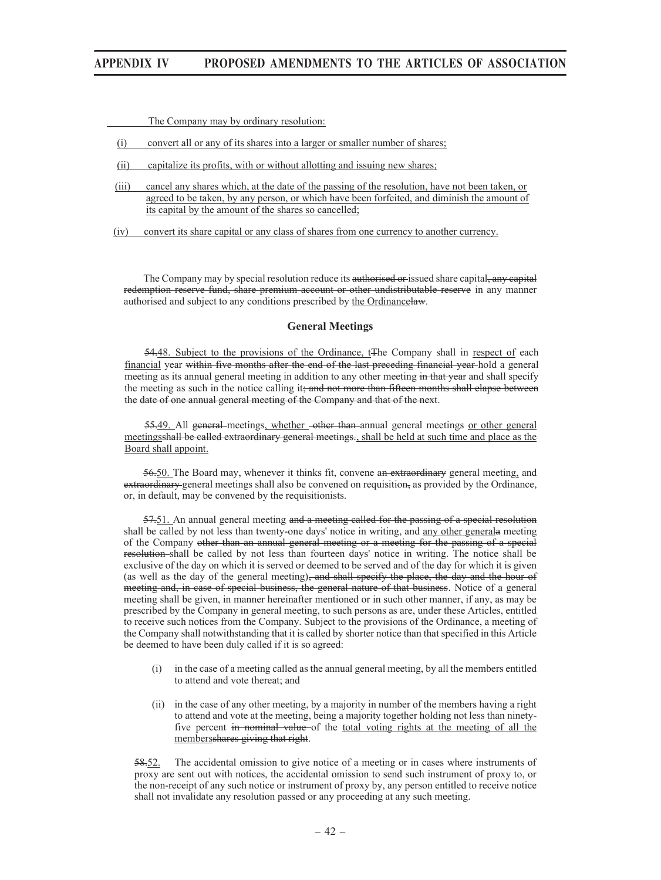The Company may by ordinary resolution:

- (i) convert all or any of its shares into a larger or smaller number of shares;
- (ii) capitalize its profits, with or without allotting and issuing new shares;
- (iii) cancel any shares which, at the date of the passing of the resolution, have not been taken, or agreed to be taken, by any person, or which have been forfeited, and diminish the amount of its capital by the amount of the shares so cancelled;
- (iv) convert its share capital or any class of shares from one currency to another currency.

The Company may by special resolution reduce its authorised or issued share capital, any capital redemption reserve fund, share premium account or other undistributable reserve in any manner authorised and subject to any conditions prescribed by the Ordinancelaw.

### **General Meetings**

54.48. Subject to the provisions of the Ordinance, t<sub>The Company</sub> shall in respect of each financial year within five months after the end of the last preceding financial year hold a general meeting as its annual general meeting in addition to any other meeting in that year and shall specify the meeting as such in the notice calling it; and not more than fifteen months shall elapse between the date of one annual general meeting of the Company and that of the next.

55.49. All general meetings, whether other than annual general meetings or other general meetingsshall be called extraordinary general meetings., shall be held at such time and place as the Board shall appoint.

56.50. The Board may, whenever it thinks fit, convene an extraordinary general meeting, and extraordinary general meetings shall also be convened on requisition, as provided by the Ordinance, or, in default, may be convened by the requisitionists.

57.51. An annual general meeting and a meeting called for the passing of a special resolution shall be called by not less than twenty-one days' notice in writing, and any other generala meeting of the Company other than an annual general meeting or a meeting for the passing of a special resolution shall be called by not less than fourteen days' notice in writing. The notice shall be exclusive of the day on which it is served or deemed to be served and of the day for which it is given (as well as the day of the general meeting), and shall specify the place, the day and the hour of meeting and, in case of special business, the general nature of that business. Notice of a general meeting shall be given, in manner hereinafter mentioned or in such other manner, if any, as may be prescribed by the Company in general meeting, to such persons as are, under these Articles, entitled to receive such notices from the Company. Subject to the provisions of the Ordinance, a meeting of the Company shall notwithstanding that it is called by shorter notice than that specified in this Article be deemed to have been duly called if it is so agreed:

- (i) in the case of a meeting called as the annual general meeting, by all the members entitled to attend and vote thereat; and
- (ii) in the case of any other meeting, by a majority in number of the members having a right to attend and vote at the meeting, being a majority together holding not less than ninetyfive percent in nominal value of the total voting rights at the meeting of all the membersshares giving that right.

58.52. The accidental omission to give notice of a meeting or in cases where instruments of proxy are sent out with notices, the accidental omission to send such instrument of proxy to, or the non-receipt of any such notice or instrument of proxy by, any person entitled to receive notice shall not invalidate any resolution passed or any proceeding at any such meeting.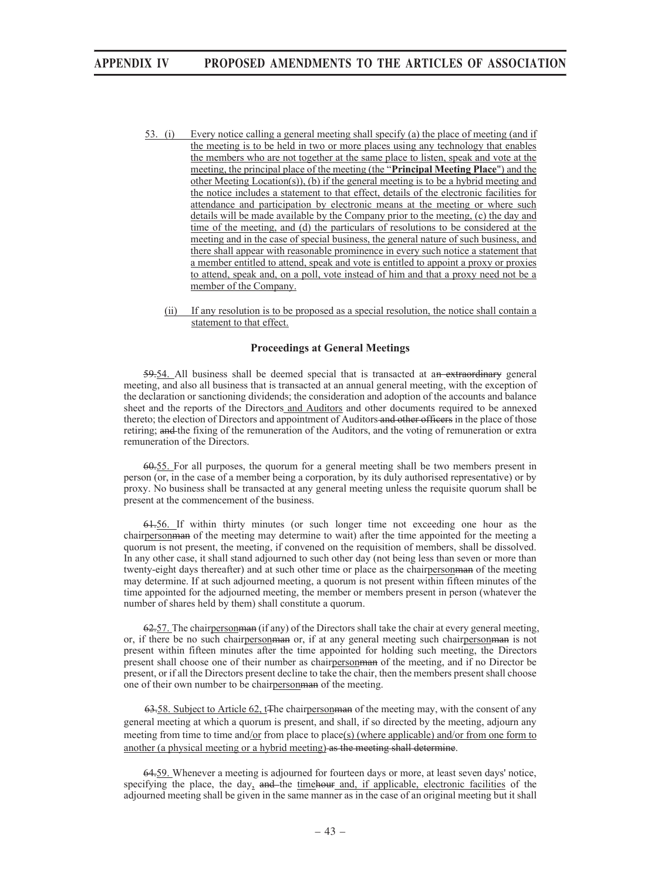- 53. (i) Every notice calling a general meeting shall specify (a) the place of meeting (and if the meeting is to be held in two or more places using any technology that enables the members who are not together at the same place to listen, speak and vote at the meeting, the principal place of the meeting (the "**Principal Meeting Place**") and the other Meeting Location(s)), (b) if the general meeting is to be a hybrid meeting and the notice includes a statement to that effect, details of the electronic facilities for attendance and participation by electronic means at the meeting or where such details will be made available by the Company prior to the meeting, (c) the day and time of the meeting, and (d) the particulars of resolutions to be considered at the meeting and in the case of special business, the general nature of such business, and there shall appear with reasonable prominence in every such notice a statement that a member entitled to attend, speak and vote is entitled to appoint a proxy or proxies to attend, speak and, on a poll, vote instead of him and that a proxy need not be a member of the Company.
	- (ii) If any resolution is to be proposed as a special resolution, the notice shall contain a statement to that effect.

## **Proceedings at General Meetings**

59.54. All business shall be deemed special that is transacted at an extraordinary general meeting, and also all business that is transacted at an annual general meeting, with the exception of the declaration or sanctioning dividends; the consideration and adoption of the accounts and balance sheet and the reports of the Directors and Auditors and other documents required to be annexed thereto; the election of Directors and appointment of Auditors and other officers in the place of those retiring; and the fixing of the remuneration of the Auditors, and the voting of remuneration or extra remuneration of the Directors.

60.55. For all purposes, the quorum for a general meeting shall be two members present in person (or, in the case of a member being a corporation, by its duly authorised representative) or by proxy. No business shall be transacted at any general meeting unless the requisite quorum shall be present at the commencement of the business.

61.56. If within thirty minutes (or such longer time not exceeding one hour as the chairperson man of the meeting may determine to wait) after the time appointed for the meeting a quorum is not present, the meeting, if convened on the requisition of members, shall be dissolved. In any other case, it shall stand adjourned to such other day (not being less than seven or more than twenty-eight days thereafter) and at such other time or place as the chairperson man of the meeting may determine. If at such adjourned meeting, a quorum is not present within fifteen minutes of the time appointed for the adjourned meeting, the member or members present in person (whatever the number of shares held by them) shall constitute a quorum.

62.57. The chairperson man (if any) of the Directors shall take the chair at every general meeting, or, if there be no such chairpersonman or, if at any general meeting such chairpersonman is not present within fifteen minutes after the time appointed for holding such meeting, the Directors present shall choose one of their number as chairpersonman of the meeting, and if no Director be present, or if all the Directors present decline to take the chair, then the members present shall choose one of their own number to be chairperson man of the meeting.

63.58. Subject to Article 62, t<sub>The chairperson man</sub> of the meeting may, with the consent of any general meeting at which a quorum is present, and shall, if so directed by the meeting, adjourn any meeting from time to time and/or from place to place(s) (where applicable) and/or from one form to another (a physical meeting or a hybrid meeting) as the meeting shall determine.

64.59. Whenever a meeting is adjourned for fourteen days or more, at least seven days' notice, specifying the place, the day, and the time hour and, if applicable, electronic facilities of the adjourned meeting shall be given in the same manner as in the case of an original meeting but it shall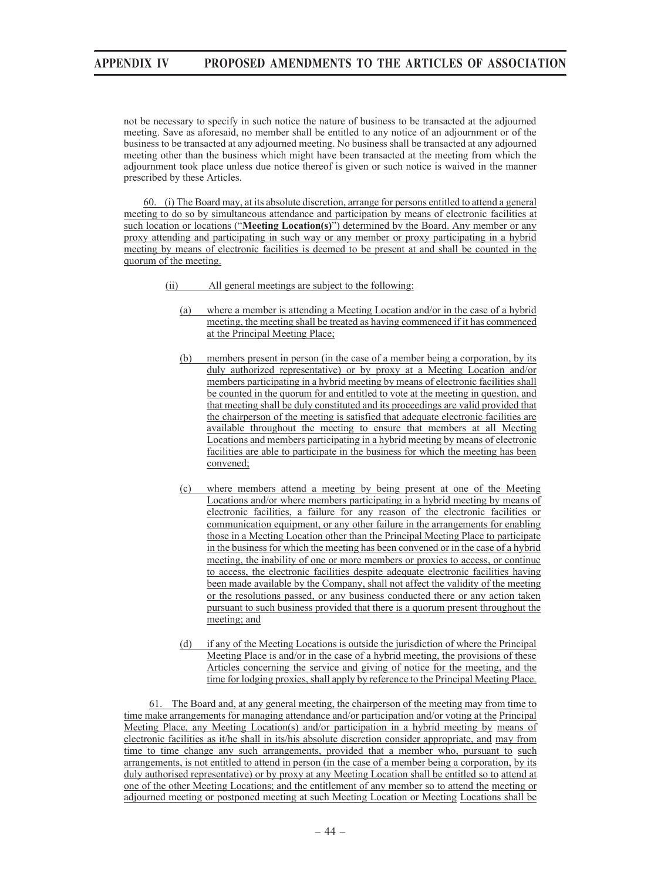not be necessary to specify in such notice the nature of business to be transacted at the adjourned meeting. Save as aforesaid, no member shall be entitled to any notice of an adjournment or of the business to be transacted at any adjourned meeting. No business shall be transacted at any adjourned meeting other than the business which might have been transacted at the meeting from which the adjournment took place unless due notice thereof is given or such notice is waived in the manner prescribed by these Articles.

60. (i) The Board may, at its absolute discretion, arrange for persons entitled to attend a general meeting to do so by simultaneous attendance and participation by means of electronic facilities at such location or locations ("**Meeting Location(s)**") determined by the Board. Any member or any proxy attending and participating in such way or any member or proxy participating in a hybrid meeting by means of electronic facilities is deemed to be present at and shall be counted in the quorum of the meeting.

- (ii) All general meetings are subject to the following:
	- (a) where a member is attending a Meeting Location and/or in the case of a hybrid meeting, the meeting shall be treated as having commenced if it has commenced at the Principal Meeting Place;
	- (b) members present in person (in the case of a member being a corporation, by its duly authorized representative) or by proxy at a Meeting Location and/or members participating in a hybrid meeting by means of electronic facilities shall be counted in the quorum for and entitled to vote at the meeting in question, and that meeting shall be duly constituted and its proceedings are valid provided that the chairperson of the meeting is satisfied that adequate electronic facilities are available throughout the meeting to ensure that members at all Meeting Locations and members participating in a hybrid meeting by means of electronic facilities are able to participate in the business for which the meeting has been convened;
	- (c) where members attend a meeting by being present at one of the Meeting Locations and/or where members participating in a hybrid meeting by means of electronic facilities, a failure for any reason of the electronic facilities or communication equipment, or any other failure in the arrangements for enabling those in a Meeting Location other than the Principal Meeting Place to participate in the business for which the meeting has been convened or in the case of a hybrid meeting, the inability of one or more members or proxies to access, or continue to access, the electronic facilities despite adequate electronic facilities having been made available by the Company, shall not affect the validity of the meeting or the resolutions passed, or any business conducted there or any action taken pursuant to such business provided that there is a quorum present throughout the meeting; and
	- (d) if any of the Meeting Locations is outside the jurisdiction of where the Principal Meeting Place is and/or in the case of a hybrid meeting, the provisions of these Articles concerning the service and giving of notice for the meeting, and the time for lodging proxies, shall apply by reference to the Principal Meeting Place.

61. The Board and, at any general meeting, the chairperson of the meeting may from time to time make arrangements for managing attendance and/or participation and/or voting at the Principal Meeting Place, any Meeting Location(s) and/or participation in a hybrid meeting by means of electronic facilities as it/he shall in its/his absolute discretion consider appropriate, and may from time to time change any such arrangements, provided that a member who, pursuant to such arrangements, is not entitled to attend in person (in the case of a member being a corporation, by its duly authorised representative) or by proxy at any Meeting Location shall be entitled so to attend at one of the other Meeting Locations; and the entitlement of any member so to attend the meeting or adjourned meeting or postponed meeting at such Meeting Location or Meeting Locations shall be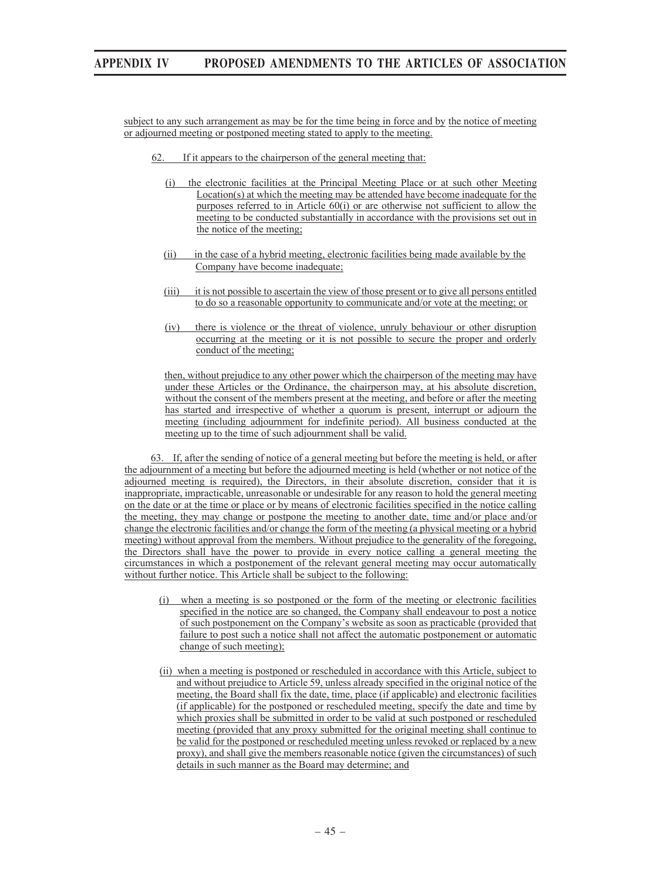subject to any such arrangement as may be for the time being in force and by the notice of meeting or adjourned meeting or postponed meeting stated to apply to the meeting.

- 62. If it appears to the chairperson of the general meeting that:
	- (i) the electronic facilities at the Principal Meeting Place or at such other Meeting Location(s) at which the meeting may be attended have become inadequate for the purposes referred to in Article  $60(i)$  or are otherwise not sufficient to allow the meeting to be conducted substantially in accordance with the provisions set out in the notice of the meeting;
	- (ii) in the case of a hybrid meeting, electronic facilities being made available by the Company have become inadequate;
	- (iii) it is not possible to ascertain the view of those present or to give all persons entitled to do so a reasonable opportunity to communicate and/or vote at the meeting; or
	- (iv) there is violence or the threat of violence, unruly behaviour or other disruption occurring at the meeting or it is not possible to secure the proper and orderly conduct of the meeting;

then, without prejudice to any other power which the chairperson of the meeting may have under these Articles or the Ordinance, the chairperson may, at his absolute discretion, without the consent of the members present at the meeting, and before or after the meeting has started and irrespective of whether a quorum is present, interrupt or adjourn the meeting (including adjournment for indefinite period). All business conducted at the meeting up to the time of such adjournment shall be valid.

63. If, after the sending of notice of a general meeting but before the meeting is held, or after the adjournment of a meeting but before the adjourned meeting is held (whether or not notice of the adjourned meeting is required), the Directors, in their absolute discretion, consider that it is inappropriate, impracticable, unreasonable or undesirable for any reason to hold the general meeting on the date or at the time or place or by means of electronic facilities specified in the notice calling the meeting, they may change or postpone the meeting to another date, time and/or place and/or change the electronic facilities and/or change the form of the meeting (a physical meeting or a hybrid meeting) without approval from the members. Without prejudice to the generality of the foregoing, the Directors shall have the power to provide in every notice calling a general meeting the circumstances in which a postponement of the relevant general meeting may occur automatically without further notice. This Article shall be subject to the following:

- (i) when a meeting is so postponed or the form of the meeting or electronic facilities specified in the notice are so changed, the Company shall endeavour to post a notice of such postponement on the Company's website as soon as practicable (provided that failure to post such a notice shall not affect the automatic postponement or automatic change of such meeting);
- (ii) when a meeting is postponed or rescheduled in accordance with this Article, subject to and without prejudice to Article 59, unless already specified in the original notice of the meeting, the Board shall fix the date, time, place (if applicable) and electronic facilities (if applicable) for the postponed or rescheduled meeting, specify the date and time by which proxies shall be submitted in order to be valid at such postponed or rescheduled meeting (provided that any proxy submitted for the original meeting shall continue to be valid for the postponed or rescheduled meeting unless revoked or replaced by a new proxy), and shall give the members reasonable notice (given the circumstances) of such details in such manner as the Board may determine; and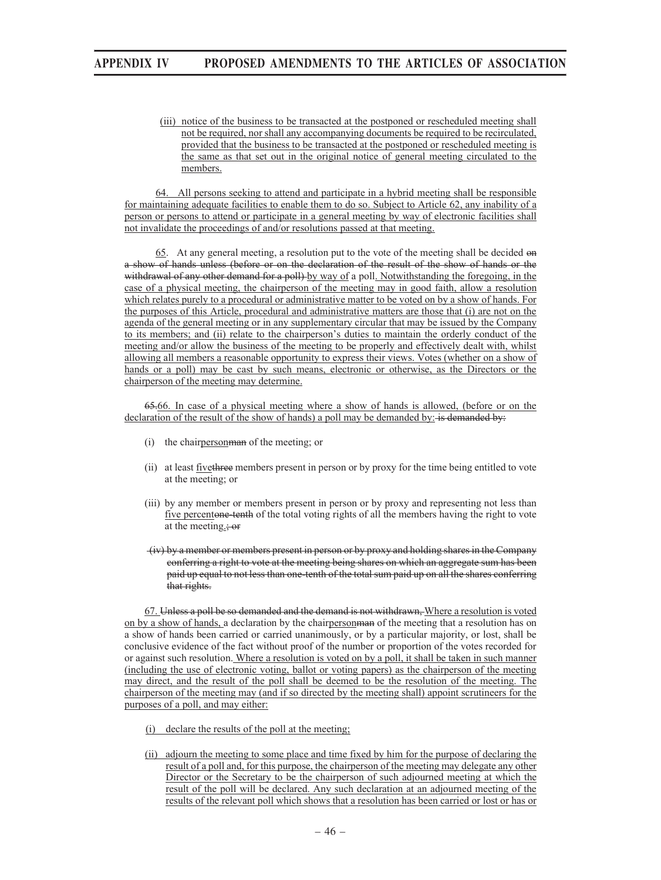(iii) notice of the business to be transacted at the postponed or rescheduled meeting shall not be required, nor shall any accompanying documents be required to be recirculated, provided that the business to be transacted at the postponed or rescheduled meeting is the same as that set out in the original notice of general meeting circulated to the members.

64. All persons seeking to attend and participate in a hybrid meeting shall be responsible for maintaining adequate facilities to enable them to do so. Subject to Article 62, any inability of a person or persons to attend or participate in a general meeting by way of electronic facilities shall not invalidate the proceedings of and/or resolutions passed at that meeting.

65. At any general meeting, a resolution put to the vote of the meeting shall be decided on a show of hands unless (before or on the declaration of the result of the show of hands or the withdrawal of any other demand for a poll) by way of a poll. Notwithstanding the foregoing, in the case of a physical meeting, the chairperson of the meeting may in good faith, allow a resolution which relates purely to a procedural or administrative matter to be voted on by a show of hands. For the purposes of this Article, procedural and administrative matters are those that (i) are not on the agenda of the general meeting or in any supplementary circular that may be issued by the Company to its members; and (ii) relate to the chairperson's duties to maintain the orderly conduct of the meeting and/or allow the business of the meeting to be properly and effectively dealt with, whilst allowing all members a reasonable opportunity to express their views. Votes (whether on a show of hands or a poll) may be cast by such means, electronic or otherwise, as the Directors or the chairperson of the meeting may determine.

65.66. In case of a physical meeting where a show of hands is allowed, (before or on the declaration of the result of the show of hands) a poll may be demanded by: is demanded by:

- (i) the chairpersonman of the meeting; or
- (ii) at least fivethree members present in person or by proxy for the time being entitled to vote at the meeting; or
- (iii) by any member or members present in person or by proxy and representing not less than five percentone-tenth of the total voting rights of all the members having the right to vote at the meeting.; or
- (iv) by a member or members present in person or by proxy and holding shares in the Company conferring a right to vote at the meeting being shares on which an aggregate sum has been paid up equal to not less than one-tenth of the total sum paid up on all the shares conferring that rights.

67. Unless a poll be so demanded and the demand is not withdrawn, Where a resolution is voted on by a show of hands, a declaration by the chairpersonman of the meeting that a resolution has on a show of hands been carried or carried unanimously, or by a particular majority, or lost, shall be conclusive evidence of the fact without proof of the number or proportion of the votes recorded for or against such resolution. Where a resolution is voted on by a poll, it shall be taken in such manner (including the use of electronic voting, ballot or voting papers) as the chairperson of the meeting may direct, and the result of the poll shall be deemed to be the resolution of the meeting. The chairperson of the meeting may (and if so directed by the meeting shall) appoint scrutineers for the purposes of a poll, and may either:

- (i) declare the results of the poll at the meeting;
- (ii) adjourn the meeting to some place and time fixed by him for the purpose of declaring the result of a poll and, for this purpose, the chairperson of the meeting may delegate any other Director or the Secretary to be the chairperson of such adjourned meeting at which the result of the poll will be declared. Any such declaration at an adjourned meeting of the results of the relevant poll which shows that a resolution has been carried or lost or has or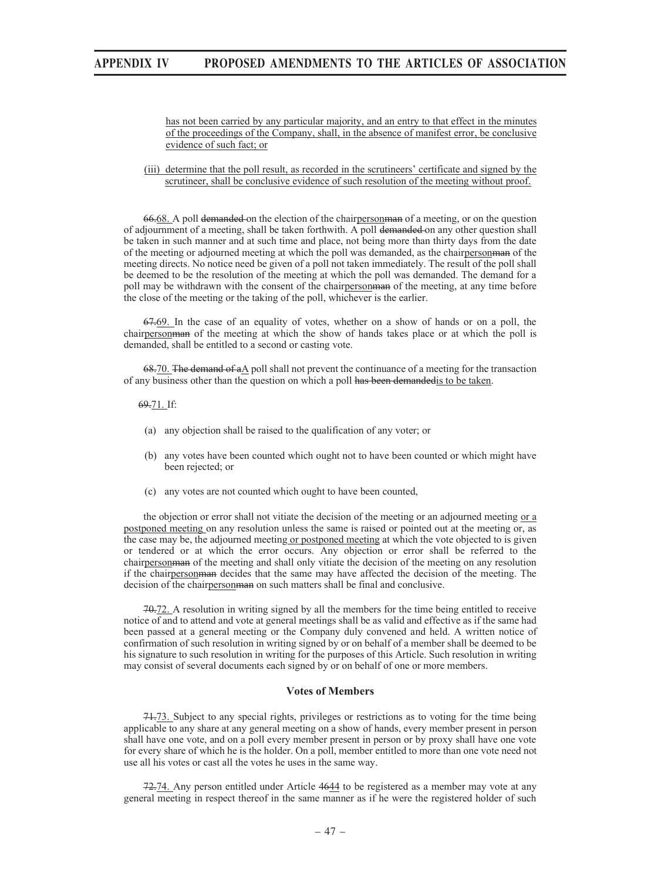#### has not been carried by any particular majority, and an entry to that effect in the minutes of the proceedings of the Company, shall, in the absence of manifest error, be conclusive evidence of such fact; or

### (iii) determine that the poll result, as recorded in the scrutineers' certificate and signed by the scrutineer, shall be conclusive evidence of such resolution of the meeting without proof.

66.68. A poll demanded on the election of the chairpersonman of a meeting, or on the question of adjournment of a meeting, shall be taken forthwith. A poll demanded on any other question shall be taken in such manner and at such time and place, not being more than thirty days from the date of the meeting or adjourned meeting at which the poll was demanded, as the chairpersonman of the meeting directs. No notice need be given of a poll not taken immediately. The result of the poll shall be deemed to be the resolution of the meeting at which the poll was demanded. The demand for a poll may be withdrawn with the consent of the chairperson man of the meeting, at any time before the close of the meeting or the taking of the poll, whichever is the earlier.

67.69. In the case of an equality of votes, whether on a show of hands or on a poll, the chairpersonman of the meeting at which the show of hands takes place or at which the poll is demanded, shall be entitled to a second or casting vote.

 $68-70$ . The demand of aA poll shall not prevent the continuance of a meeting for the transaction of any business other than the question on which a poll has been demandedis to be taken.

#### 69.71. If:

- (a) any objection shall be raised to the qualification of any voter; or
- (b) any votes have been counted which ought not to have been counted or which might have been rejected; or
- (c) any votes are not counted which ought to have been counted,

the objection or error shall not vitiate the decision of the meeting or an adjourned meeting or a postponed meeting on any resolution unless the same is raised or pointed out at the meeting or, as the case may be, the adjourned meeting or postponed meeting at which the vote objected to is given or tendered or at which the error occurs. Any objection or error shall be referred to the chairperson man of the meeting and shall only vitiate the decision of the meeting on any resolution if the chairpersonman decides that the same may have affected the decision of the meeting. The decision of the chairpersonman on such matters shall be final and conclusive.

70.72. A resolution in writing signed by all the members for the time being entitled to receive notice of and to attend and vote at general meetings shall be as valid and effective as if the same had been passed at a general meeting or the Company duly convened and held. A written notice of confirmation of such resolution in writing signed by or on behalf of a member shall be deemed to be his signature to such resolution in writing for the purposes of this Article. Such resolution in writing may consist of several documents each signed by or on behalf of one or more members.

### **Votes of Members**

71.73. Subject to any special rights, privileges or restrictions as to voting for the time being applicable to any share at any general meeting on a show of hands, every member present in person shall have one vote, and on a poll every member present in person or by proxy shall have one vote for every share of which he is the holder. On a poll, member entitled to more than one vote need not use all his votes or cast all the votes he uses in the same way.

72.74. Any person entitled under Article 4644 to be registered as a member may vote at any general meeting in respect thereof in the same manner as if he were the registered holder of such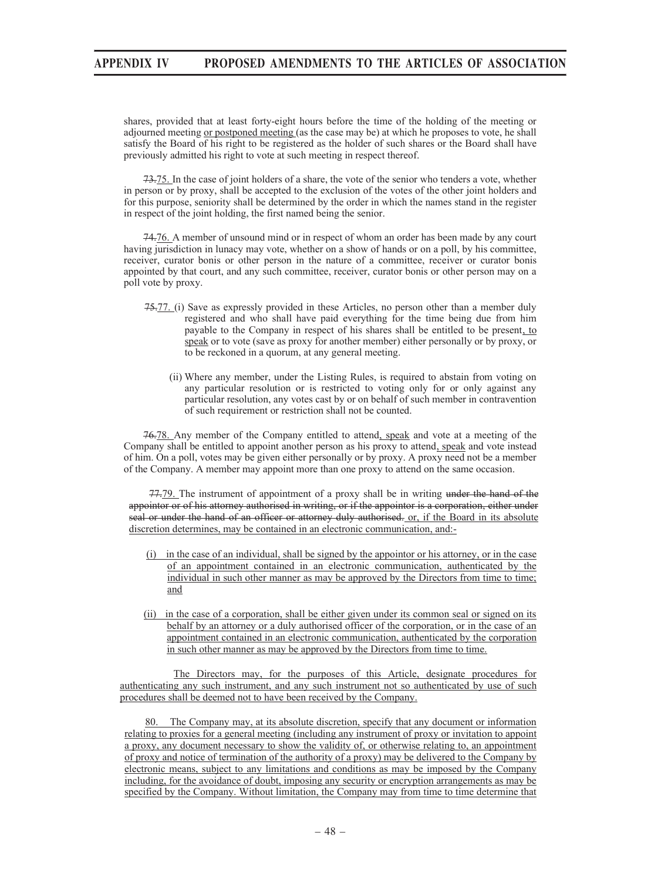shares, provided that at least forty-eight hours before the time of the holding of the meeting or adjourned meeting or postponed meeting (as the case may be) at which he proposes to vote, he shall satisfy the Board of his right to be registered as the holder of such shares or the Board shall have previously admitted his right to vote at such meeting in respect thereof.

73.75. In the case of joint holders of a share, the vote of the senior who tenders a vote, whether in person or by proxy, shall be accepted to the exclusion of the votes of the other joint holders and for this purpose, seniority shall be determined by the order in which the names stand in the register in respect of the joint holding, the first named being the senior.

74.76. A member of unsound mind or in respect of whom an order has been made by any court having jurisdiction in lunacy may vote, whether on a show of hands or on a poll, by his committee, receiver, curator bonis or other person in the nature of a committee, receiver or curator bonis appointed by that court, and any such committee, receiver, curator bonis or other person may on a poll vote by proxy.

- 75.77. (i) Save as expressly provided in these Articles, no person other than a member duly registered and who shall have paid everything for the time being due from him payable to the Company in respect of his shares shall be entitled to be present, to speak or to vote (save as proxy for another member) either personally or by proxy, or to be reckoned in a quorum, at any general meeting.
	- (ii) Where any member, under the Listing Rules, is required to abstain from voting on any particular resolution or is restricted to voting only for or only against any particular resolution, any votes cast by or on behalf of such member in contravention of such requirement or restriction shall not be counted.

76.78. Any member of the Company entitled to attend, speak and vote at a meeting of the Company shall be entitled to appoint another person as his proxy to attend, speak and vote instead of him. On a poll, votes may be given either personally or by proxy. A proxy need not be a member of the Company. A member may appoint more than one proxy to attend on the same occasion.

77.79. The instrument of appointment of a proxy shall be in writing under the hand of the appointor or of his attorney authorised in writing, or if the appointor is a corporation, either under seal or under the hand of an officer or attorney duly authorised. or, if the Board in its absolute discretion determines, may be contained in an electronic communication, and:-

- (i) in the case of an individual, shall be signed by the appointor or his attorney, or in the case of an appointment contained in an electronic communication, authenticated by the individual in such other manner as may be approved by the Directors from time to time; and
- (ii) in the case of a corporation, shall be either given under its common seal or signed on its behalf by an attorney or a duly authorised officer of the corporation, or in the case of an appointment contained in an electronic communication, authenticated by the corporation in such other manner as may be approved by the Directors from time to time.

The Directors may, for the purposes of this Article, designate procedures for authenticating any such instrument, and any such instrument not so authenticated by use of such procedures shall be deemed not to have been received by the Company.

80. The Company may, at its absolute discretion, specify that any document or information relating to proxies for a general meeting (including any instrument of proxy or invitation to appoint a proxy, any document necessary to show the validity of, or otherwise relating to, an appointment of proxy and notice of termination of the authority of a proxy) may be delivered to the Company by electronic means, subject to any limitations and conditions as may be imposed by the Company including, for the avoidance of doubt, imposing any security or encryption arrangements as may be specified by the Company. Without limitation, the Company may from time to time determine that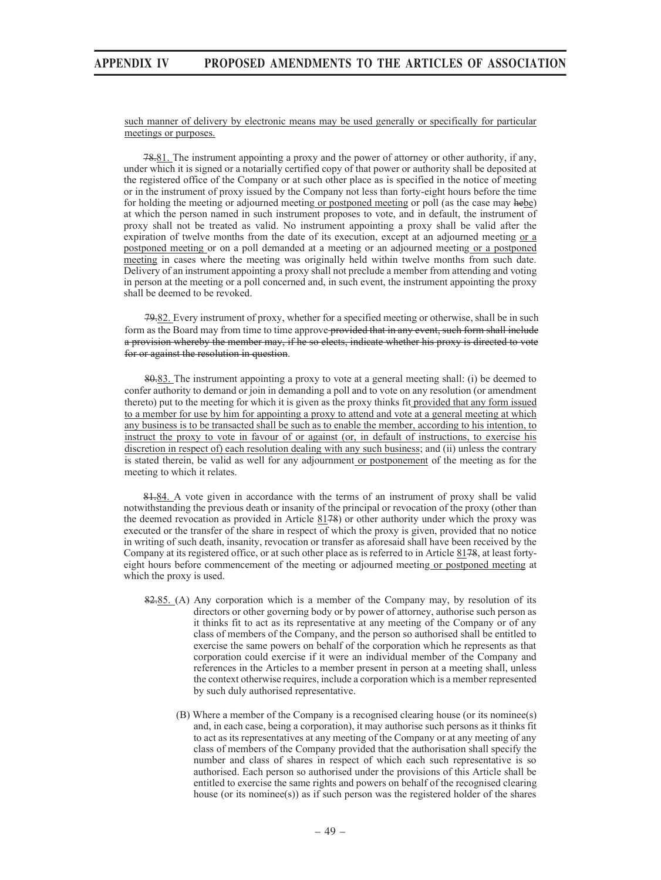such manner of delivery by electronic means may be used generally or specifically for particular meetings or purposes.

78.81. The instrument appointing a proxy and the power of attorney or other authority, if any, under which it is signed or a notarially certified copy of that power or authority shall be deposited at the registered office of the Company or at such other place as is specified in the notice of meeting or in the instrument of proxy issued by the Company not less than forty-eight hours before the time for holding the meeting or adjourned meeting or postponed meeting or poll (as the case may hebe) at which the person named in such instrument proposes to vote, and in default, the instrument of proxy shall not be treated as valid. No instrument appointing a proxy shall be valid after the expiration of twelve months from the date of its execution, except at an adjourned meeting or a postponed meeting or on a poll demanded at a meeting or an adjourned meeting or a postponed meeting in cases where the meeting was originally held within twelve months from such date. Delivery of an instrument appointing a proxy shall not preclude a member from attending and voting in person at the meeting or a poll concerned and, in such event, the instrument appointing the proxy shall be deemed to be revoked.

79.82. Every instrument of proxy, whether for a specified meeting or otherwise, shall be in such form as the Board may from time to time approve provided that in any event, such form shall include a provision whereby the member may, if he so elects, indicate whether his proxy is directed to vote for or against the resolution in question.

80.83. The instrument appointing a proxy to vote at a general meeting shall: (i) be deemed to confer authority to demand or join in demanding a poll and to vote on any resolution (or amendment thereto) put to the meeting for which it is given as the proxy thinks fit provided that any form issued to a member for use by him for appointing a proxy to attend and vote at a general meeting at which any business is to be transacted shall be such as to enable the member, according to his intention, to instruct the proxy to vote in favour of or against (or, in default of instructions, to exercise his discretion in respect of) each resolution dealing with any such business; and (ii) unless the contrary is stated therein, be valid as well for any adjournment or postponement of the meeting as for the meeting to which it relates.

81.84. A vote given in accordance with the terms of an instrument of proxy shall be valid notwithstanding the previous death or insanity of the principal or revocation of the proxy (other than the deemed revocation as provided in Article 8178) or other authority under which the proxy was executed or the transfer of the share in respect of which the proxy is given, provided that no notice in writing of such death, insanity, revocation or transfer as aforesaid shall have been received by the Company at its registered office, or at such other place as is referred to in Article 8178, at least fortyeight hours before commencement of the meeting or adjourned meeting or postponed meeting at which the proxy is used.

- $82.85$ . (A) Any corporation which is a member of the Company may, by resolution of its directors or other governing body or by power of attorney, authorise such person as it thinks fit to act as its representative at any meeting of the Company or of any class of members of the Company, and the person so authorised shall be entitled to exercise the same powers on behalf of the corporation which he represents as that corporation could exercise if it were an individual member of the Company and references in the Articles to a member present in person at a meeting shall, unless the context otherwise requires, include a corporation which is a member represented by such duly authorised representative.
	- (B) Where a member of the Company is a recognised clearing house (or its nominee(s) and, in each case, being a corporation), it may authorise such persons as it thinks fit to act as its representatives at any meeting of the Company or at any meeting of any class of members of the Company provided that the authorisation shall specify the number and class of shares in respect of which each such representative is so authorised. Each person so authorised under the provisions of this Article shall be entitled to exercise the same rights and powers on behalf of the recognised clearing house (or its nominee(s)) as if such person was the registered holder of the shares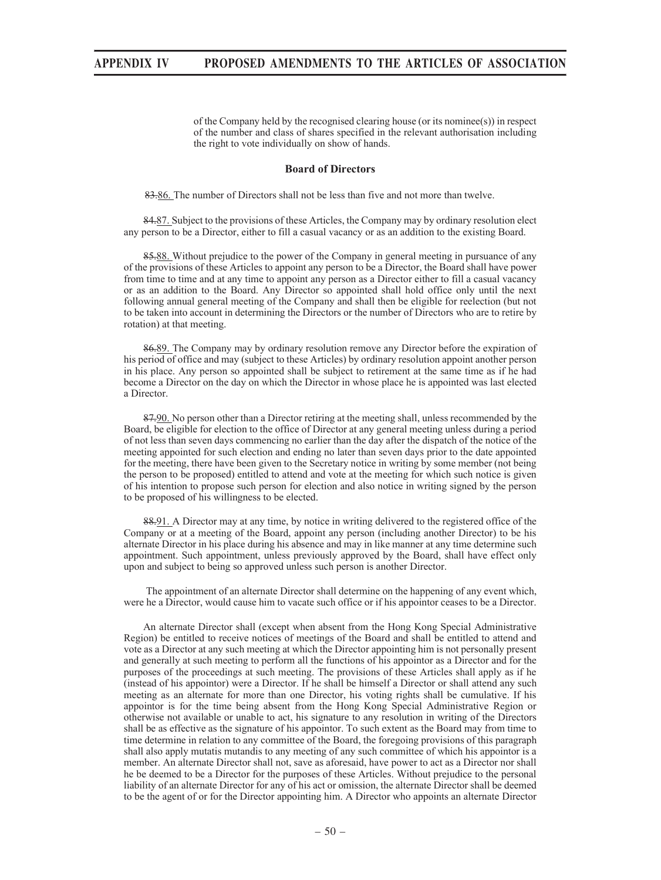of the Company held by the recognised clearing house (or its nominee(s)) in respect of the number and class of shares specified in the relevant authorisation including the right to vote individually on show of hands.

### **Board of Directors**

83.86. The number of Directors shall not be less than five and not more than twelve.

84.87. Subject to the provisions of these Articles, the Company may by ordinary resolution elect any person to be a Director, either to fill a casual vacancy or as an addition to the existing Board.

85.88. Without prejudice to the power of the Company in general meeting in pursuance of any of the provisions of these Articles to appoint any person to be a Director, the Board shall have power from time to time and at any time to appoint any person as a Director either to fill a casual vacancy or as an addition to the Board. Any Director so appointed shall hold office only until the next following annual general meeting of the Company and shall then be eligible for reelection (but not to be taken into account in determining the Directors or the number of Directors who are to retire by rotation) at that meeting.

86.89. The Company may by ordinary resolution remove any Director before the expiration of his period of office and may (subject to these Articles) by ordinary resolution appoint another person in his place. Any person so appointed shall be subject to retirement at the same time as if he had become a Director on the day on which the Director in whose place he is appointed was last elected a Director.

87.90. No person other than a Director retiring at the meeting shall, unless recommended by the Board, be eligible for election to the office of Director at any general meeting unless during a period of not less than seven days commencing no earlier than the day after the dispatch of the notice of the meeting appointed for such election and ending no later than seven days prior to the date appointed for the meeting, there have been given to the Secretary notice in writing by some member (not being the person to be proposed) entitled to attend and vote at the meeting for which such notice is given of his intention to propose such person for election and also notice in writing signed by the person to be proposed of his willingness to be elected.

88.91. A Director may at any time, by notice in writing delivered to the registered office of the Company or at a meeting of the Board, appoint any person (including another Director) to be his alternate Director in his place during his absence and may in like manner at any time determine such appointment. Such appointment, unless previously approved by the Board, shall have effect only upon and subject to being so approved unless such person is another Director.

 The appointment of an alternate Director shall determine on the happening of any event which, were he a Director, would cause him to vacate such office or if his appointor ceases to be a Director.

 An alternate Director shall (except when absent from the Hong Kong Special Administrative Region) be entitled to receive notices of meetings of the Board and shall be entitled to attend and vote as a Director at any such meeting at which the Director appointing him is not personally present and generally at such meeting to perform all the functions of his appointor as a Director and for the purposes of the proceedings at such meeting. The provisions of these Articles shall apply as if he (instead of his appointor) were a Director. If he shall be himself a Director or shall attend any such meeting as an alternate for more than one Director, his voting rights shall be cumulative. If his appointor is for the time being absent from the Hong Kong Special Administrative Region or otherwise not available or unable to act, his signature to any resolution in writing of the Directors shall be as effective as the signature of his appointor. To such extent as the Board may from time to time determine in relation to any committee of the Board, the foregoing provisions of this paragraph shall also apply mutatis mutandis to any meeting of any such committee of which his appointor is a member. An alternate Director shall not, save as aforesaid, have power to act as a Director nor shall he be deemed to be a Director for the purposes of these Articles. Without prejudice to the personal liability of an alternate Director for any of his act or omission, the alternate Director shall be deemed to be the agent of or for the Director appointing him. A Director who appoints an alternate Director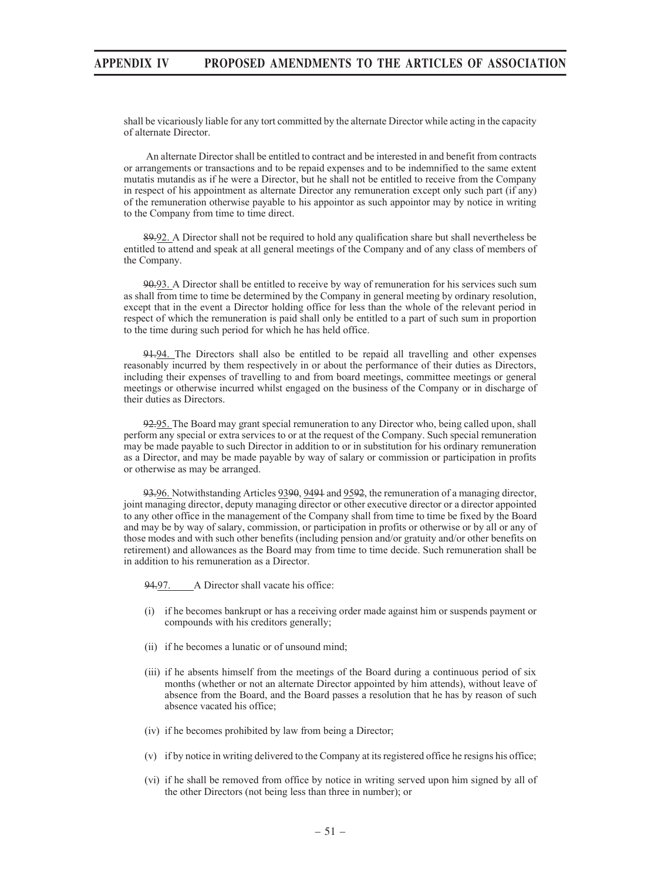shall be vicariously liable for any tort committed by the alternate Director while acting in the capacity of alternate Director.

 An alternate Director shall be entitled to contract and be interested in and benefit from contracts or arrangements or transactions and to be repaid expenses and to be indemnified to the same extent mutatis mutandis as if he were a Director, but he shall not be entitled to receive from the Company in respect of his appointment as alternate Director any remuneration except only such part (if any) of the remuneration otherwise payable to his appointor as such appointor may by notice in writing to the Company from time to time direct.

89.92. A Director shall not be required to hold any qualification share but shall nevertheless be entitled to attend and speak at all general meetings of the Company and of any class of members of the Company.

90.93. A Director shall be entitled to receive by way of remuneration for his services such sum as shall from time to time be determined by the Company in general meeting by ordinary resolution, except that in the event a Director holding office for less than the whole of the relevant period in respect of which the remuneration is paid shall only be entitled to a part of such sum in proportion to the time during such period for which he has held office.

91.94. The Directors shall also be entitled to be repaid all travelling and other expenses reasonably incurred by them respectively in or about the performance of their duties as Directors, including their expenses of travelling to and from board meetings, committee meetings or general meetings or otherwise incurred whilst engaged on the business of the Company or in discharge of their duties as Directors.

92.95. The Board may grant special remuneration to any Director who, being called upon, shall perform any special or extra services to or at the request of the Company. Such special remuneration may be made payable to such Director in addition to or in substitution for his ordinary remuneration as a Director, and may be made payable by way of salary or commission or participation in profits or otherwise as may be arranged.

93.96. Notwithstanding Articles 9390, 9491 and 9592, the remuneration of a managing director, joint managing director, deputy managing director or other executive director or a director appointed to any other office in the management of the Company shall from time to time be fixed by the Board and may be by way of salary, commission, or participation in profits or otherwise or by all or any of those modes and with such other benefits (including pension and/or gratuity and/or other benefits on retirement) and allowances as the Board may from time to time decide. Such remuneration shall be in addition to his remuneration as a Director.

94.97. A Director shall vacate his office:

- (i) if he becomes bankrupt or has a receiving order made against him or suspends payment or compounds with his creditors generally;
- (ii) if he becomes a lunatic or of unsound mind;
- (iii) if he absents himself from the meetings of the Board during a continuous period of six months (whether or not an alternate Director appointed by him attends), without leave of absence from the Board, and the Board passes a resolution that he has by reason of such absence vacated his office;
- (iv) if he becomes prohibited by law from being a Director;
- (v) if by notice in writing delivered to the Company at its registered office he resigns his office;
- (vi) if he shall be removed from office by notice in writing served upon him signed by all of the other Directors (not being less than three in number); or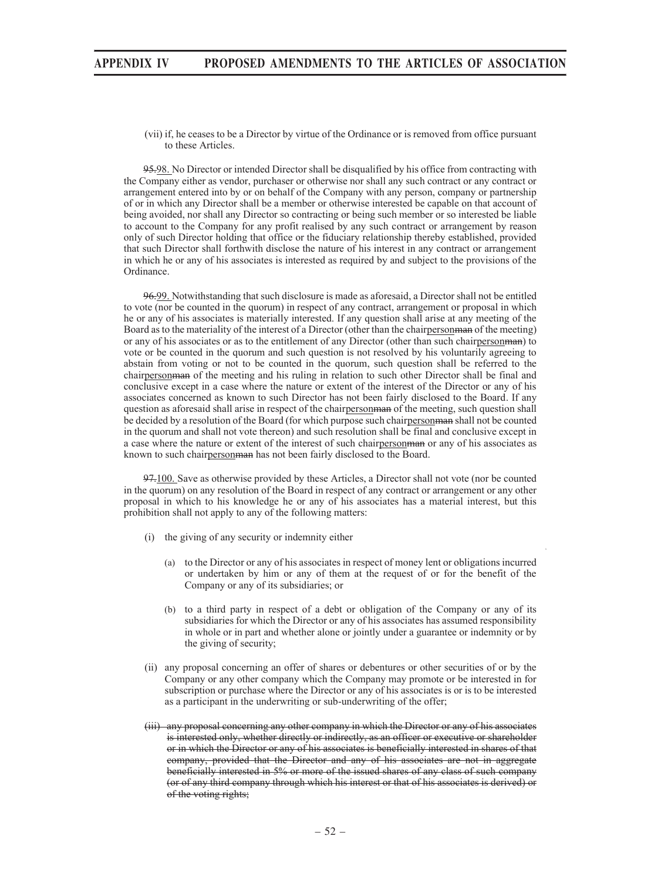(vii) if, he ceases to be a Director by virtue of the Ordinance or is removed from office pursuant to these Articles.

95.98. No Director or intended Director shall be disqualified by his office from contracting with the Company either as vendor, purchaser or otherwise nor shall any such contract or any contract or arrangement entered into by or on behalf of the Company with any person, company or partnership of or in which any Director shall be a member or otherwise interested be capable on that account of being avoided, nor shall any Director so contracting or being such member or so interested be liable to account to the Company for any profit realised by any such contract or arrangement by reason only of such Director holding that office or the fiduciary relationship thereby established, provided that such Director shall forthwith disclose the nature of his interest in any contract or arrangement in which he or any of his associates is interested as required by and subject to the provisions of the Ordinance.

96.99. Notwithstanding that such disclosure is made as aforesaid, a Director shall not be entitled to vote (nor be counted in the quorum) in respect of any contract, arrangement or proposal in which he or any of his associates is materially interested. If any question shall arise at any meeting of the Board as to the materiality of the interest of a Director (other than the chairpersonman of the meeting) or any of his associates or as to the entitlement of any Director (other than such chairpersonman) to vote or be counted in the quorum and such question is not resolved by his voluntarily agreeing to abstain from voting or not to be counted in the quorum, such question shall be referred to the chairpersonman of the meeting and his ruling in relation to such other Director shall be final and conclusive except in a case where the nature or extent of the interest of the Director or any of his associates concerned as known to such Director has not been fairly disclosed to the Board. If any question as aforesaid shall arise in respect of the chairperson manner of the meeting, such question shall be decided by a resolution of the Board (for which purpose such chairperson man shall not be counted in the quorum and shall not vote thereon) and such resolution shall be final and conclusive except in a case where the nature or extent of the interest of such chairpersonman or any of his associates as known to such chairpersonman has not been fairly disclosed to the Board.

97.100. Save as otherwise provided by these Articles, a Director shall not vote (nor be counted in the quorum) on any resolution of the Board in respect of any contract or arrangement or any other proposal in which to his knowledge he or any of his associates has a material interest, but this prohibition shall not apply to any of the following matters:

- (i) the giving of any security or indemnity either
	- (a) to the Director or any of his associates in respect of money lent or obligations incurred or undertaken by him or any of them at the request of or for the benefit of the Company or any of its subsidiaries; or
	- (b) to a third party in respect of a debt or obligation of the Company or any of its subsidiaries for which the Director or any of his associates has assumed responsibility in whole or in part and whether alone or jointly under a guarantee or indemnity or by the giving of security;
- (ii) any proposal concerning an offer of shares or debentures or other securities of or by the Company or any other company which the Company may promote or be interested in for subscription or purchase where the Director or any of his associates is or is to be interested as a participant in the underwriting or sub-underwriting of the offer;
- (iii) any proposal concerning any other company in which the Director or any of his associates is interested only, whether directly or indirectly, as an officer or executive or shareholder or in which the Director or any of his associates is beneficially interested in shares of that company, provided that the Director and any of his associates are not in aggregate beneficially interested in 5% or more of the issued shares of any class of such company (or of any third company through which his interest or that of his associates is derived) or of the voting rights;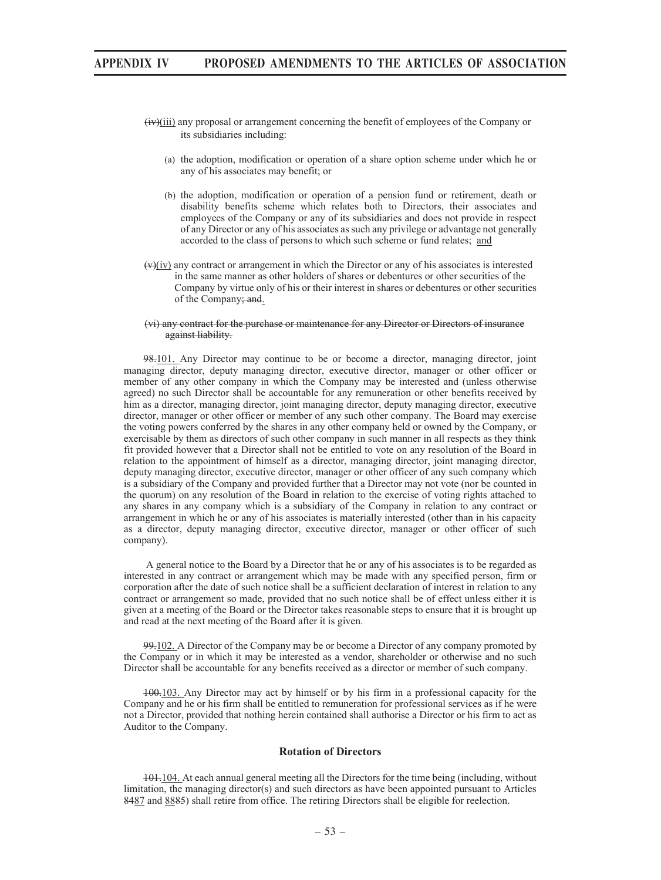- $\overrightarrow{(iv)}$ (iii) any proposal or arrangement concerning the benefit of employees of the Company or its subsidiaries including:
	- (a) the adoption, modification or operation of a share option scheme under which he or any of his associates may benefit; or
	- (b) the adoption, modification or operation of a pension fund or retirement, death or disability benefits scheme which relates both to Directors, their associates and employees of the Company or any of its subsidiaries and does not provide in respect of any Director or any of his associates as such any privilege or advantage not generally accorded to the class of persons to which such scheme or fund relates; and
- $(v)(iv)$  any contract or arrangement in which the Director or any of his associates is interested in the same manner as other holders of shares or debentures or other securities of the Company by virtue only of his or their interest in shares or debentures or other securities of the Company; and.

#### (vi) any contract for the purchase or maintenance for any Director or Directors of insurance against liability.

98.101. Any Director may continue to be or become a director, managing director, joint managing director, deputy managing director, executive director, manager or other officer or member of any other company in which the Company may be interested and (unless otherwise agreed) no such Director shall be accountable for any remuneration or other benefits received by him as a director, managing director, joint managing director, deputy managing director, executive director, manager or other officer or member of any such other company. The Board may exercise the voting powers conferred by the shares in any other company held or owned by the Company, or exercisable by them as directors of such other company in such manner in all respects as they think fit provided however that a Director shall not be entitled to vote on any resolution of the Board in relation to the appointment of himself as a director, managing director, joint managing director, deputy managing director, executive director, manager or other officer of any such company which is a subsidiary of the Company and provided further that a Director may not vote (nor be counted in the quorum) on any resolution of the Board in relation to the exercise of voting rights attached to any shares in any company which is a subsidiary of the Company in relation to any contract or arrangement in which he or any of his associates is materially interested (other than in his capacity as a director, deputy managing director, executive director, manager or other officer of such company).

 A general notice to the Board by a Director that he or any of his associates is to be regarded as interested in any contract or arrangement which may be made with any specified person, firm or corporation after the date of such notice shall be a sufficient declaration of interest in relation to any contract or arrangement so made, provided that no such notice shall be of effect unless either it is given at a meeting of the Board or the Director takes reasonable steps to ensure that it is brought up and read at the next meeting of the Board after it is given.

99.102. A Director of the Company may be or become a Director of any company promoted by the Company or in which it may be interested as a vendor, shareholder or otherwise and no such Director shall be accountable for any benefits received as a director or member of such company.

100.103. Any Director may act by himself or by his firm in a professional capacity for the Company and he or his firm shall be entitled to remuneration for professional services as if he were not a Director, provided that nothing herein contained shall authorise a Director or his firm to act as Auditor to the Company.

### **Rotation of Directors**

101.104. At each annual general meeting all the Directors for the time being (including, without limitation, the managing director(s) and such directors as have been appointed pursuant to Articles 8487 and 8885) shall retire from office. The retiring Directors shall be eligible for reelection.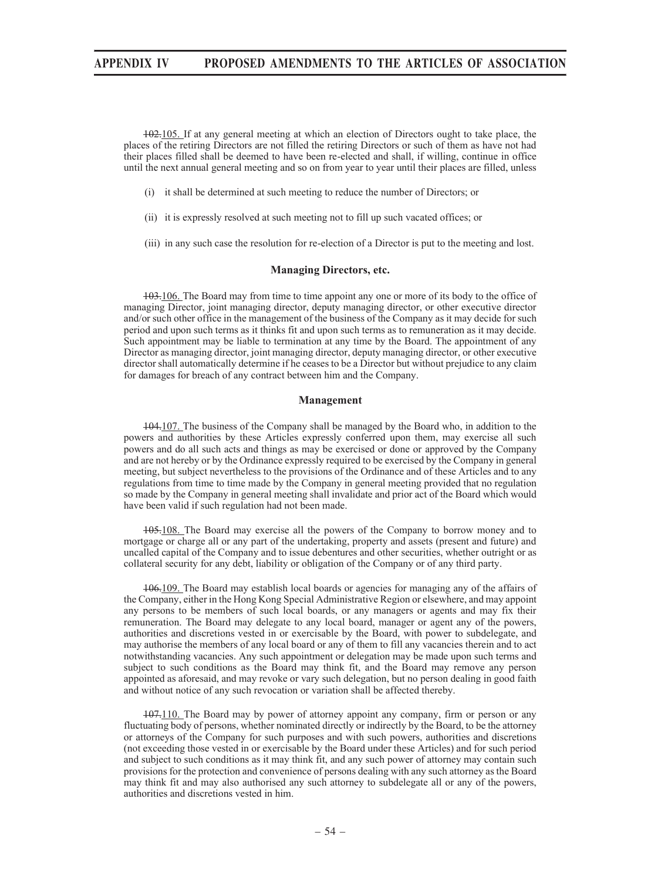102.105. If at any general meeting at which an election of Directors ought to take place, the places of the retiring Directors are not filled the retiring Directors or such of them as have not had their places filled shall be deemed to have been re-elected and shall, if willing, continue in office until the next annual general meeting and so on from year to year until their places are filled, unless

- (i) it shall be determined at such meeting to reduce the number of Directors; or
- (ii) it is expressly resolved at such meeting not to fill up such vacated offices; or
- (iii) in any such case the resolution for re-election of a Director is put to the meeting and lost.

## **Managing Directors, etc.**

103.106. The Board may from time to time appoint any one or more of its body to the office of managing Director, joint managing director, deputy managing director, or other executive director and/or such other office in the management of the business of the Company as it may decide for such period and upon such terms as it thinks fit and upon such terms as to remuneration as it may decide. Such appointment may be liable to termination at any time by the Board. The appointment of any Director as managing director, joint managing director, deputy managing director, or other executive director shall automatically determine if he ceases to be a Director but without prejudice to any claim for damages for breach of any contract between him and the Company.

#### **Management**

104.107. The business of the Company shall be managed by the Board who, in addition to the powers and authorities by these Articles expressly conferred upon them, may exercise all such powers and do all such acts and things as may be exercised or done or approved by the Company and are not hereby or by the Ordinance expressly required to be exercised by the Company in general meeting, but subject nevertheless to the provisions of the Ordinance and of these Articles and to any regulations from time to time made by the Company in general meeting provided that no regulation so made by the Company in general meeting shall invalidate and prior act of the Board which would have been valid if such regulation had not been made.

105.108. The Board may exercise all the powers of the Company to borrow money and to mortgage or charge all or any part of the undertaking, property and assets (present and future) and uncalled capital of the Company and to issue debentures and other securities, whether outright or as collateral security for any debt, liability or obligation of the Company or of any third party.

106.109. The Board may establish local boards or agencies for managing any of the affairs of the Company, either in the Hong Kong Special Administrative Region or elsewhere, and may appoint any persons to be members of such local boards, or any managers or agents and may fix their remuneration. The Board may delegate to any local board, manager or agent any of the powers, authorities and discretions vested in or exercisable by the Board, with power to subdelegate, and may authorise the members of any local board or any of them to fill any vacancies therein and to act notwithstanding vacancies. Any such appointment or delegation may be made upon such terms and subject to such conditions as the Board may think fit, and the Board may remove any person appointed as aforesaid, and may revoke or vary such delegation, but no person dealing in good faith and without notice of any such revocation or variation shall be affected thereby.

107.110. The Board may by power of attorney appoint any company, firm or person or any fluctuating body of persons, whether nominated directly or indirectly by the Board, to be the attorney or attorneys of the Company for such purposes and with such powers, authorities and discretions (not exceeding those vested in or exercisable by the Board under these Articles) and for such period and subject to such conditions as it may think fit, and any such power of attorney may contain such provisions for the protection and convenience of persons dealing with any such attorney as the Board may think fit and may also authorised any such attorney to subdelegate all or any of the powers, authorities and discretions vested in him.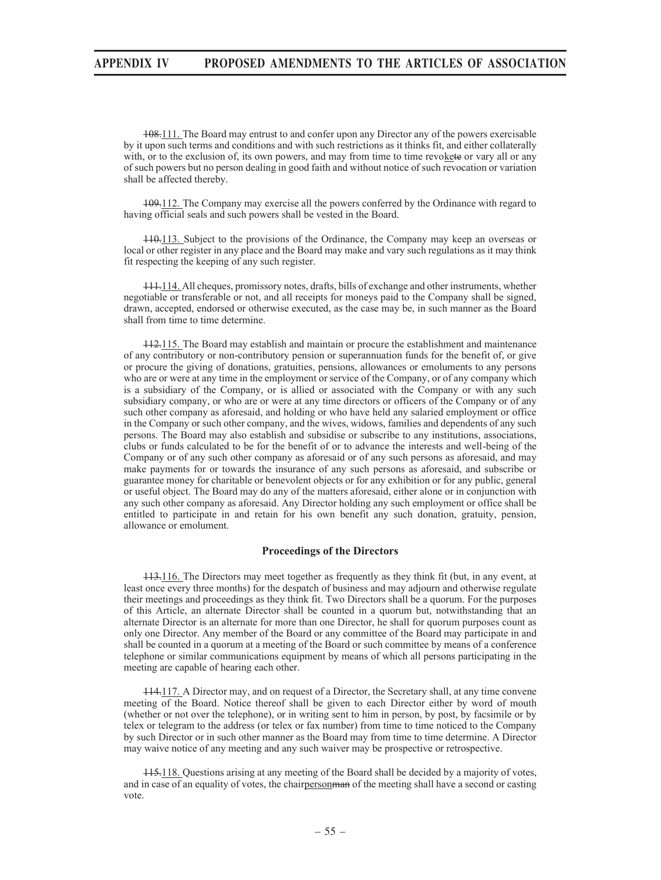108.111. The Board may entrust to and confer upon any Director any of the powers exercisable by it upon such terms and conditions and with such restrictions as it thinks fit, and either collaterally with, or to the exclusion of, its own powers, and may from time to time revokete or vary all or any of such powers but no person dealing in good faith and without notice of such revocation or variation shall be affected thereby.

109.112. The Company may exercise all the powers conferred by the Ordinance with regard to having official seals and such powers shall be vested in the Board.

110.113. Subject to the provisions of the Ordinance, the Company may keep an overseas or local or other register in any place and the Board may make and vary such regulations as it may think fit respecting the keeping of any such register.

111.114. All cheques, promissory notes, drafts, bills of exchange and other instruments, whether negotiable or transferable or not, and all receipts for moneys paid to the Company shall be signed, drawn, accepted, endorsed or otherwise executed, as the case may be, in such manner as the Board shall from time to time determine.

112.115. The Board may establish and maintain or procure the establishment and maintenance of any contributory or non-contributory pension or superannuation funds for the benefit of, or give or procure the giving of donations, gratuities, pensions, allowances or emoluments to any persons who are or were at any time in the employment or service of the Company, or of any company which is a subsidiary of the Company, or is allied or associated with the Company or with any such subsidiary company, or who are or were at any time directors or officers of the Company or of any such other company as aforesaid, and holding or who have held any salaried employment or office in the Company or such other company, and the wives, widows, families and dependents of any such persons. The Board may also establish and subsidise or subscribe to any institutions, associations, clubs or funds calculated to be for the benefit of or to advance the interests and well-being of the Company or of any such other company as aforesaid or of any such persons as aforesaid, and may make payments for or towards the insurance of any such persons as aforesaid, and subscribe or guarantee money for charitable or benevolent objects or for any exhibition or for any public, general or useful object. The Board may do any of the matters aforesaid, either alone or in conjunction with any such other company as aforesaid. Any Director holding any such employment or office shall be entitled to participate in and retain for his own benefit any such donation, gratuity, pension, allowance or emolument.

### **Proceedings of the Directors**

113.116. The Directors may meet together as frequently as they think fit (but, in any event, at least once every three months) for the despatch of business and may adjourn and otherwise regulate their meetings and proceedings as they think fit. Two Directors shall be a quorum. For the purposes of this Article, an alternate Director shall be counted in a quorum but, notwithstanding that an alternate Director is an alternate for more than one Director, he shall for quorum purposes count as only one Director. Any member of the Board or any committee of the Board may participate in and shall be counted in a quorum at a meeting of the Board or such committee by means of a conference telephone or similar communications equipment by means of which all persons participating in the meeting are capable of hearing each other.

114.117. A Director may, and on request of a Director, the Secretary shall, at any time convene meeting of the Board. Notice thereof shall be given to each Director either by word of mouth (whether or not over the telephone), or in writing sent to him in person, by post, by facsimile or by telex or telegram to the address (or telex or fax number) from time to time noticed to the Company by such Director or in such other manner as the Board may from time to time determine. A Director may waive notice of any meeting and any such waiver may be prospective or retrospective.

115.118. Questions arising at any meeting of the Board shall be decided by a majority of votes, and in case of an equality of votes, the chairperson man of the meeting shall have a second or casting vote.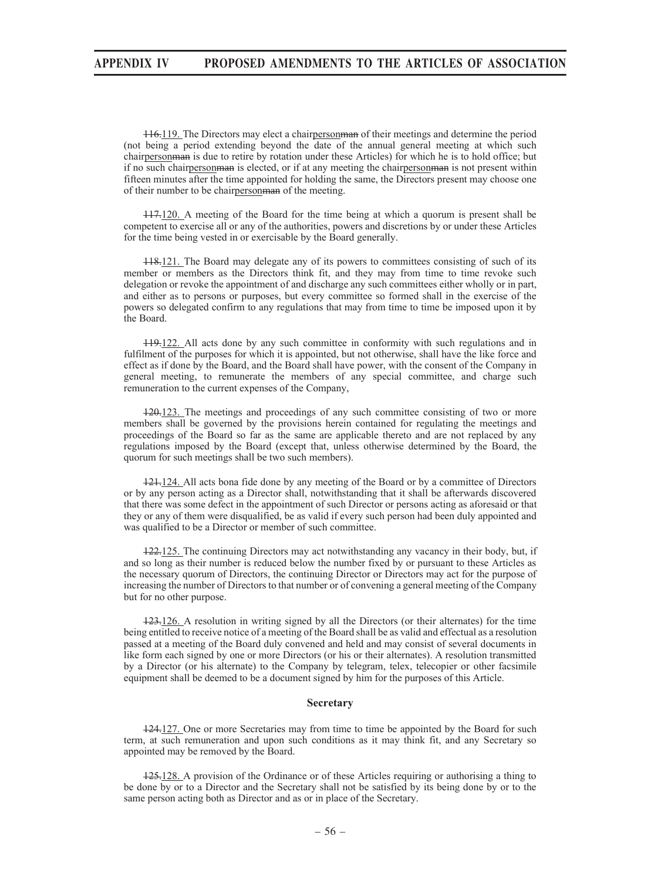116.119. The Directors may elect a chairpersonman of their meetings and determine the period (not being a period extending beyond the date of the annual general meeting at which such chairperson man is due to retire by rotation under these Articles) for which he is to hold office; but if no such chairpersonman is elected, or if at any meeting the chairpersonman is not present within fifteen minutes after the time appointed for holding the same, the Directors present may choose one of their number to be chairpersonman of the meeting.

117.120. A meeting of the Board for the time being at which a quorum is present shall be competent to exercise all or any of the authorities, powers and discretions by or under these Articles for the time being vested in or exercisable by the Board generally.

118.121. The Board may delegate any of its powers to committees consisting of such of its member or members as the Directors think fit, and they may from time to time revoke such delegation or revoke the appointment of and discharge any such committees either wholly or in part, and either as to persons or purposes, but every committee so formed shall in the exercise of the powers so delegated confirm to any regulations that may from time to time be imposed upon it by the Board.

119.122. All acts done by any such committee in conformity with such regulations and in fulfilment of the purposes for which it is appointed, but not otherwise, shall have the like force and effect as if done by the Board, and the Board shall have power, with the consent of the Company in general meeting, to remunerate the members of any special committee, and charge such remuneration to the current expenses of the Company,

120.123. The meetings and proceedings of any such committee consisting of two or more members shall be governed by the provisions herein contained for regulating the meetings and proceedings of the Board so far as the same are applicable thereto and are not replaced by any regulations imposed by the Board (except that, unless otherwise determined by the Board, the quorum for such meetings shall be two such members).

121.124. All acts bona fide done by any meeting of the Board or by a committee of Directors or by any person acting as a Director shall, notwithstanding that it shall be afterwards discovered that there was some defect in the appointment of such Director or persons acting as aforesaid or that they or any of them were disqualified, be as valid if every such person had been duly appointed and was qualified to be a Director or member of such committee.

122.125. The continuing Directors may act notwithstanding any vacancy in their body, but, if and so long as their number is reduced below the number fixed by or pursuant to these Articles as the necessary quorum of Directors, the continuing Director or Directors may act for the purpose of increasing the number of Directors to that number or of convening a general meeting of the Company but for no other purpose.

123.126. A resolution in writing signed by all the Directors (or their alternates) for the time being entitled to receive notice of a meeting of the Board shall be as valid and effectual as a resolution passed at a meeting of the Board duly convened and held and may consist of several documents in like form each signed by one or more Directors (or his or their alternates). A resolution transmitted by a Director (or his alternate) to the Company by telegram, telex, telecopier or other facsimile equipment shall be deemed to be a document signed by him for the purposes of this Article.

#### **Secretary**

124.127. One or more Secretaries may from time to time be appointed by the Board for such term, at such remuneration and upon such conditions as it may think fit, and any Secretary so appointed may be removed by the Board.

125.128. A provision of the Ordinance or of these Articles requiring or authorising a thing to be done by or to a Director and the Secretary shall not be satisfied by its being done by or to the same person acting both as Director and as or in place of the Secretary.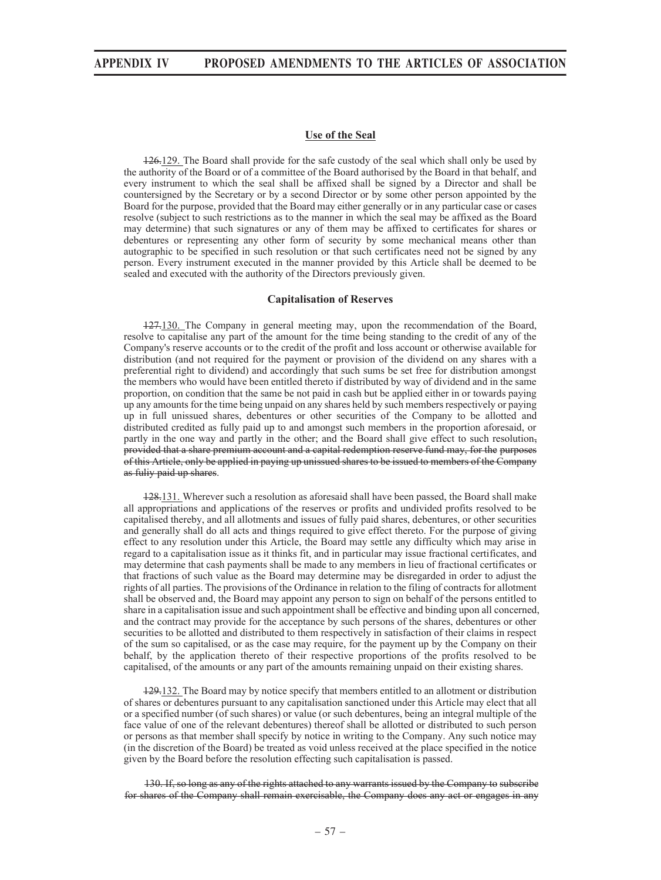## **Use of the Seal**

126.129. The Board shall provide for the safe custody of the seal which shall only be used by the authority of the Board or of a committee of the Board authorised by the Board in that behalf, and every instrument to which the seal shall be affixed shall be signed by a Director and shall be countersigned by the Secretary or by a second Director or by some other person appointed by the Board for the purpose, provided that the Board may either generally or in any particular case or cases resolve (subject to such restrictions as to the manner in which the seal may be affixed as the Board may determine) that such signatures or any of them may be affixed to certificates for shares or debentures or representing any other form of security by some mechanical means other than autographic to be specified in such resolution or that such certificates need not be signed by any person. Every instrument executed in the manner provided by this Article shall be deemed to be sealed and executed with the authority of the Directors previously given.

### **Capitalisation of Reserves**

127.130. The Company in general meeting may, upon the recommendation of the Board, resolve to capitalise any part of the amount for the time being standing to the credit of any of the Company's reserve accounts or to the credit of the profit and loss account or otherwise available for distribution (and not required for the payment or provision of the dividend on any shares with a preferential right to dividend) and accordingly that such sums be set free for distribution amongst the members who would have been entitled thereto if distributed by way of dividend and in the same proportion, on condition that the same be not paid in cash but be applied either in or towards paying up any amounts for the time being unpaid on any shares held by such members respectively or paying up in full unissued shares, debentures or other securities of the Company to be allotted and distributed credited as fully paid up to and amongst such members in the proportion aforesaid, or partly in the one way and partly in the other; and the Board shall give effect to such resolution, provided that a share premium account and a capital redemption reserve fund may, for the purposes of this Article, only be applied in paying up unissued shares to be issued to members of the Company as fuliy paid up shares.

128.131. Wherever such a resolution as aforesaid shall have been passed, the Board shall make all appropriations and applications of the reserves or profits and undivided profits resolved to be capitalised thereby, and all allotments and issues of fully paid shares, debentures, or other securities and generally shall do all acts and things required to give effect thereto. For the purpose of giving effect to any resolution under this Article, the Board may settle any difficulty which may arise in regard to a capitalisation issue as it thinks fit, and in particular may issue fractional certificates, and may determine that cash payments shall be made to any members in lieu of fractional certificates or that fractions of such value as the Board may determine may be disregarded in order to adjust the rights of all parties. The provisions of the Ordinance in relation to the filing of contracts for allotment shall be observed and, the Board may appoint any person to sign on behalf of the persons entitled to share in a capitalisation issue and such appointment shall be effective and binding upon all concerned, and the contract may provide for the acceptance by such persons of the shares, debentures or other securities to be allotted and distributed to them respectively in satisfaction of their claims in respect of the sum so capitalised, or as the case may require, for the payment up by the Company on their behalf, by the application thereto of their respective proportions of the profits resolved to be capitalised, of the amounts or any part of the amounts remaining unpaid on their existing shares.

129.132. The Board may by notice specify that members entitled to an allotment or distribution of shares or debentures pursuant to any capitalisation sanctioned under this Article may elect that all or a specified number (of such shares) or value (or such debentures, being an integral multiple of the face value of one of the relevant debentures) thereof shall be allotted or distributed to such person or persons as that member shall specify by notice in writing to the Company. Any such notice may (in the discretion of the Board) be treated as void unless received at the place specified in the notice given by the Board before the resolution effecting such capitalisation is passed.

130. If, so long as any of the rights attached to any warrants issued by the Company to subscribe for shares of the Company shall remain exercisable, the Company does any act or engages in any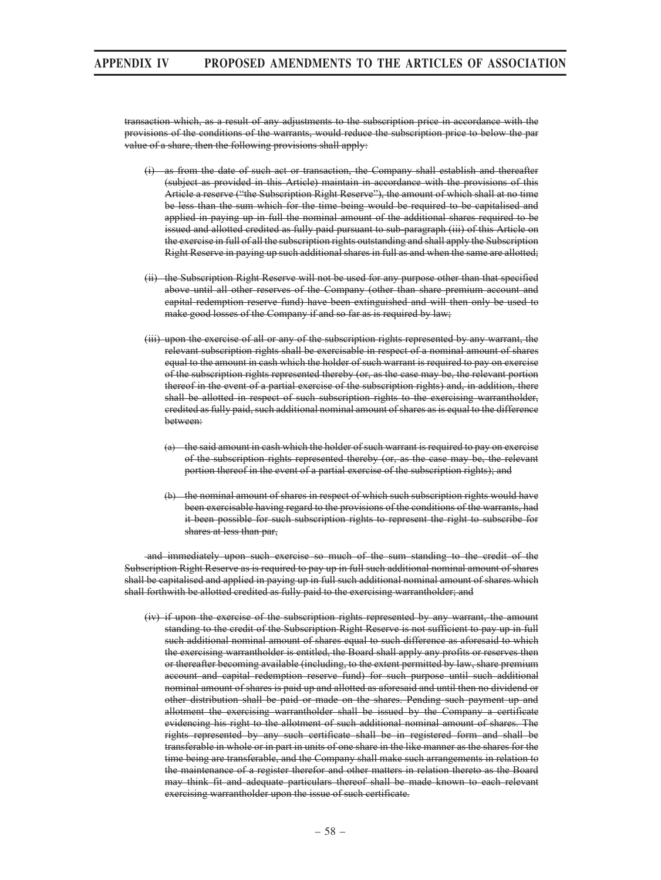transaction which, as a result of any adjustments to the subscription price in accordance with the provisions of the conditions of the warrants, would reduce the subscription price to below the par value of a share, then the following provisions shall apply:

- (i) as from the date of such act or transaction, the Company shall establish and thereafter (subject as provided in this Article) maintain in accordance with the provisions of this Article a reserve ("the Subscription Right Reserve"), the amount of which shall at no time be less than the sum which for the time being would be required to be capitalised and applied in paying up in full the nominal amount of the additional shares required to be issued and allotted credited as fully paid pursuant to sub-paragraph (iii) of this Article on the exercise in full of all the subscription rights outstanding and shall apply the Subscription Right Reserve in paying up such additional shares in full as and when the same are allotted;
- (ii) the Subscription Right Reserve will not be used for any purpose other than that specified above until all other reserves of the Company (other than share premium account and capital redemption reserve fund) have been extinguished and will then only be used to make good losses of the Company if and so far as is required by law;
- (iii) upon the exercise of all or any of the subscription rights represented by any warrant, the relevant subscription rights shall be exercisable in respect of a nominal amount of shares equal to the amount in cash which the holder of such warrant is required to pay on exercise of the subscription rights represented thereby (or, as the case may be, the relevant portion thereof in the event of a partial exercise of the subscription rights) and, in addition, there shall be allotted in respect of such subscription rights to the exercising warrantholder, credited as fully paid, such additional nominal amount of shares as is equal to the difference between:
	- (a) the said amount in cash which the holder of such warrant is required to pay on exercise of the subscription rights represented thereby (or, as the case may be, the relevant portion thereof in the event of a partial exercise of the subscription rights); and
	- (b) the nominal amount of shares in respect of which such subscription rights would have been exercisable having regard to the provisions of the conditions of the warrants, had it been possible for such subscription rights to represent the right to subscribe for shares at less than par,

 and immediately upon such exercise so much of the sum standing to the credit of the Subscription Right Reserve as is required to pay up in full such additional nominal amount of shares shall be capitalised and applied in paying up in full such additional nominal amount of shares which shall forthwith be allotted credited as fully paid to the exercising warrantholder; and

(iv) if upon the exercise of the subscription rights represented by any warrant, the amount standing to the credit of the Subscription Right Reserve is not sufficient to pay up in full such additional nominal amount of shares equal to such difference as aforesaid to which the exercising warrantholder is entitled, the Board shall apply any profits or reserves then or thereafter becoming available (including, to the extent permitted by law, share premium account and capital redemption reserve fund) for such purpose until such additional nominal amount of shares is paid up and allotted as aforesaid and until then no dividend or other distribution shall be paid or made on the shares. Pending such payment up and allotment the exercising warrantholder shall be issued by the Company a certificate evidencing his right to the allotment of such additional nominal amount of shares. The rights represented by any such certificate shall be in registered form and shall be transferable in whole or in part in units of one share in the like manner as the shares for the time being are transferable, and the Company shall make such arrangements in relation to the maintenance of a register therefor and other matters in relation thereto as the Board may think fit and adequate particulars thereof shall be made known to each relevant exercising warrantholder upon the issue of such certificate.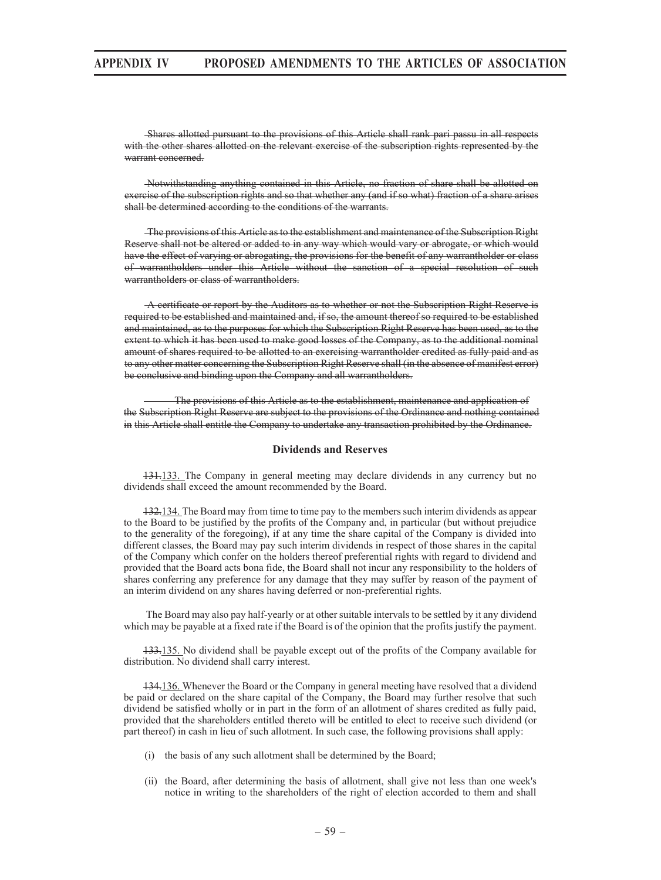Shares allotted pursuant to the provisions of this Article shall rank pari passu in all respects with the other shares allotted on the relevant exercise of the subscription rights represented by the warrant concerned.

 Notwithstanding anything contained in this Article, no fraction of share shall be allotted on exercise of the subscription rights and so that whether any (and if so what) fraction of a share arises shall be determined according to the conditions of the warrants.

 The provisions of this Article as to the establishment and maintenance of the Subscription Right Reserve shall not be altered or added to in any way which would vary or abrogate, or which would have the effect of varying or abrogating, the provisions for the benefit of any warrantholder or class of warrantholders under this Article without the sanction of a special resolution of such warrantholders or class of warrantholders.

 A certificate or report by the Auditors as to whether or not the Subscription Right Reserve is required to be established and maintained and, if so, the amount thereof so required to be established and maintained, as to the purposes for which the Subscription Right Reserve has been used, as to the extent to which it has been used to make good losses of the Company, as to the additional nominal amount of shares required to be allotted to an exercising warrantholder credited as fully paid and as to any other matter concerning the Subscription Right Reserve shall (in the absence of manifest error) be conclusive and binding upon the Company and all warrantholders.

 The provisions of this Article as to the establishment, maintenance and application of the Subscription Right Reserve are subject to the provisions of the Ordinance and nothing contained in this Article shall entitle the Company to undertake any transaction prohibited by the Ordinance.

## **Dividends and Reserves**

131.133. The Company in general meeting may declare dividends in any currency but no dividends shall exceed the amount recommended by the Board.

132.134. The Board may from time to time pay to the members such interim dividends as appear to the Board to be justified by the profits of the Company and, in particular (but without prejudice to the generality of the foregoing), if at any time the share capital of the Company is divided into different classes, the Board may pay such interim dividends in respect of those shares in the capital of the Company which confer on the holders thereof preferential rights with regard to dividend and provided that the Board acts bona fide, the Board shall not incur any responsibility to the holders of shares conferring any preference for any damage that they may suffer by reason of the payment of an interim dividend on any shares having deferred or non-preferential rights.

 The Board may also pay half-yearly or at other suitable intervals to be settled by it any dividend which may be payable at a fixed rate if the Board is of the opinion that the profits justify the payment.

133.135. No dividend shall be payable except out of the profits of the Company available for distribution. No dividend shall carry interest.

134.136. Whenever the Board or the Company in general meeting have resolved that a dividend be paid or declared on the share capital of the Company, the Board may further resolve that such dividend be satisfied wholly or in part in the form of an allotment of shares credited as fully paid, provided that the shareholders entitled thereto will be entitled to elect to receive such dividend (or part thereof) in cash in lieu of such allotment. In such case, the following provisions shall apply:

- (i) the basis of any such allotment shall be determined by the Board;
- (ii) the Board, after determining the basis of allotment, shall give not less than one week's notice in writing to the shareholders of the right of election accorded to them and shall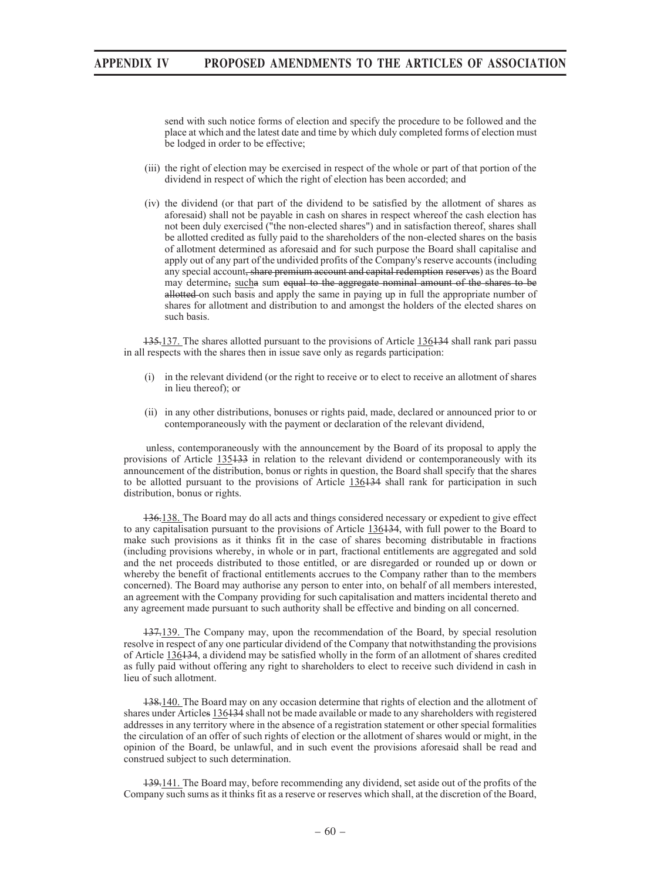send with such notice forms of election and specify the procedure to be followed and the place at which and the latest date and time by which duly completed forms of election must be lodged in order to be effective;

- (iii) the right of election may be exercised in respect of the whole or part of that portion of the dividend in respect of which the right of election has been accorded; and
- (iv) the dividend (or that part of the dividend to be satisfied by the allotment of shares as aforesaid) shall not be payable in cash on shares in respect whereof the cash election has not been duly exercised ("the non-elected shares") and in satisfaction thereof, shares shall be allotted credited as fully paid to the shareholders of the non-elected shares on the basis of allotment determined as aforesaid and for such purpose the Board shall capitalise and apply out of any part of the undivided profits of the Company's reserve accounts (including any special account, share premium account and capital redemption reserves) as the Board may determine, sucha sum equal to the aggregate nominal amount of the shares to be allotted on such basis and apply the same in paying up in full the appropriate number of shares for allotment and distribution to and amongst the holders of the elected shares on such basis.

135.137. The shares allotted pursuant to the provisions of Article 136.134 shall rank pari passu in all respects with the shares then in issue save only as regards participation:

- (i) in the relevant dividend (or the right to receive or to elect to receive an allotment of shares in lieu thereof); or
- (ii) in any other distributions, bonuses or rights paid, made, declared or announced prior to or contemporaneously with the payment or declaration of the relevant dividend,

 unless, contemporaneously with the announcement by the Board of its proposal to apply the provisions of Article 135133 in relation to the relevant dividend or contemporaneously with its announcement of the distribution, bonus or rights in question, the Board shall specify that the shares to be allotted pursuant to the provisions of Article 136134 shall rank for participation in such distribution, bonus or rights.

136.138. The Board may do all acts and things considered necessary or expedient to give effect to any capitalisation pursuant to the provisions of Article 136434, with full power to the Board to make such provisions as it thinks fit in the case of shares becoming distributable in fractions (including provisions whereby, in whole or in part, fractional entitlements are aggregated and sold and the net proceeds distributed to those entitled, or are disregarded or rounded up or down or whereby the benefit of fractional entitlements accrues to the Company rather than to the members concerned). The Board may authorise any person to enter into, on behalf of all members interested, an agreement with the Company providing for such capitalisation and matters incidental thereto and any agreement made pursuant to such authority shall be effective and binding on all concerned.

137.139. The Company may, upon the recommendation of the Board, by special resolution resolve in respect of any one particular dividend of the Company that notwithstanding the provisions of Article 136134, a dividend may be satisfied wholly in the form of an allotment of shares credited as fully paid without offering any right to shareholders to elect to receive such dividend in cash in lieu of such allotment.

138.140. The Board may on any occasion determine that rights of election and the allotment of shares under Articles 136134 shall not be made available or made to any shareholders with registered addresses in any territory where in the absence of a registration statement or other special formalities the circulation of an offer of such rights of election or the allotment of shares would or might, in the opinion of the Board, be unlawful, and in such event the provisions aforesaid shall be read and construed subject to such determination.

139.141. The Board may, before recommending any dividend, set aside out of the profits of the Company such sums as it thinks fit as a reserve or reserves which shall, at the discretion of the Board,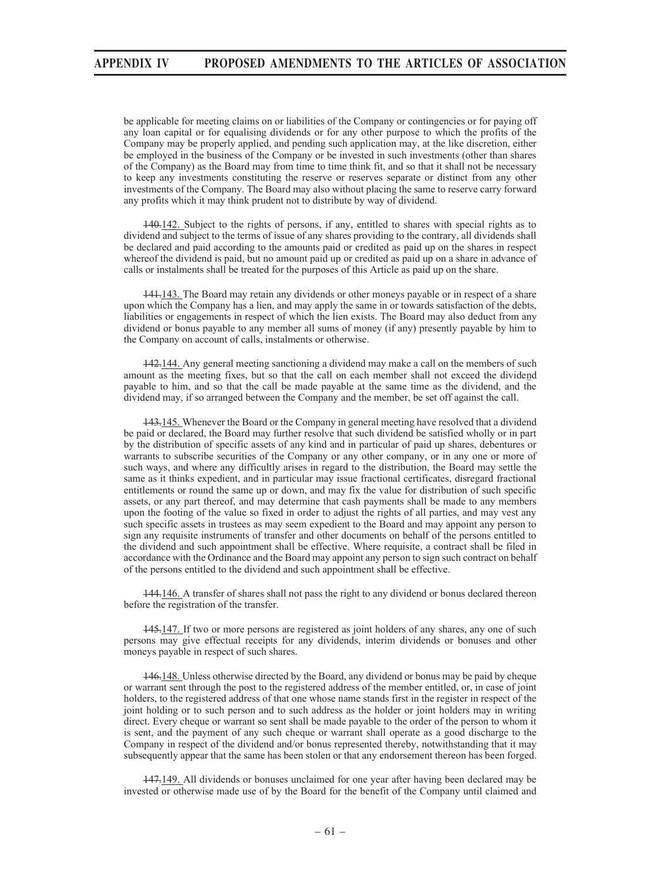be applicable for meeting claims on or liabilities of the Company or contingencies or for paying off any loan capital or for equalising dividends or for any other purpose to which the profits of the Company may be properly applied, and pending such application may, at the like discretion, either be employed in the business of the Company or be invested in such investments (other than shares of the Company) as the Board may from time to time think fit, and so that it shall not be necessary to keep any investments constituting the reserve or reserves separate or distinct from any other investments of the Company. The Board may also without placing the same to reserve carry forward any profits which it may think prudent not to distribute by way of dividend.

140.142. Subject to the rights of persons, if any, entitled to shares with special rights as to dividend and subject to the terms of issue of any shares providing to the contrary, all dividends shall be declared and paid according to the amounts paid or credited as paid up on the shares in respect whereof the dividend is paid, but no amount paid up or credited as paid up on a share in advance of calls or instalments shall be treated for the purposes of this Article as paid up on the share.

141.143. The Board may retain any dividends or other moneys payable or in respect of a share upon which the Company has a lien, and may apply the same in or towards satisfaction of the debts, liabilities or engagements in respect of which the lien exists. The Board may also deduct from any dividend or bonus payable to any member all sums of money (if any) presently payable by him to the Company on account of calls, instalments or otherwise.

142.144. Any general meeting sanctioning a dividend may make a call on the members of such amount as the meeting fixes, but so that the call on each member shall not exceed the dividend payable to him, and so that the call be made payable at the same time as the dividend, and the dividend may, if so arranged between the Company and the member, be set off against the call.

143.145. Whenever the Board or the Company in general meeting have resolved that a dividend be paid or declared, the Board may further resolve that such dividend be satisfied wholly or in part by the distribution of specific assets of any kind and in particular of paid up shares, debentures or warrants to subscribe securities of the Company or any other company, or in any one or more of such ways, and where any difficultly arises in regard to the distribution, the Board may settle the same as it thinks expedient, and in particular may issue fractional certificates, disregard fractional entitlements or round the same up or down, and may fix the value for distribution of such specific assets, or any part thereof, and may determine that cash payments shall be made to any members upon the footing of the value so fixed in order to adjust the rights of all parties, and may vest any such specific assets in trustees as may seem expedient to the Board and may appoint any person to sign any requisite instruments of transfer and other documents on behalf of the persons entitled to the dividend and such appointment shall be effective. Where requisite, a contract shall be filed in accordance with the Ordinance and the Board may appoint any person to sign such contract on behalf of the persons entitled to the dividend and such appointment shall be effective.

144.146. A transfer of shares shall not pass the right to any dividend or bonus declared thereon before the registration of the transfer.

145.147. If two or more persons are registered as joint holders of any shares, any one of such persons may give effectual receipts for any dividends, interim dividends or bonuses and other moneys payable in respect of such shares.

146.148. Unless otherwise directed by the Board, any dividend or bonus may be paid by cheque or warrant sent through the post to the registered address of the member entitled, or, in case of joint holders, to the registered address of that one whose name stands first in the register in respect of the joint holding or to such person and to such address as the holder or joint holders may in writing direct. Every cheque or warrant so sent shall be made payable to the order of the person to whom it is sent, and the payment of any such cheque or warrant shall operate as a good discharge to the Company in respect of the dividend and/or bonus represented thereby, notwithstanding that it may subsequently appear that the same has been stolen or that any endorsement thereon has been forged.

147.149. All dividends or bonuses unclaimed for one year after having been declared may be invested or otherwise made use of by the Board for the benefit of the Company until claimed and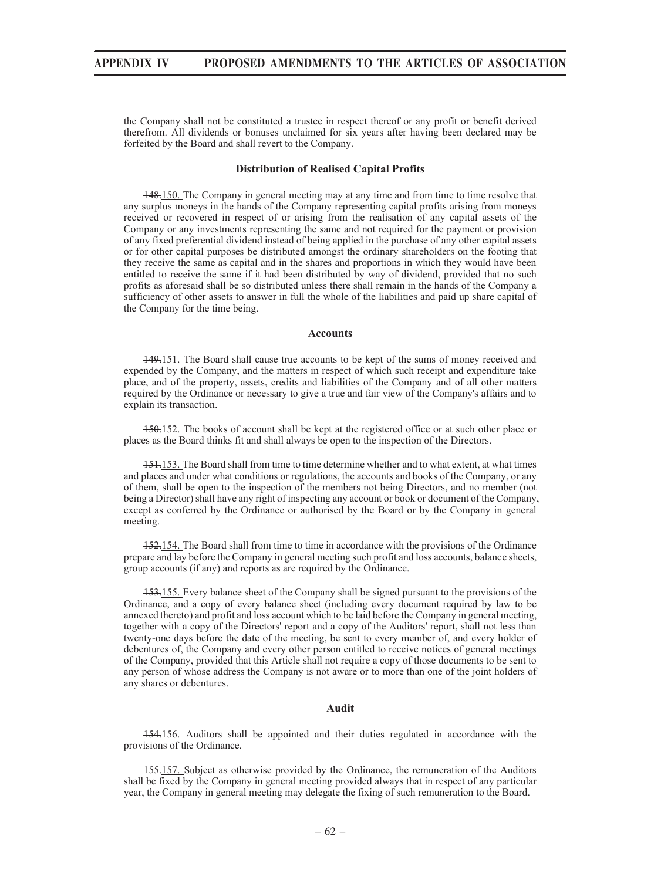the Company shall not be constituted a trustee in respect thereof or any profit or benefit derived therefrom. All dividends or bonuses unclaimed for six years after having been declared may be forfeited by the Board and shall revert to the Company.

#### **Distribution of Realised Capital Profits**

148.150. The Company in general meeting may at any time and from time to time resolve that any surplus moneys in the hands of the Company representing capital profits arising from moneys received or recovered in respect of or arising from the realisation of any capital assets of the Company or any investments representing the same and not required for the payment or provision of any fixed preferential dividend instead of being applied in the purchase of any other capital assets or for other capital purposes be distributed amongst the ordinary shareholders on the footing that they receive the same as capital and in the shares and proportions in which they would have been entitled to receive the same if it had been distributed by way of dividend, provided that no such profits as aforesaid shall be so distributed unless there shall remain in the hands of the Company a sufficiency of other assets to answer in full the whole of the liabilities and paid up share capital of the Company for the time being.

#### **Accounts**

149.151. The Board shall cause true accounts to be kept of the sums of money received and expended by the Company, and the matters in respect of which such receipt and expenditure take place, and of the property, assets, credits and liabilities of the Company and of all other matters required by the Ordinance or necessary to give a true and fair view of the Company's affairs and to explain its transaction.

150.152. The books of account shall be kept at the registered office or at such other place or places as the Board thinks fit and shall always be open to the inspection of the Directors.

151.153. The Board shall from time to time determine whether and to what extent, at what times and places and under what conditions or regulations, the accounts and books of the Company, or any of them, shall be open to the inspection of the members not being Directors, and no member (not being a Director) shall have any right of inspecting any account or book or document of the Company, except as conferred by the Ordinance or authorised by the Board or by the Company in general meeting.

152.154. The Board shall from time to time in accordance with the provisions of the Ordinance prepare and lay before the Company in general meeting such profit and loss accounts, balance sheets, group accounts (if any) and reports as are required by the Ordinance.

153.155. Every balance sheet of the Company shall be signed pursuant to the provisions of the Ordinance, and a copy of every balance sheet (including every document required by law to be annexed thereto) and profit and loss account which to be laid before the Company in general meeting, together with a copy of the Directors' report and a copy of the Auditors' report, shall not less than twenty-one days before the date of the meeting, be sent to every member of, and every holder of debentures of, the Company and every other person entitled to receive notices of general meetings of the Company, provided that this Article shall not require a copy of those documents to be sent to any person of whose address the Company is not aware or to more than one of the joint holders of any shares or debentures.

### **Audit**

154.156. Auditors shall be appointed and their duties regulated in accordance with the provisions of the Ordinance.

155.157. Subject as otherwise provided by the Ordinance, the remuneration of the Auditors shall be fixed by the Company in general meeting provided always that in respect of any particular year, the Company in general meeting may delegate the fixing of such remuneration to the Board.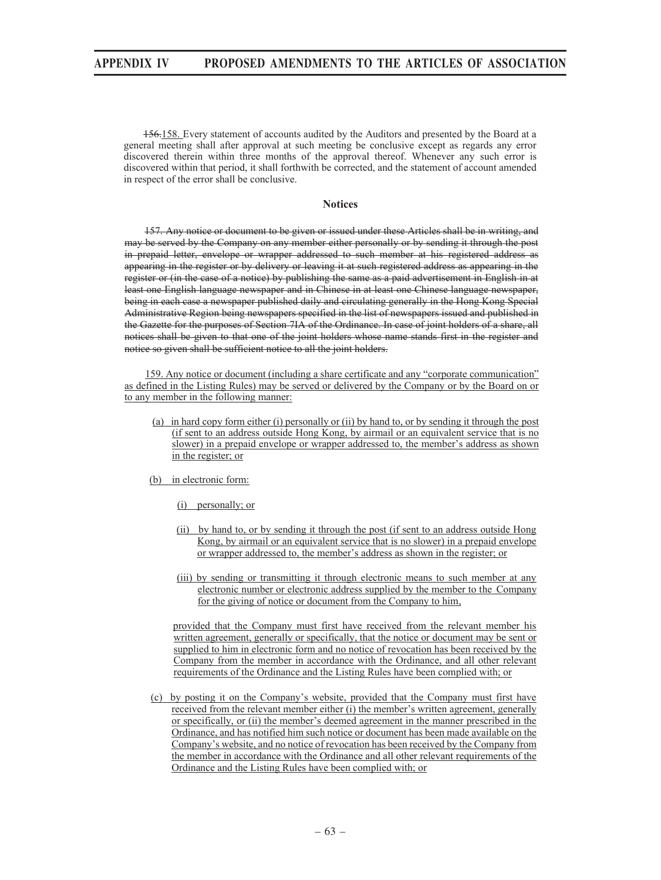156.158. Every statement of accounts audited by the Auditors and presented by the Board at a general meeting shall after approval at such meeting be conclusive except as regards any error discovered therein within three months of the approval thereof. Whenever any such error is discovered within that period, it shall forthwith be corrected, and the statement of account amended in respect of the error shall be conclusive.

### **Notices**

157. Any notice or document to be given or issued under these Articles shall be in writing, and may be served by the Company on any member either personally or by sending it through the post in prepaid letter, envelope or wrapper addressed to such member at his registered address as appearing in the register or by delivery or leaving it at such registered address as appearing in the register or (in the case of a notice) by publishing the same as a paid advertisement in English in at least one English language newspaper and in Chinese in at least one Chinese language newspaper, being in each case a newspaper published daily and circulating generally in the Hong Kong Special Administrative Region being newspapers specified in the list of newspapers issued and published in the Gazette for the purposes of Section 7IA of the Ordinance. In case of joint holders of a share, all notices shall be given to that one of the joint holders whose name stands first in the register and notice so given shall be sufficient notice to all the joint holders.

159. Any notice or document (including a share certificate and any "corporate communication" as defined in the Listing Rules) may be served or delivered by the Company or by the Board on or to any member in the following manner:

- (a) in hard copy form either (i) personally or (ii) by hand to, or by sending it through the post (if sent to an address outside Hong Kong, by airmail or an equivalent service that is no slower) in a prepaid envelope or wrapper addressed to, the member's address as shown in the register; or
- (b) in electronic form:
	- (i) personally; or
	- (ii) by hand to, or by sending it through the post (if sent to an address outside Hong Kong, by airmail or an equivalent service that is no slower) in a prepaid envelope or wrapper addressed to, the member's address as shown in the register; or
	- (iii) by sending or transmitting it through electronic means to such member at any electronic number or electronic address supplied by the member to the Company for the giving of notice or document from the Company to him,

provided that the Company must first have received from the relevant member his written agreement, generally or specifically, that the notice or document may be sent or supplied to him in electronic form and no notice of revocation has been received by the Company from the member in accordance with the Ordinance, and all other relevant requirements of the Ordinance and the Listing Rules have been complied with; or

(c) by posting it on the Company's website, provided that the Company must first have received from the relevant member either (i) the member's written agreement, generally or specifically, or (ii) the member's deemed agreement in the manner prescribed in the Ordinance, and has notified him such notice or document has been made available on the Company's website, and no notice of revocation has been received by the Company from the member in accordance with the Ordinance and all other relevant requirements of the Ordinance and the Listing Rules have been complied with; or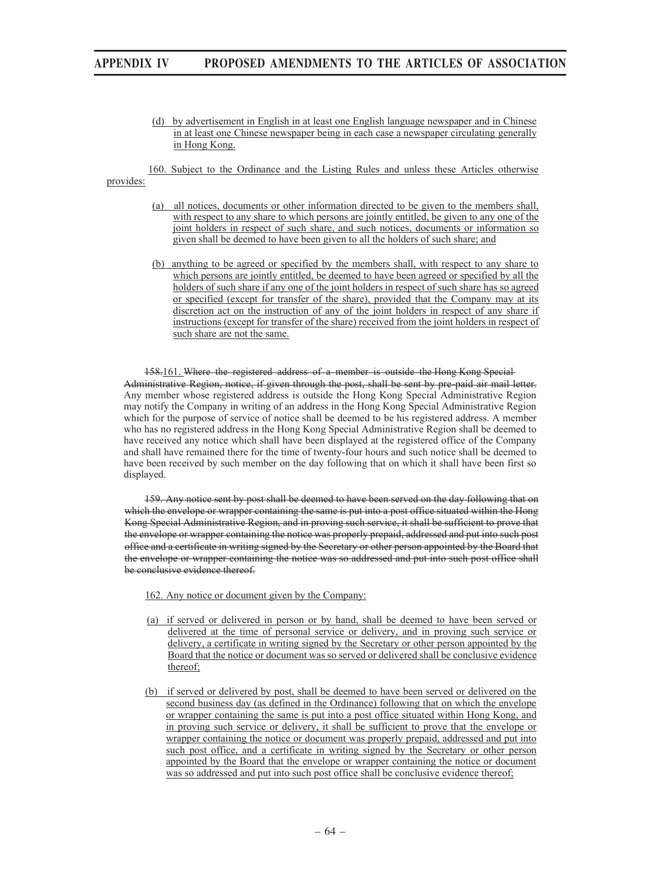- (d) by advertisement in English in at least one English language newspaper and in Chinese in at least one Chinese newspaper being in each case a newspaper circulating generally in Hong Kong.
- 160. Subject to the Ordinance and the Listing Rules and unless these Articles otherwise

provides:

- (a) all notices, documents or other information directed to be given to the members shall, with respect to any share to which persons are jointly entitled, be given to any one of the joint holders in respect of such share, and such notices, documents or information so given shall be deemed to have been given to all the holders of such share; and
- (b) anything to be agreed or specified by the members shall, with respect to any share to which persons are jointly entitled, be deemed to have been agreed or specified by all the holders of such share if any one of the joint holders in respect of such share has so agreed or specified (except for transfer of the share), provided that the Company may at its discretion act on the instruction of any of the joint holders in respect of any share if instructions (except for transfer of the share) received from the joint holders in respect of such share are not the same.

#### 158.161. Where the registered address of a member is outside the Hong Kong Special

Administrative Region, notice, if given through the post, shall be sent by pre-paid air mail letter. Any member whose registered address is outside the Hong Kong Special Administrative Region may notify the Company in writing of an address in the Hong Kong Special Administrative Region which for the purpose of service of notice shall be deemed to be his registered address. A member who has no registered address in the Hong Kong Special Administrative Region shall be deemed to have received any notice which shall have been displayed at the registered office of the Company and shall have remained there for the time of twenty-four hours and such notice shall be deemed to have been received by such member on the day following that on which it shall have been first so displayed.

159. Any notice sent by post shall be deemed to have been served on the day following that on which the envelope or wrapper containing the same is put into a post office situated within the Hong Kong Special Administrative Region, and in proving such service, it shall be sufficient to prove that the envelope or wrapper containing the notice was properly prepaid, addressed and put into such post office and a certificate in writing signed by the Secretary or other person appointed by the Board that the envelope or wrapper containing the notice was so addressed and put into such post office shall be conclusive evidence thereof.

162. Any notice or document given by the Company:

- (a) if served or delivered in person or by hand, shall be deemed to have been served or delivered at the time of personal service or delivery, and in proving such service or delivery, a certificate in writing signed by the Secretary or other person appointed by the Board that the notice or document was so served or delivered shall be conclusive evidence thereof;
- (b) if served or delivered by post, shall be deemed to have been served or delivered on the second business day (as defined in the Ordinance) following that on which the envelope or wrapper containing the same is put into a post office situated within Hong Kong, and in proving such service or delivery, it shall be sufficient to prove that the envelope or wrapper containing the notice or document was properly prepaid, addressed and put into such post office, and a certificate in writing signed by the Secretary or other person appointed by the Board that the envelope or wrapper containing the notice or document was so addressed and put into such post office shall be conclusive evidence thereof;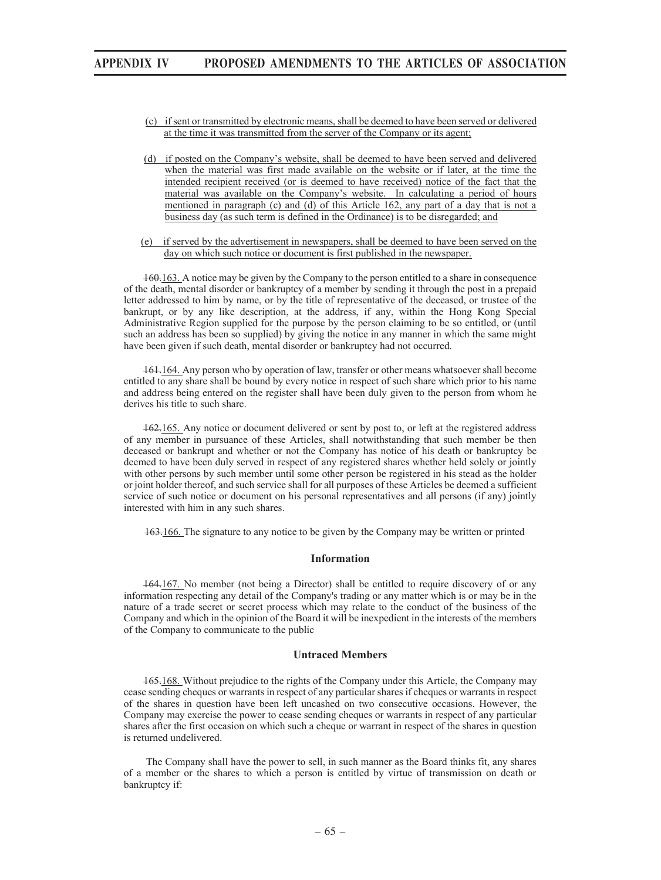- (c) if sent or transmitted by electronic means, shall be deemed to have been served or delivered at the time it was transmitted from the server of the Company or its agent;
- (d) if posted on the Company's website, shall be deemed to have been served and delivered when the material was first made available on the website or if later, at the time the intended recipient received (or is deemed to have received) notice of the fact that the material was available on the Company's website. In calculating a period of hours mentioned in paragraph (c) and (d) of this Article 162, any part of a day that is not a business day (as such term is defined in the Ordinance) is to be disregarded; and
- (e) if served by the advertisement in newspapers, shall be deemed to have been served on the day on which such notice or document is first published in the newspaper.

160.163. A notice may be given by the Company to the person entitled to a share in consequence of the death, mental disorder or bankruptcy of a member by sending it through the post in a prepaid letter addressed to him by name, or by the title of representative of the deceased, or trustee of the bankrupt, or by any like description, at the address, if any, within the Hong Kong Special Administrative Region supplied for the purpose by the person claiming to be so entitled, or (until such an address has been so supplied) by giving the notice in any manner in which the same might have been given if such death, mental disorder or bankruptcy had not occurred.

161.164. Any person who by operation of law, transfer or other means whatsoever shall become entitled to any share shall be bound by every notice in respect of such share which prior to his name and address being entered on the register shall have been duly given to the person from whom he derives his title to such share.

162.165. Any notice or document delivered or sent by post to, or left at the registered address of any member in pursuance of these Articles, shall notwithstanding that such member be then deceased or bankrupt and whether or not the Company has notice of his death or bankruptcy be deemed to have been duly served in respect of any registered shares whether held solely or jointly with other persons by such member until some other person be registered in his stead as the holder or joint holder thereof, and such service shall for all purposes of these Articles be deemed a sufficient service of such notice or document on his personal representatives and all persons (if any) jointly interested with him in any such shares.

163.166. The signature to any notice to be given by the Company may be written or printed

#### **Information**

164.167. No member (not being a Director) shall be entitled to require discovery of or any information respecting any detail of the Company's trading or any matter which is or may be in the nature of a trade secret or secret process which may relate to the conduct of the business of the Company and which in the opinion of the Board it will be inexpedient in the interests of the members of the Company to communicate to the public

## **Untraced Members**

165.168. Without prejudice to the rights of the Company under this Article, the Company may cease sending cheques or warrants in respect of any particular shares if cheques or warrants in respect of the shares in question have been left uncashed on two consecutive occasions. However, the Company may exercise the power to cease sending cheques or warrants in respect of any particular shares after the first occasion on which such a cheque or warrant in respect of the shares in question is returned undelivered.

 The Company shall have the power to sell, in such manner as the Board thinks fit, any shares of a member or the shares to which a person is entitled by virtue of transmission on death or bankruptcy if: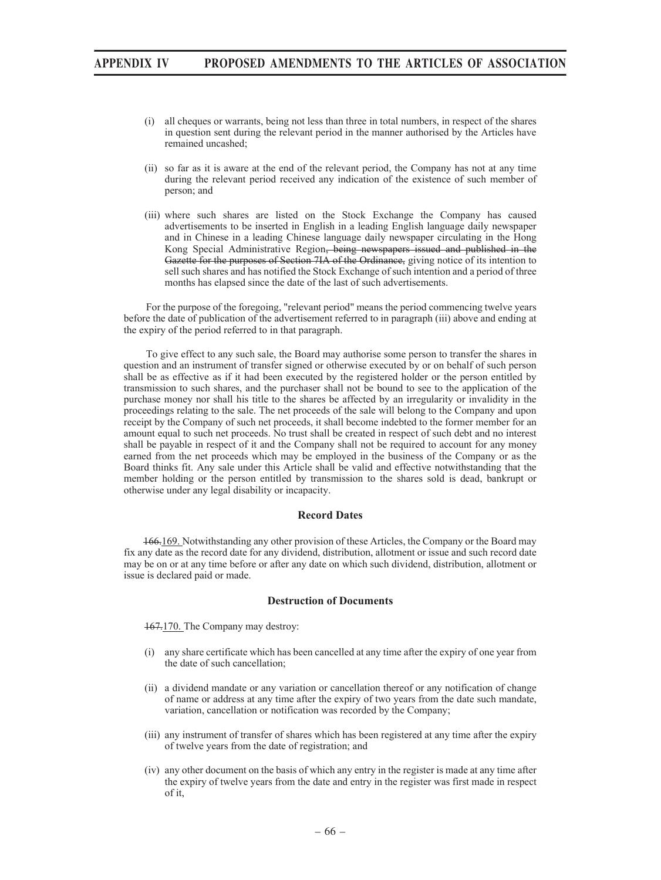- (i) all cheques or warrants, being not less than three in total numbers, in respect of the shares in question sent during the relevant period in the manner authorised by the Articles have remained uncashed;
- (ii) so far as it is aware at the end of the relevant period, the Company has not at any time during the relevant period received any indication of the existence of such member of person; and
- (iii) where such shares are listed on the Stock Exchange the Company has caused advertisements to be inserted in English in a leading English language daily newspaper and in Chinese in a leading Chinese language daily newspaper circulating in the Hong Kong Special Administrative Region, being newspapers issued and published in the Gazette for the purposes of Section 7IA of the Ordinance, giving notice of its intention to sell such shares and has notified the Stock Exchange of such intention and a period of three months has elapsed since the date of the last of such advertisements.

 For the purpose of the foregoing, "relevant period" means the period commencing twelve years before the date of publication of the advertisement referred to in paragraph (iii) above and ending at the expiry of the period referred to in that paragraph.

 To give effect to any such sale, the Board may authorise some person to transfer the shares in question and an instrument of transfer signed or otherwise executed by or on behalf of such person shall be as effective as if it had been executed by the registered holder or the person entitled by transmission to such shares, and the purchaser shall not be bound to see to the application of the purchase money nor shall his title to the shares be affected by an irregularity or invalidity in the proceedings relating to the sale. The net proceeds of the sale will belong to the Company and upon receipt by the Company of such net proceeds, it shall become indebted to the former member for an amount equal to such net proceeds. No trust shall be created in respect of such debt and no interest shall be payable in respect of it and the Company shall not be required to account for any money earned from the net proceeds which may be employed in the business of the Company or as the Board thinks fit. Any sale under this Article shall be valid and effective notwithstanding that the member holding or the person entitled by transmission to the shares sold is dead, bankrupt or otherwise under any legal disability or incapacity.

#### **Record Dates**

166.169. Notwithstanding any other provision of these Articles, the Company or the Board may fix any date as the record date for any dividend, distribution, allotment or issue and such record date may be on or at any time before or after any date on which such dividend, distribution, allotment or issue is declared paid or made.

#### **Destruction of Documents**

167.170. The Company may destroy:

- (i) any share certificate which has been cancelled at any time after the expiry of one year from the date of such cancellation;
- (ii) a dividend mandate or any variation or cancellation thereof or any notification of change of name or address at any time after the expiry of two years from the date such mandate, variation, cancellation or notification was recorded by the Company;
- (iii) any instrument of transfer of shares which has been registered at any time after the expiry of twelve years from the date of registration; and
- (iv) any other document on the basis of which any entry in the register is made at any time after the expiry of twelve years from the date and entry in the register was first made in respect of it,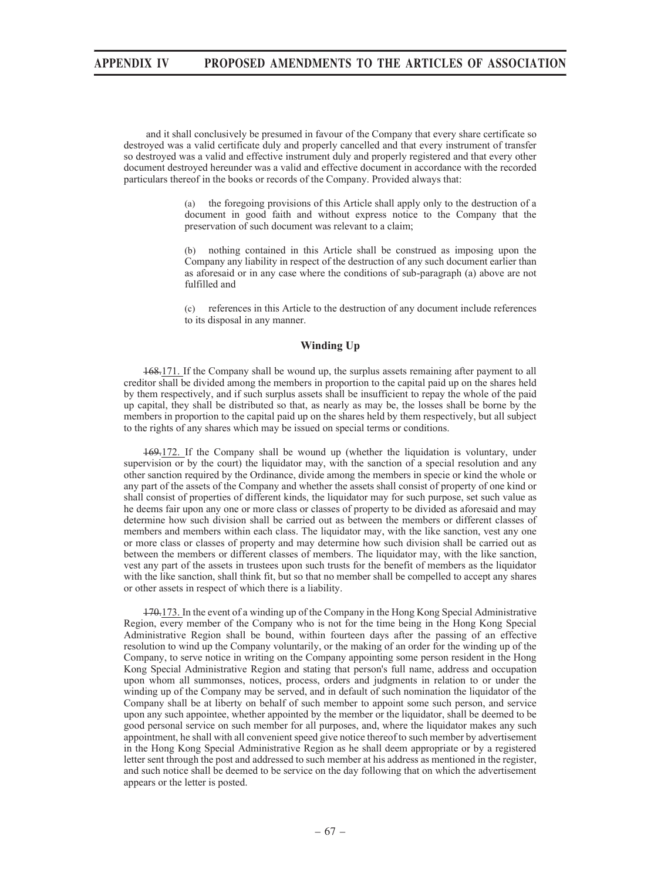and it shall conclusively be presumed in favour of the Company that every share certificate so destroyed was a valid certificate duly and properly cancelled and that every instrument of transfer so destroyed was a valid and effective instrument duly and properly registered and that every other document destroyed hereunder was a valid and effective document in accordance with the recorded particulars thereof in the books or records of the Company. Provided always that:

> (a) the foregoing provisions of this Article shall apply only to the destruction of a document in good faith and without express notice to the Company that the preservation of such document was relevant to a claim;

> (b) nothing contained in this Article shall be construed as imposing upon the Company any liability in respect of the destruction of any such document earlier than as aforesaid or in any case where the conditions of sub-paragraph (a) above are not fulfilled and

> (c) references in this Article to the destruction of any document include references to its disposal in any manner.

#### **Winding Up**

168.171. If the Company shall be wound up, the surplus assets remaining after payment to all creditor shall be divided among the members in proportion to the capital paid up on the shares held by them respectively, and if such surplus assets shall be insufficient to repay the whole of the paid up capital, they shall be distributed so that, as nearly as may be, the losses shall be borne by the members in proportion to the capital paid up on the shares held by them respectively, but all subject to the rights of any shares which may be issued on special terms or conditions.

169.172. If the Company shall be wound up (whether the liquidation is voluntary, under supervision or by the court) the liquidator may, with the sanction of a special resolution and any other sanction required by the Ordinance, divide among the members in specie or kind the whole or any part of the assets of the Company and whether the assets shall consist of property of one kind or shall consist of properties of different kinds, the liquidator may for such purpose, set such value as he deems fair upon any one or more class or classes of property to be divided as aforesaid and may determine how such division shall be carried out as between the members or different classes of members and members within each class. The liquidator may, with the like sanction, vest any one or more class or classes of property and may determine how such division shall be carried out as between the members or different classes of members. The liquidator may, with the like sanction, vest any part of the assets in trustees upon such trusts for the benefit of members as the liquidator with the like sanction, shall think fit, but so that no member shall be compelled to accept any shares or other assets in respect of which there is a liability.

170.173. In the event of a winding up of the Company in the Hong Kong Special Administrative Region, every member of the Company who is not for the time being in the Hong Kong Special Administrative Region shall be bound, within fourteen days after the passing of an effective resolution to wind up the Company voluntarily, or the making of an order for the winding up of the Company, to serve notice in writing on the Company appointing some person resident in the Hong Kong Special Administrative Region and stating that person's full name, address and occupation upon whom all summonses, notices, process, orders and judgments in relation to or under the winding up of the Company may be served, and in default of such nomination the liquidator of the Company shall be at liberty on behalf of such member to appoint some such person, and service upon any such appointee, whether appointed by the member or the liquidator, shall be deemed to be good personal service on such member for all purposes, and, where the liquidator makes any such appointment, he shall with all convenient speed give notice thereof to such member by advertisement in the Hong Kong Special Administrative Region as he shall deem appropriate or by a registered letter sent through the post and addressed to such member at his address as mentioned in the register, and such notice shall be deemed to be service on the day following that on which the advertisement appears or the letter is posted.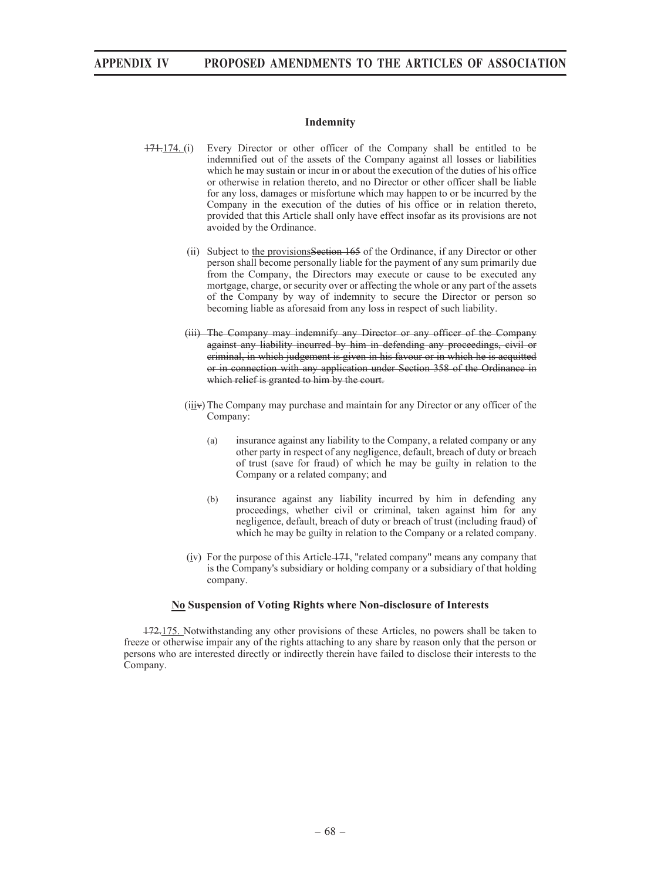## **Indemnity**

- 171.174. (i) Every Director or other officer of the Company shall be entitled to be indemnified out of the assets of the Company against all losses or liabilities which he may sustain or incur in or about the execution of the duties of his office or otherwise in relation thereto, and no Director or other officer shall be liable for any loss, damages or misfortune which may happen to or be incurred by the Company in the execution of the duties of his office or in relation thereto, provided that this Article shall only have effect insofar as its provisions are not avoided by the Ordinance.
	- (ii) Subject to the provisionsSection 165 of the Ordinance, if any Director or other person shall become personally liable for the payment of any sum primarily due from the Company, the Directors may execute or cause to be executed any mortgage, charge, or security over or affecting the whole or any part of the assets of the Company by way of indemnity to secure the Director or person so becoming liable as aforesaid from any loss in respect of such liability.
	- (iii) The Company may indemnify any Director or any officer of the Company against any liability incurred by him in defending any proceedings, civil or criminal, in which judgement is given in his favour or in which he is acquitted or in connection with any application under Section 358 of the Ordinance in which relief is granted to him by the court.
	- (iiiv) The Company may purchase and maintain for any Director or any officer of the Company:
		- (a) insurance against any liability to the Company, a related company or any other party in respect of any negligence, default, breach of duty or breach of trust (save for fraud) of which he may be guilty in relation to the Company or a related company; and
		- (b) insurance against any liability incurred by him in defending any proceedings, whether civil or criminal, taken against him for any negligence, default, breach of duty or breach of trust (including fraud) of which he may be guilty in relation to the Company or a related company.
	- (iv) For the purpose of this Article 171, "related company" means any company that is the Company's subsidiary or holding company or a subsidiary of that holding company.

## **No Suspension of Voting Rights where Non-disclosure of Interests**

172.175. Notwithstanding any other provisions of these Articles, no powers shall be taken to freeze or otherwise impair any of the rights attaching to any share by reason only that the person or persons who are interested directly or indirectly therein have failed to disclose their interests to the Company.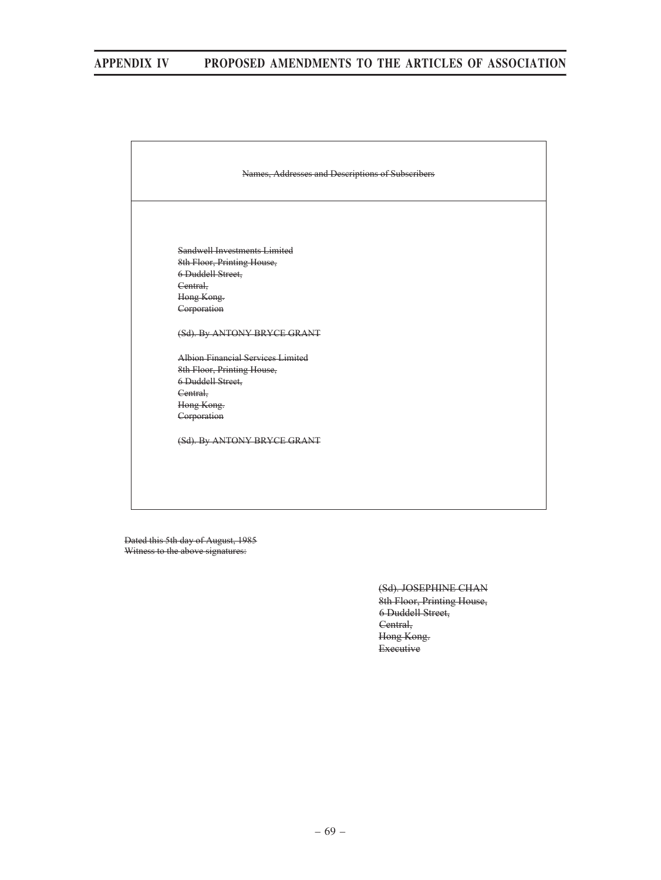

Dated this 5th day of August, 1985 Witness to the above signatures:

> (Sd). JOSEPHINE CHAN 8th Floor, Printing House, 6 Duddell Street, Central, Hong Kong. Executive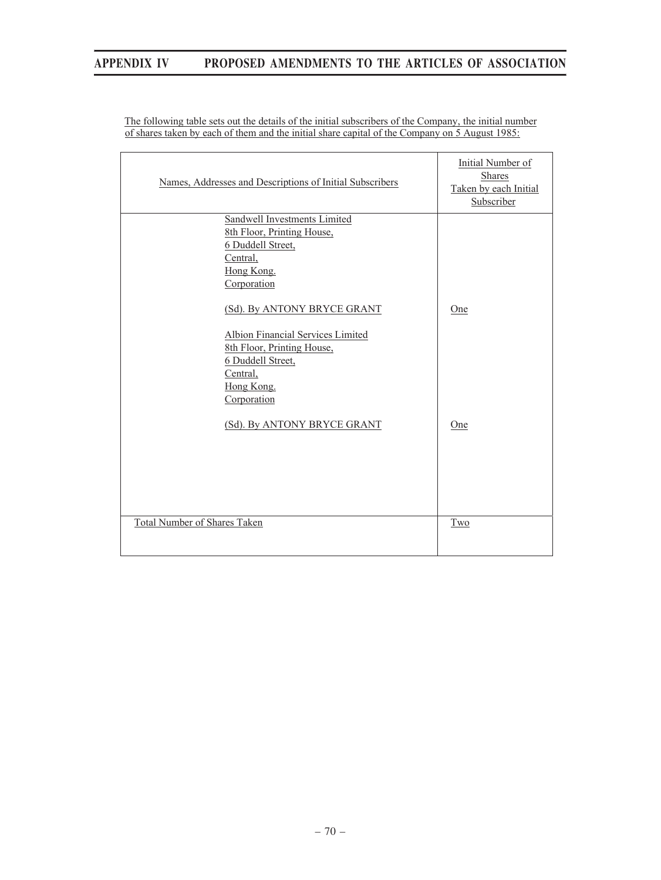| Names, Addresses and Descriptions of Initial Subscribers                                                                                                     | Initial Number of<br><b>Shares</b><br>Taken by each Initial<br>Subscriber |
|--------------------------------------------------------------------------------------------------------------------------------------------------------------|---------------------------------------------------------------------------|
| Sandwell Investments Limited<br>8th Floor, Printing House,<br>6 Duddell Street,<br>Central,<br>Hong Kong.<br>Corporation                                     |                                                                           |
| (Sd). By ANTONY BRYCE GRANT<br>Albion Financial Services Limited<br>8th Floor, Printing House,<br>6 Duddell Street,<br>Central,<br>Hong Kong.<br>Corporation | One                                                                       |
| (Sd). By ANTONY BRYCE GRANT                                                                                                                                  | One                                                                       |
| Total Number of Shares Taken                                                                                                                                 | Two                                                                       |

The following table sets out the details of the initial subscribers of the Company, the initial number of shares taken by each of them and the initial share capital of the Company on 5 August 1985: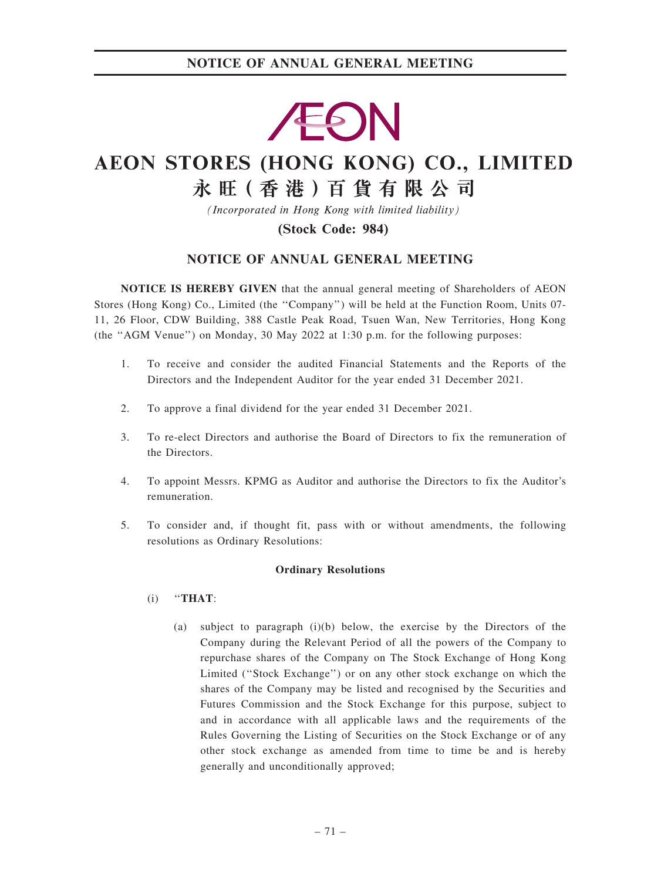# **EON**

# AEON STORES (HONG KONG) CO., LIMITED

# 永旺(香港)百貨有限公司

(Incorporated in Hong Kong with limited liability)

## (Stock Code: 984)

## NOTICE OF ANNUAL GENERAL MEETING

NOTICE IS HEREBY GIVEN that the annual general meeting of Shareholders of AEON Stores (Hong Kong) Co., Limited (the ''Company'') will be held at the Function Room, Units 07- 11, 26 Floor, CDW Building, 388 Castle Peak Road, Tsuen Wan, New Territories, Hong Kong (the ''AGM Venue'') on Monday, 30 May 2022 at 1:30 p.m. for the following purposes:

- 1. To receive and consider the audited Financial Statements and the Reports of the Directors and the Independent Auditor for the year ended 31 December 2021.
- 2. To approve a final dividend for the year ended 31 December 2021.
- 3. To re-elect Directors and authorise the Board of Directors to fix the remuneration of the Directors.
- 4. To appoint Messrs. KPMG as Auditor and authorise the Directors to fix the Auditor's remuneration.
- 5. To consider and, if thought fit, pass with or without amendments, the following resolutions as Ordinary Resolutions:

#### Ordinary Resolutions

- $(i)$  "THAT:
	- (a) subject to paragraph (i)(b) below, the exercise by the Directors of the Company during the Relevant Period of all the powers of the Company to repurchase shares of the Company on The Stock Exchange of Hong Kong Limited (''Stock Exchange'') or on any other stock exchange on which the shares of the Company may be listed and recognised by the Securities and Futures Commission and the Stock Exchange for this purpose, subject to and in accordance with all applicable laws and the requirements of the Rules Governing the Listing of Securities on the Stock Exchange or of any other stock exchange as amended from time to time be and is hereby generally and unconditionally approved;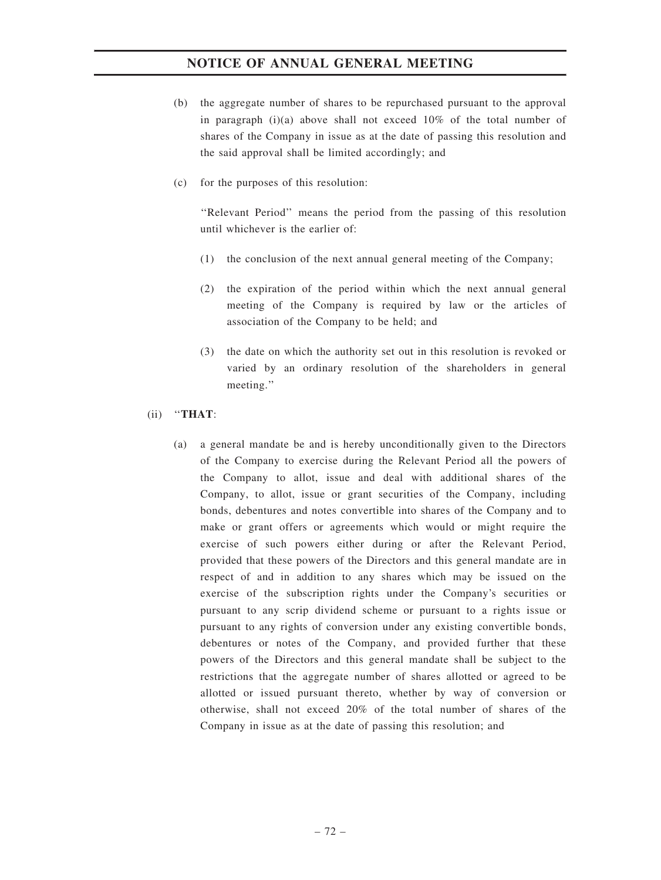- (b) the aggregate number of shares to be repurchased pursuant to the approval in paragraph  $(i)(a)$  above shall not exceed 10% of the total number of shares of the Company in issue as at the date of passing this resolution and the said approval shall be limited accordingly; and
- (c) for the purposes of this resolution:

''Relevant Period'' means the period from the passing of this resolution until whichever is the earlier of:

- (1) the conclusion of the next annual general meeting of the Company;
- (2) the expiration of the period within which the next annual general meeting of the Company is required by law or the articles of association of the Company to be held; and
- (3) the date on which the authority set out in this resolution is revoked or varied by an ordinary resolution of the shareholders in general meeting.''

#### $(ii)$  "THAT:

(a) a general mandate be and is hereby unconditionally given to the Directors of the Company to exercise during the Relevant Period all the powers of the Company to allot, issue and deal with additional shares of the Company, to allot, issue or grant securities of the Company, including bonds, debentures and notes convertible into shares of the Company and to make or grant offers or agreements which would or might require the exercise of such powers either during or after the Relevant Period, provided that these powers of the Directors and this general mandate are in respect of and in addition to any shares which may be issued on the exercise of the subscription rights under the Company's securities or pursuant to any scrip dividend scheme or pursuant to a rights issue or pursuant to any rights of conversion under any existing convertible bonds, debentures or notes of the Company, and provided further that these powers of the Directors and this general mandate shall be subject to the restrictions that the aggregate number of shares allotted or agreed to be allotted or issued pursuant thereto, whether by way of conversion or otherwise, shall not exceed 20% of the total number of shares of the Company in issue as at the date of passing this resolution; and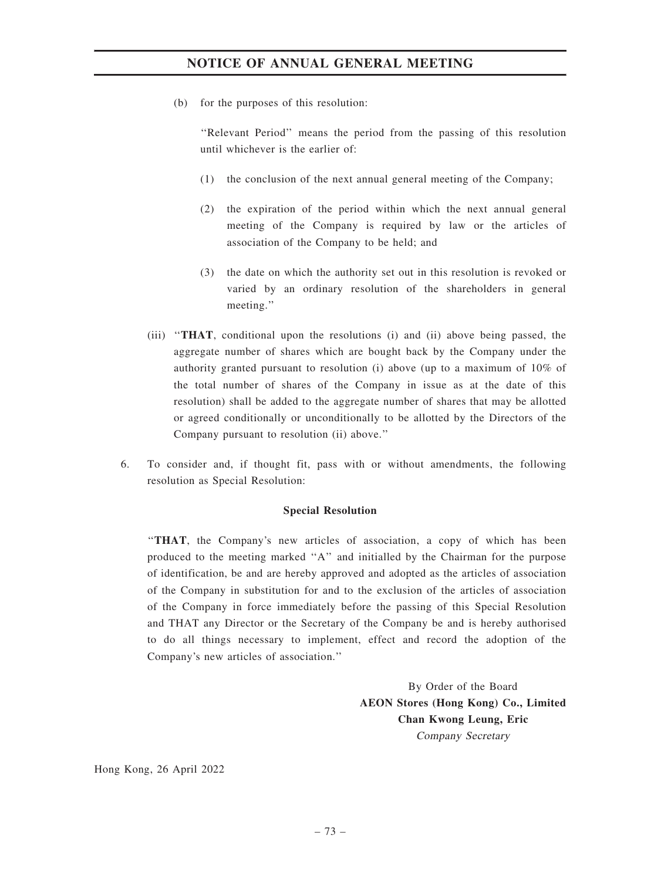(b) for the purposes of this resolution:

''Relevant Period'' means the period from the passing of this resolution until whichever is the earlier of:

- (1) the conclusion of the next annual general meeting of the Company;
- (2) the expiration of the period within which the next annual general meeting of the Company is required by law or the articles of association of the Company to be held; and
- (3) the date on which the authority set out in this resolution is revoked or varied by an ordinary resolution of the shareholders in general meeting.''
- (iii) ''THAT, conditional upon the resolutions (i) and (ii) above being passed, the aggregate number of shares which are bought back by the Company under the authority granted pursuant to resolution (i) above (up to a maximum of 10% of the total number of shares of the Company in issue as at the date of this resolution) shall be added to the aggregate number of shares that may be allotted or agreed conditionally or unconditionally to be allotted by the Directors of the Company pursuant to resolution (ii) above.''
- 6. To consider and, if thought fit, pass with or without amendments, the following resolution as Special Resolution:

#### Special Resolution

''THAT, the Company's new articles of association, a copy of which has been produced to the meeting marked ''A'' and initialled by the Chairman for the purpose of identification, be and are hereby approved and adopted as the articles of association of the Company in substitution for and to the exclusion of the articles of association of the Company in force immediately before the passing of this Special Resolution and THAT any Director or the Secretary of the Company be and is hereby authorised to do all things necessary to implement, effect and record the adoption of the Company's new articles of association.''

> By Order of the Board AEON Stores (Hong Kong) Co., Limited Chan Kwong Leung, Eric Company Secretary

Hong Kong, 26 April 2022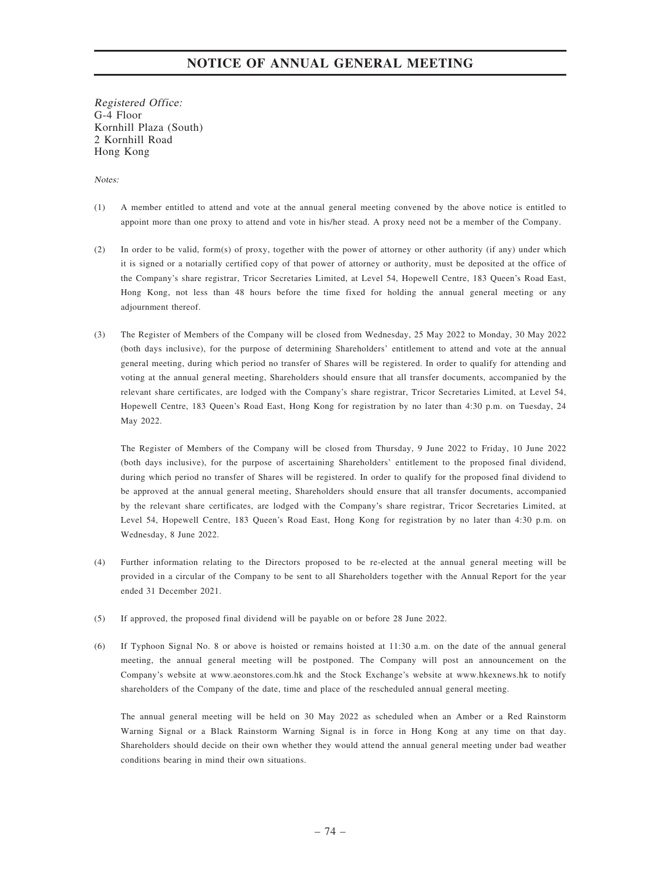Registered Office: G-4 Floor Kornhill Plaza (South) 2 Kornhill Road Hong Kong

Notes:

- (1) A member entitled to attend and vote at the annual general meeting convened by the above notice is entitled to appoint more than one proxy to attend and vote in his/her stead. A proxy need not be a member of the Company.
- (2) In order to be valid, form(s) of proxy, together with the power of attorney or other authority (if any) under which it is signed or a notarially certified copy of that power of attorney or authority, must be deposited at the office of the Company's share registrar, Tricor Secretaries Limited, at Level 54, Hopewell Centre, 183 Queen's Road East, Hong Kong, not less than 48 hours before the time fixed for holding the annual general meeting or any adjournment thereof.
- (3) The Register of Members of the Company will be closed from Wednesday, 25 May 2022 to Monday, 30 May 2022 (both days inclusive), for the purpose of determining Shareholders' entitlement to attend and vote at the annual general meeting, during which period no transfer of Shares will be registered. In order to qualify for attending and voting at the annual general meeting, Shareholders should ensure that all transfer documents, accompanied by the relevant share certificates, are lodged with the Company's share registrar, Tricor Secretaries Limited, at Level 54, Hopewell Centre, 183 Queen's Road East, Hong Kong for registration by no later than 4:30 p.m. on Tuesday, 24 May 2022.

The Register of Members of the Company will be closed from Thursday, 9 June 2022 to Friday, 10 June 2022 (both days inclusive), for the purpose of ascertaining Shareholders' entitlement to the proposed final dividend, during which period no transfer of Shares will be registered. In order to qualify for the proposed final dividend to be approved at the annual general meeting, Shareholders should ensure that all transfer documents, accompanied by the relevant share certificates, are lodged with the Company's share registrar, Tricor Secretaries Limited, at Level 54, Hopewell Centre, 183 Queen's Road East, Hong Kong for registration by no later than 4:30 p.m. on Wednesday, 8 June 2022.

- (4) Further information relating to the Directors proposed to be re-elected at the annual general meeting will be provided in a circular of the Company to be sent to all Shareholders together with the Annual Report for the year ended 31 December 2021.
- (5) If approved, the proposed final dividend will be payable on or before 28 June 2022.
- (6) If Typhoon Signal No. 8 or above is hoisted or remains hoisted at 11:30 a.m. on the date of the annual general meeting, the annual general meeting will be postponed. The Company will post an announcement on the Company's website at www.aeonstores.com.hk and the Stock Exchange's website at www.hkexnews.hk to notify shareholders of the Company of the date, time and place of the rescheduled annual general meeting.

The annual general meeting will be held on 30 May 2022 as scheduled when an Amber or a Red Rainstorm Warning Signal or a Black Rainstorm Warning Signal is in force in Hong Kong at any time on that day. Shareholders should decide on their own whether they would attend the annual general meeting under bad weather conditions bearing in mind their own situations.